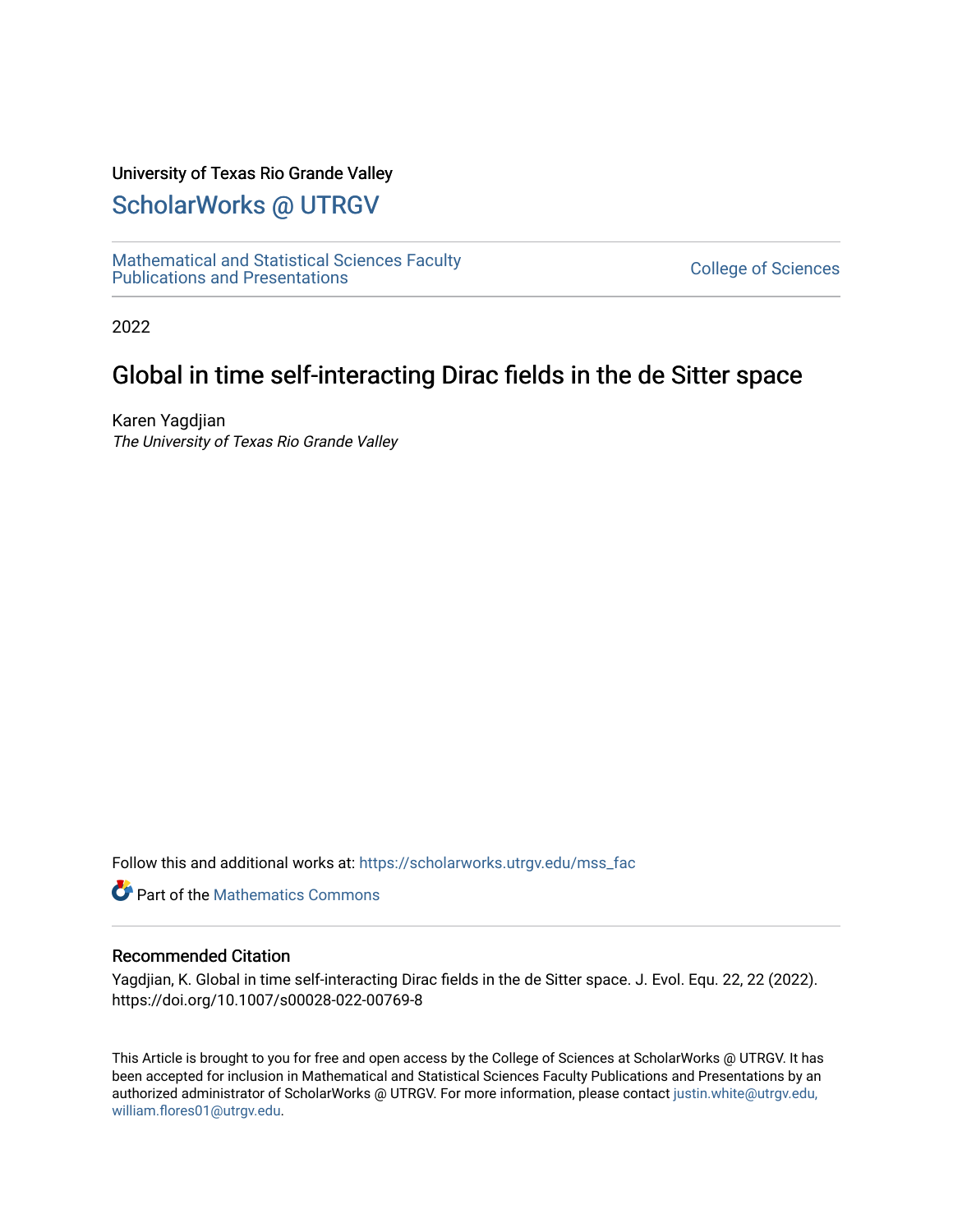### University of Texas Rio Grande Valley

# [ScholarWorks @ UTRGV](https://scholarworks.utrgv.edu/)

[Mathematical and Statistical Sciences Faculty](https://scholarworks.utrgv.edu/mss_fac)  mathematical and Statistical Sciences Faculty<br>Publications and Presentations

2022

## Global in time self-interacting Dirac fields in the de Sitter space

Karen Yagdjian The University of Texas Rio Grande Valley

Follow this and additional works at: [https://scholarworks.utrgv.edu/mss\\_fac](https://scholarworks.utrgv.edu/mss_fac?utm_source=scholarworks.utrgv.edu%2Fmss_fac%2F259&utm_medium=PDF&utm_campaign=PDFCoverPages) 

**C** Part of the [Mathematics Commons](http://network.bepress.com/hgg/discipline/174?utm_source=scholarworks.utrgv.edu%2Fmss_fac%2F259&utm_medium=PDF&utm_campaign=PDFCoverPages)

#### Recommended Citation

Yagdjian, K. Global in time self-interacting Dirac fields in the de Sitter space. J. Evol. Equ. 22, 22 (2022). https://doi.org/10.1007/s00028-022-00769-8

This Article is brought to you for free and open access by the College of Sciences at ScholarWorks @ UTRGV. It has been accepted for inclusion in Mathematical and Statistical Sciences Faculty Publications and Presentations by an authorized administrator of ScholarWorks @ UTRGV. For more information, please contact [justin.white@utrgv.edu,](mailto:justin.white@utrgv.edu,%20william.flores01@utrgv.edu)  [william.flores01@utrgv.edu](mailto:justin.white@utrgv.edu,%20william.flores01@utrgv.edu).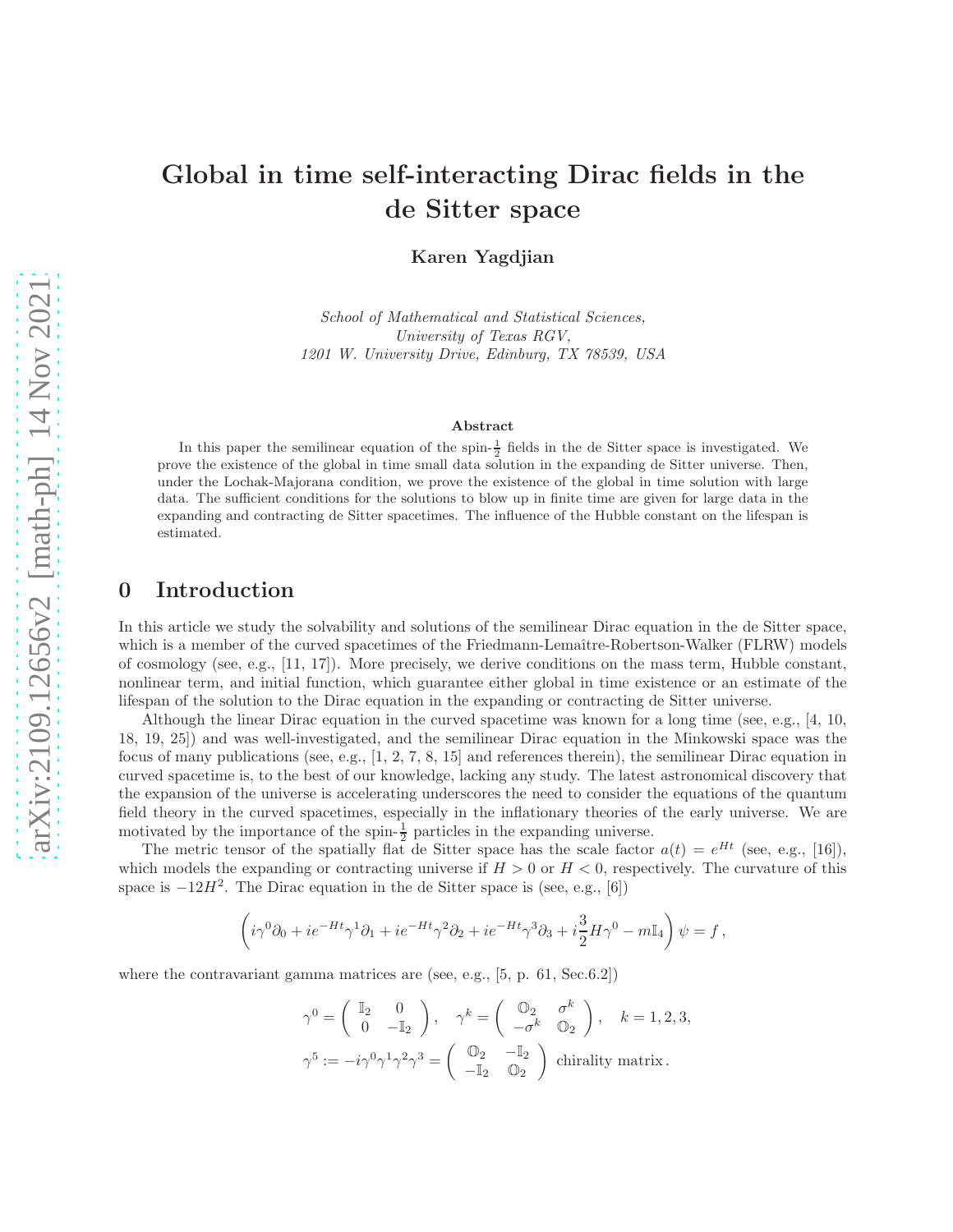## Global in time self-interacting Dirac fields in the de Sitter space

Karen Yagdjian

School of Mathematical and Statistical Sciences, University of Texas RGV, 1201 W. University Drive, Edinburg, TX 78539, USA

#### Abstract

In this paper the semilinear equation of the spin- $\frac{1}{2}$  fields in the de Sitter space is investigated. We prove the existence of the global in time small data solution in the expanding de Sitter universe. Then, under the Lochak-Majorana condition, we prove the existence of the global in time solution with large data. The sufficient conditions for the solutions to blow up in finite time are given for large data in the expanding and contracting de Sitter spacetimes. The influence of the Hubble constant on the lifespan is estimated.

### 0 Introduction

In this article we study the solvability and solutions of the semilinear Dirac equation in the de Sitter space, which is a member of the curved spacetimes of the Friedmann-Lemaître-Robertson-Walker (FLRW) models of cosmology (see, e.g., [11, 17]). More precisely, we derive conditions on the mass term, Hubble constant, nonlinear term, and initial function, which guarantee either global in time existence or an estimate of the lifespan of the solution to the Dirac equation in the expanding or contracting de Sitter universe.

Although the linear Dirac equation in the curved spacetime was known for a long time (see, e.g., [4, 10, 18, 19, 25]) and was well-investigated, and the semilinear Dirac equation in the Minkowski space was the focus of many publications (see, e.g., [1, 2, 7, 8, 15] and references therein), the semilinear Dirac equation in curved spacetime is, to the best of our knowledge, lacking any study. The latest astronomical discovery that the expansion of the universe is accelerating underscores the need to consider the equations of the quantum field theory in the curved spacetimes, especially in the inflationary theories of the early universe. We are motivated by the importance of the spin- $\frac{1}{2}$  particles in the expanding universe.

The metric tensor of the spatially flat de Sitter space has the scale factor  $a(t) = e^{Ht}$  (see, e.g., [16]), which models the expanding or contracting universe if  $H > 0$  or  $H < 0$ , respectively. The curvature of this space is  $-12H^2$ . The Dirac equation in the de Sitter space is (see, e.g., [6])

$$
\left(i\gamma^0\partial_0 + ie^{-Ht}\gamma^1\partial_1 + ie^{-Ht}\gamma^2\partial_2 + ie^{-Ht}\gamma^3\partial_3 + i\frac{3}{2}H\gamma^0 - m\mathbb{I}_4\right)\psi = f,
$$

where the contravariant gamma matrices are (see, e.g., [5, p. 61, Sec.6.2])

$$
\gamma^0 = \begin{pmatrix} \mathbb{I}_2 & 0 \\ 0 & -\mathbb{I}_2 \end{pmatrix}, \quad \gamma^k = \begin{pmatrix} \mathbb{O}_2 & \sigma^k \\ -\sigma^k & \mathbb{O}_2 \end{pmatrix}, \quad k = 1, 2, 3,
$$

$$
\gamma^5 := -i\gamma^0 \gamma^1 \gamma^2 \gamma^3 = \begin{pmatrix} \mathbb{O}_2 & -\mathbb{I}_2 \\ -\mathbb{I}_2 & \mathbb{O}_2 \end{pmatrix} \text{ chirality matrix.}
$$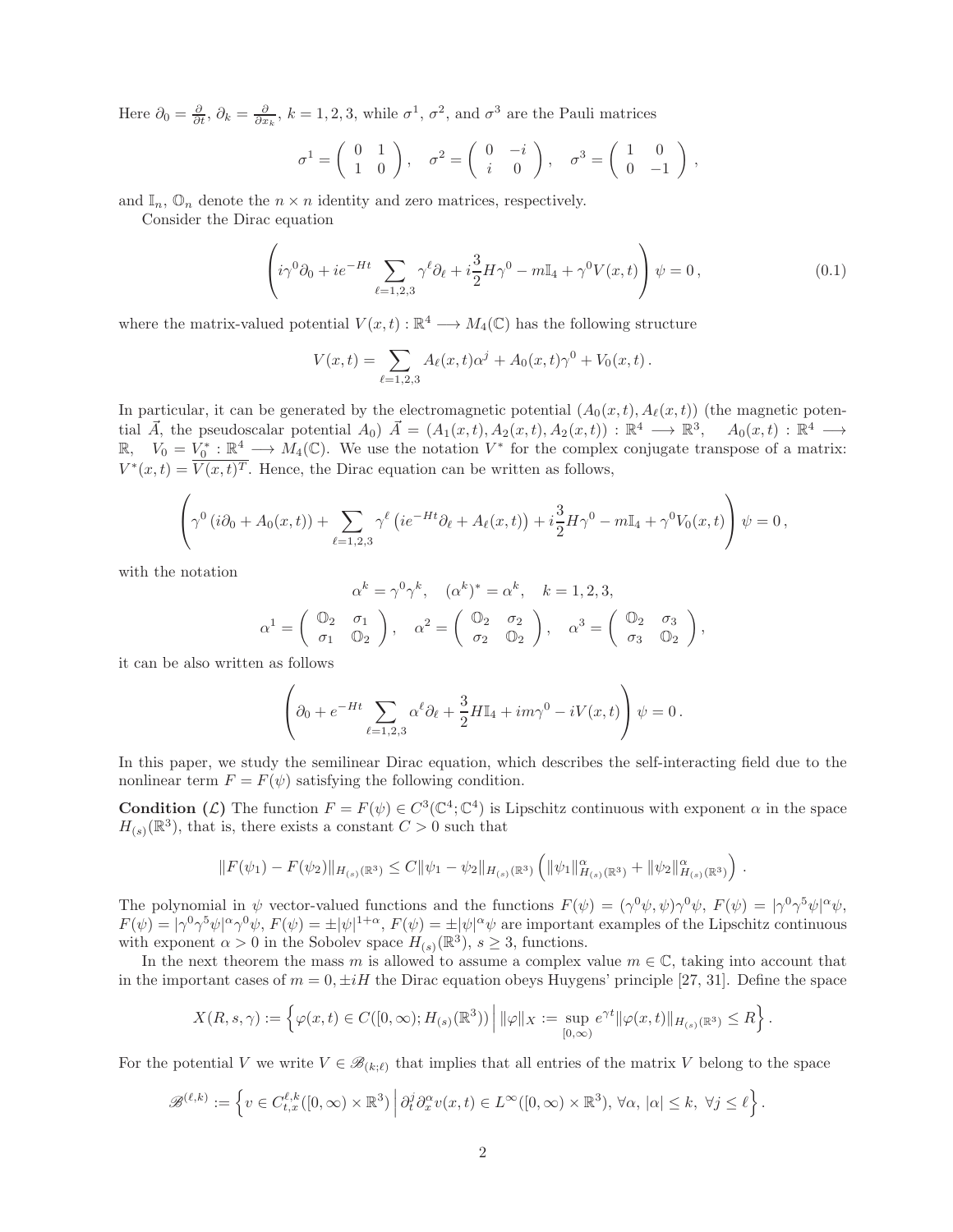Here  $\partial_0 = \frac{\partial}{\partial t}$ ,  $\partial_k = \frac{\partial}{\partial x_k}$ ,  $k = 1, 2, 3$ , while  $\sigma^1$ ,  $\sigma^2$ , and  $\sigma^3$  are the Pauli matrices

$$
\sigma^1 = \begin{pmatrix} 0 & 1 \\ 1 & 0 \end{pmatrix}, \quad \sigma^2 = \begin{pmatrix} 0 & -i \\ i & 0 \end{pmatrix}, \quad \sigma^3 = \begin{pmatrix} 1 & 0 \\ 0 & -1 \end{pmatrix},
$$

and  $\mathbb{I}_n$ ,  $\mathbb{O}_n$  denote the  $n \times n$  identity and zero matrices, respectively.

Consider the Dirac equation

$$
\left(i\gamma^0\partial_0 + ie^{-Ht}\sum_{\ell=1,2,3}\gamma^\ell\partial_\ell + i\frac{3}{2}H\gamma^0 - m\mathbb{I}_4 + \gamma^0 V(x,t)\right)\psi = 0,
$$
\n(0.1)

where the matrix-valued potential  $V(x,t): \mathbb{R}^4 \longrightarrow M_4(\mathbb{C})$  has the following structure

$$
V(x,t) = \sum_{\ell=1,2,3} A_{\ell}(x,t)\alpha^{j} + A_{0}(x,t)\gamma^{0} + V_{0}(x,t).
$$

In particular, it can be generated by the electromagnetic potential  $(A_0(x, t), A_\ell(x, t))$  (the magnetic potential  $\vec{A}$ , the pseudoscalar potential  $A_0$ )  $\vec{A} = (A_1(x,t), A_2(x,t), A_2(x,t)) : \mathbb{R}^4 \longrightarrow \mathbb{R}^3$ ,  $A_0(x,t) : \mathbb{R}^4 \longrightarrow$ R,  $V_0 = V_0^* : \mathbb{R}^4 \longrightarrow M_4(\mathbb{C})$ . We use the notation  $V^*$  for the complex conjugate transpose of a matrix:  $V^*(x,t) = \overline{V(x,t)^T}$ . Hence, the Dirac equation can be written as follows,

$$
\left(\gamma^{0} (i\partial_{0} + A_{0}(x, t)) + \sum_{\ell=1,2,3} \gamma^{\ell} (ie^{-Ht}\partial_{\ell} + A_{\ell}(x, t)) + i\frac{3}{2}H\gamma^{0} - m\mathbb{I}_{4} + \gamma^{0}V_{0}(x, t)\right)\psi = 0,
$$

with the notation

$$
\alpha^k = \gamma^0 \gamma^k, \quad (\alpha^k)^* = \alpha^k, \quad k = 1, 2, 3,
$$

$$
\alpha^1 = \begin{pmatrix} \mathbb{O}_2 & \sigma_1 \\ \sigma_1 & \mathbb{O}_2 \end{pmatrix}, \quad \alpha^2 = \begin{pmatrix} \mathbb{O}_2 & \sigma_2 \\ \sigma_2 & \mathbb{O}_2 \end{pmatrix}, \quad \alpha^3 = \begin{pmatrix} \mathbb{O}_2 & \sigma_3 \\ \sigma_3 & \mathbb{O}_2 \end{pmatrix},
$$

it can be also written as follows

$$
\left(\partial_0 + e^{-Ht} \sum_{\ell=1,2,3} \alpha^{\ell} \partial_{\ell} + \frac{3}{2} H \mathbb{I}_4 + im\gamma^0 - iV(x,t)\right) \psi = 0.
$$

In this paper, we study the semilinear Dirac equation, which describes the self-interacting field due to the nonlinear term  $F = F(\psi)$  satisfying the following condition.

**Condition** (*C*) The function  $F = F(\psi) \in C^3(\mathbb{C}^4; \mathbb{C}^4)$  is Lipschitz continuous with exponent  $\alpha$  in the space  $H_{(s)}(\mathbb{R}^3)$ , that is, there exists a constant  $C > 0$  such that

$$
||F(\psi_1) - F(\psi_2)||_{H_{(s)}(\mathbb{R}^3)} \leq C||\psi_1 - \psi_2||_{H_{(s)}(\mathbb{R}^3)} \left(||\psi_1||^{\alpha}_{H_{(s)}(\mathbb{R}^3)} + ||\psi_2||^{\alpha}_{H_{(s)}(\mathbb{R}^3)}\right).
$$

The polynomial in  $\psi$  vector-valued functions and the functions  $F(\psi) = (\gamma^0 \psi, \psi) \gamma^0 \psi$ ,  $F(\psi) = |\gamma^0 \gamma^5 \psi|^{\alpha} \psi$ ,  $F(\psi) = |\gamma^0 \gamma^5 \psi|^\alpha \gamma^0 \psi$ ,  $F(\psi) = \pm |\psi|^{1+\alpha}$ ,  $F(\psi) = \pm |\psi|^\alpha \psi$  are important examples of the Lipschitz continuous with exponent  $\alpha > 0$  in the Sobolev space  $H_{(s)}(\mathbb{R}^3)$ ,  $s \geq 3$ , functions.

In the next theorem the mass m is allowed to assume a complex value  $m \in \mathbb{C}$ , taking into account that in the important cases of  $m = 0, \pm iH$  the Dirac equation obeys Huygens' principle [27, 31]. Define the space

$$
X(R,s,\gamma) := \left\{ \varphi(x,t) \in C([0,\infty); H_{(s)}(\mathbb{R}^3)) \, \middle| \, \|\varphi\|_X := \sup_{[0,\infty)} e^{\gamma t} \|\varphi(x,t)\|_{H_{(s)}(\mathbb{R}^3)} \le R \right\}.
$$

For the potential V we write  $V \in \mathscr{B}_{(k;\ell)}$  that implies that all entries of the matrix V belong to the space

$$
\mathscr{B}^{(\ell,k)} := \left\{ v \in C_{t,x}^{\ell,k}([0,\infty) \times \mathbb{R}^3) \, \middle| \, \partial_t^j \partial_x^{\alpha} v(x,t) \in L^{\infty}([0,\infty) \times \mathbb{R}^3), \, \forall \alpha, \, |\alpha| \leq k, \, \forall j \leq \ell \right\}.
$$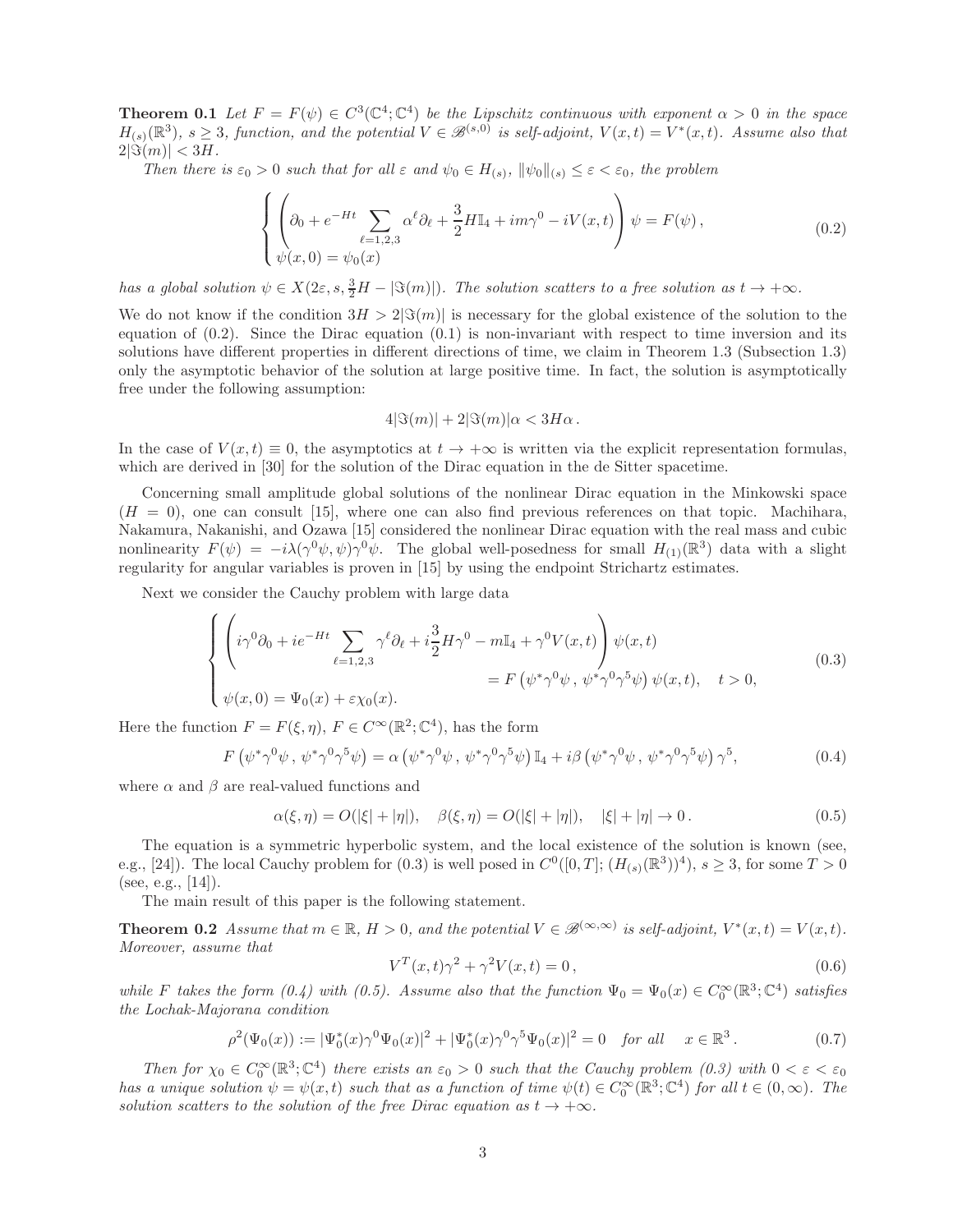**Theorem 0.1** Let  $F = F(\psi) \in C^3(\mathbb{C}^4; \mathbb{C}^4)$  be the Lipschitz continuous with exponent  $\alpha > 0$  in the space  $H_{(s)}(\mathbb{R}^3), s \geq 3$ , function, and the potential  $V \in \mathcal{B}^{(s,0)}$  is self-adjoint,  $V(x,t) = V^*(x,t)$ . Assume also that  $2|\Im(m)| < 3H$ .

Then there is  $\varepsilon_0 > 0$  such that for all  $\varepsilon$  and  $\psi_0 \in H_{(s)}, \|\psi_0\|_{(s)} \leq \varepsilon < \varepsilon_0$ , the problem

$$
\begin{cases} \left(\partial_0 + e^{-Ht} \sum_{\ell=1,2,3} \alpha^{\ell} \partial_{\ell} + \frac{3}{2} H \mathbb{I}_4 + im\gamma^0 - iV(x,t)\right) \psi = F(\psi),\\ \psi(x,0) = \psi_0(x) \end{cases} \tag{0.2}
$$

has a global solution  $\psi \in X(2\varepsilon, s, \frac{3}{2}H - |\Im(m)|)$ . The solution scatters to a free solution as  $t \to +\infty$ .

We do not know if the condition  $3H > 2|\Im(m)|$  is necessary for the global existence of the solution to the equation of  $(0.2)$ . Since the Dirac equation  $(0.1)$  is non-invariant with respect to time inversion and its solutions have different properties in different directions of time, we claim in Theorem 1.3 (Subsection 1.3) only the asymptotic behavior of the solution at large positive time. In fact, the solution is asymptotically free under the following assumption:

$$
4|\Im(m)| + 2|\Im(m)|\alpha < 3H\alpha.
$$

In the case of  $V(x,t) \equiv 0$ , the asymptotics at  $t \to +\infty$  is written via the explicit representation formulas, which are derived in [30] for the solution of the Dirac equation in the de Sitter spacetime.

Concerning small amplitude global solutions of the nonlinear Dirac equation in the Minkowski space  $(H = 0)$ , one can consult [15], where one can also find previous references on that topic. Machihara, Nakamura, Nakanishi, and Ozawa [15] considered the nonlinear Dirac equation with the real mass and cubic nonlinearity  $F(\psi) = -i\lambda(\gamma^0\psi, \psi)\gamma^0\psi$ . The global well-posedness for small  $H_{(1)}(\mathbb{R}^3)$  data with a slight regularity for angular variables is proven in [15] by using the endpoint Strichartz estimates.

Next we consider the Cauchy problem with large data

$$
\begin{cases}\n\left(i\gamma^{0}\partial_{0} + ie^{-Ht}\sum_{\ell=1,2,3}\gamma^{\ell}\partial_{\ell} + i\frac{3}{2}H\gamma^{0} - m\mathbb{I}_{4} + \gamma^{0}V(x,t)\right)\psi(x,t) \\
= F\left(\psi^{*}\gamma^{0}\psi, \psi^{*}\gamma^{0}\gamma^{5}\psi\right)\psi(x,t), \quad t > 0, \\
\psi(x,0) = \Psi_{0}(x) + \varepsilon\chi_{0}(x).\n\end{cases}
$$
\n(0.3)

Here the function  $F = F(\xi, \eta)$ ,  $F \in C^{\infty}(\mathbb{R}^2; \mathbb{C}^4)$ , has the form

$$
F(\psi^*\gamma^0\psi, \psi^*\gamma^0\gamma^5\psi) = \alpha(\psi^*\gamma^0\psi, \psi^*\gamma^0\gamma^5\psi) \mathbb{I}_4 + i\beta(\psi^*\gamma^0\psi, \psi^*\gamma^0\gamma^5\psi) \gamma^5, \tag{0.4}
$$

where  $\alpha$  and  $\beta$  are real-valued functions and

$$
\alpha(\xi, \eta) = O(|\xi| + |\eta|), \quad \beta(\xi, \eta) = O(|\xi| + |\eta|), \quad |\xi| + |\eta| \to 0. \tag{0.5}
$$

The equation is a symmetric hyperbolic system, and the local existence of the solution is known (see, e.g., [24]). The local Cauchy problem for  $(0.3)$  is well posed in  $C^0([0,T]; (H_{(s)}(\mathbb{R}^3))^4)$ ,  $s \geq 3$ , for some  $T > 0$ (see, e.g.,  $[14]$ ).

The main result of this paper is the following statement.

**Theorem 0.2** Assume that  $m \in \mathbb{R}$ ,  $H > 0$ , and the potential  $V \in \mathcal{B}^{(\infty,\infty)}$  is self-adjoint,  $V^*(x,t) = V(x,t)$ . Moreover, assume that

$$
V^{T}(x,t)\gamma^{2} + \gamma^{2}V(x,t) = 0, \qquad (0.6)
$$

while F takes the form  $(0.4)$  with  $(0.5)$ . Assume also that the function  $\Psi_0 = \Psi_0(x) \in C_0^{\infty}(\mathbb{R}^3; \mathbb{C}^4)$  satisfies the Lochak-Majorana condition

$$
\rho^2(\Psi_0(x)) := |\Psi_0^*(x)\gamma^0\Psi_0(x)|^2 + |\Psi_0^*(x)\gamma^0\gamma^5\Psi_0(x)|^2 = 0 \quad \text{for all} \quad x \in \mathbb{R}^3. \tag{0.7}
$$

Then for  $\chi_0 \in C_0^{\infty}(\mathbb{R}^3; \mathbb{C}^4)$  there exists an  $\varepsilon_0 > 0$  such that the Cauchy problem  $(0.3)$  with  $0 < \varepsilon < \varepsilon_0$ has a unique solution  $\psi = \psi(x, t)$  such that as a function of time  $\psi(t) \in C_0^{\infty}(\mathbb{R}^3; \mathbb{C}^4)$  for all  $t \in (0, \infty)$ . The solution scatters to the solution of the free Dirac equation as  $t \rightarrow +\infty$ .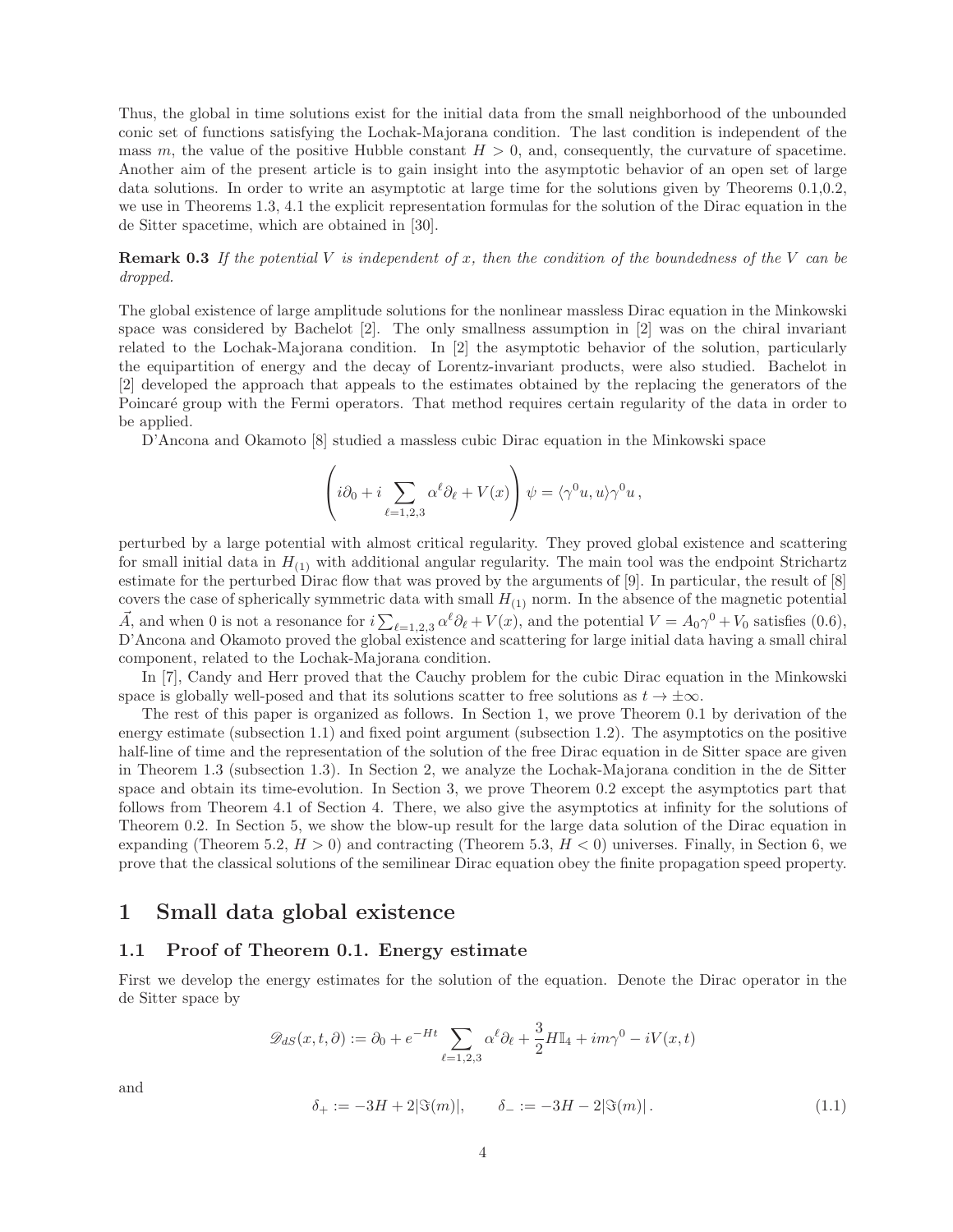Thus, the global in time solutions exist for the initial data from the small neighborhood of the unbounded conic set of functions satisfying the Lochak-Majorana condition. The last condition is independent of the mass m, the value of the positive Hubble constant  $H > 0$ , and, consequently, the curvature of spacetime. Another aim of the present article is to gain insight into the asymptotic behavior of an open set of large data solutions. In order to write an asymptotic at large time for the solutions given by Theorems 0.1,0.2, we use in Theorems 1.3, 4.1 the explicit representation formulas for the solution of the Dirac equation in the de Sitter spacetime, which are obtained in [30].

**Remark 0.3** If the potential V is independent of x, then the condition of the boundedness of the V can be dropped.

The global existence of large amplitude solutions for the nonlinear massless Dirac equation in the Minkowski space was considered by Bachelot [2]. The only smallness assumption in [2] was on the chiral invariant related to the Lochak-Majorana condition. In [2] the asymptotic behavior of the solution, particularly the equipartition of energy and the decay of Lorentz-invariant products, were also studied. Bachelot in [2] developed the approach that appeals to the estimates obtained by the replacing the generators of the Poincaré group with the Fermi operators. That method requires certain regularity of the data in order to be applied.

D'Ancona and Okamoto [8] studied a massless cubic Dirac equation in the Minkowski space

$$
\left(i\partial_0 + i \sum_{\ell=1,2,3} \alpha^{\ell} \partial_{\ell} + V(x)\right) \psi = \langle \gamma^0 u, u \rangle \gamma^0 u,
$$

perturbed by a large potential with almost critical regularity. They proved global existence and scattering for small initial data in  $H_{(1)}$  with additional angular regularity. The main tool was the endpoint Strichartz estimate for the perturbed Dirac flow that was proved by the arguments of [9]. In particular, the result of [8] covers the case of spherically symmetric data with small  $H_{(1)}$  norm. In the absence of the magnetic potential  $\vec{A}$ , and when 0 is not a resonance for  $i \sum_{\ell=1,2,3} \alpha^{\ell} \partial_{\ell} + V(x)$ , and the potential  $V = A_0 \gamma^0 + V_0$  satisfies (0.6), D'Ancona and Okamoto proved the global existence and scattering for large initial data having a small chiral component, related to the Lochak-Majorana condition.

In [7], Candy and Herr proved that the Cauchy problem for the cubic Dirac equation in the Minkowski space is globally well-posed and that its solutions scatter to free solutions as  $t \to \pm \infty$ .

The rest of this paper is organized as follows. In Section 1, we prove Theorem 0.1 by derivation of the energy estimate (subsection 1.1) and fixed point argument (subsection 1.2). The asymptotics on the positive half-line of time and the representation of the solution of the free Dirac equation in de Sitter space are given in Theorem 1.3 (subsection 1.3). In Section 2, we analyze the Lochak-Majorana condition in the de Sitter space and obtain its time-evolution. In Section 3, we prove Theorem 0.2 except the asymptotics part that follows from Theorem 4.1 of Section 4. There, we also give the asymptotics at infinity for the solutions of Theorem 0.2. In Section 5, we show the blow-up result for the large data solution of the Dirac equation in expanding (Theorem 5.2,  $H > 0$ ) and contracting (Theorem 5.3,  $H < 0$ ) universes. Finally, in Section 6, we prove that the classical solutions of the semilinear Dirac equation obey the finite propagation speed property.

### 1 Small data global existence

#### 1.1 Proof of Theorem 0.1. Energy estimate

First we develop the energy estimates for the solution of the equation. Denote the Dirac operator in the de Sitter space by

$$
\mathscr{D}_{dS}(x,t,\partial) := \partial_0 + e^{-Ht} \sum_{\ell=1,2,3} \alpha^{\ell} \partial_{\ell} + \frac{3}{2} H \mathbb{I}_4 + i m \gamma^0 - iV(x,t)
$$

and

$$
\delta_+ := -3H + 2|\Im(m)|, \qquad \delta_- := -3H - 2|\Im(m)|. \tag{1.1}
$$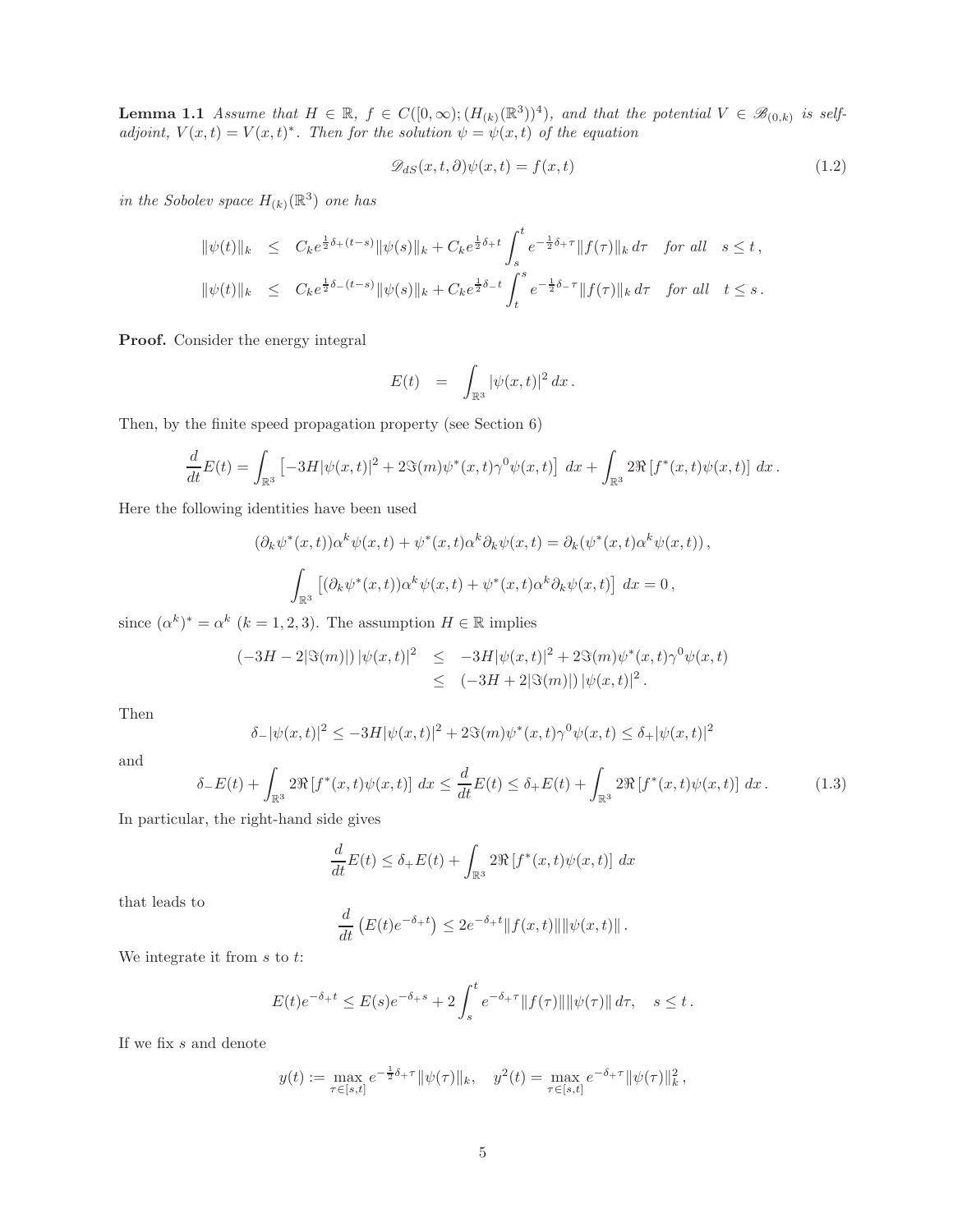**Lemma 1.1** Assume that  $H \in \mathbb{R}$ ,  $f \in C([0,\infty); (H_{(k)}(\mathbb{R}^3))$ <sup>4</sup>), and that the potential  $V \in \mathscr{B}_{(0,k)}$  is selfadjoint,  $V(x,t) = V(x,t)^*$ . Then for the solution  $\psi = \psi(x,t)$  of the equation

$$
\mathcal{D}_{dS}(x,t,\partial)\psi(x,t) = f(x,t) \tag{1.2}
$$

in the Sobolev space  $H_{(k)}(\mathbb{R}^3)$  one has

$$
\|\psi(t)\|_{k} \leq C_{k}e^{\frac{1}{2}\delta_{+}(t-s)}\|\psi(s)\|_{k} + C_{k}e^{\frac{1}{2}\delta_{+}t} \int_{s}^{t} e^{-\frac{1}{2}\delta_{+}\tau} \|f(\tau)\|_{k} d\tau \text{ for all } s \leq t,
$$
  

$$
\|\psi(t)\|_{k} \leq C_{k}e^{\frac{1}{2}\delta_{-}(t-s)}\|\psi(s)\|_{k} + C_{k}e^{\frac{1}{2}\delta_{-}t} \int_{t}^{s} e^{-\frac{1}{2}\delta_{-}\tau} \|f(\tau)\|_{k} d\tau \text{ for all } t \leq s.
$$

Proof. Consider the energy integral

$$
E(t) = \int_{\mathbb{R}^3} |\psi(x,t)|^2 dx.
$$

Then, by the finite speed propagation property (see Section 6)

$$
\frac{d}{dt}E(t) = \int_{\mathbb{R}^3} \left[ -3H |\psi(x,t)|^2 + 2\Im(m)\psi^*(x,t)\gamma^0 \psi(x,t) \right] dx + \int_{\mathbb{R}^3} 2\Re[f^*(x,t)\psi(x,t)] dx.
$$

Here the following identities have been used

$$
(\partial_k \psi^*(x,t))\alpha^k \psi(x,t) + \psi^*(x,t)\alpha^k \partial_k \psi(x,t) = \partial_k(\psi^*(x,t)\alpha^k \psi(x,t)),
$$
  

$$
\int_{\mathbb{R}^3} \left[ (\partial_k \psi^*(x,t))\alpha^k \psi(x,t) + \psi^*(x,t)\alpha^k \partial_k \psi(x,t) \right] dx = 0,
$$

since  $(\alpha^k)^* = \alpha^k$   $(k = 1, 2, 3)$ . The assumption  $H \in \mathbb{R}$  implies

$$
\begin{array}{rcl}\n(-3H-2|\Im(m)|) \, |\psi(x,t)|^2 & \leq & -3H|\psi(x,t)|^2 + 2\Im(m)\psi^*(x,t)\gamma^0\psi(x,t) \\
& \leq & (-3H+2|\Im(m)|) \, |\psi(x,t)|^2 \, .\n\end{array}
$$

Then

$$
\delta - |\psi(x, t)|^2 \le -3H |\psi(x, t)|^2 + 2\Im(m)\psi^*(x, t)\gamma^0 \psi(x, t) \le \delta + |\psi(x, t)|^2
$$

and

$$
\delta_{-}E(t) + \int_{\mathbb{R}^3} 2\Re[f^*(x,t)\psi(x,t)] \, dx \le \frac{d}{dt}E(t) \le \delta_{+}E(t) + \int_{\mathbb{R}^3} 2\Re[f^*(x,t)\psi(x,t)] \, dx. \tag{1.3}
$$

In particular, the right-hand side gives

$$
\frac{d}{dt}E(t) \le \delta_+ E(t) + \int_{\mathbb{R}^3} 2\Re[f^*(x,t)\psi(x,t)] dx
$$

that leads to

$$
\frac{d}{dt}\left(E(t)e^{-\delta_{+}t}\right) \leq 2e^{-\delta_{+}t} \|f(x,t)\| \|\psi(x,t)\|.
$$

We integrate it from  $s$  to  $t$ :

$$
E(t)e^{-\delta_+ t} \le E(s)e^{-\delta_+ s} + 2\int_s^t e^{-\delta_+ \tau} ||f(\tau)|| \, ||\psi(\tau)|| \, d\tau, \quad s \le t.
$$

If we fix  $s$  and denote

$$
y(t) := \max_{\tau \in [s,t]} e^{-\frac{1}{2}\delta + \tau} \|\psi(\tau)\|_{k}, \quad y^{2}(t) = \max_{\tau \in [s,t]} e^{-\delta + \tau} \|\psi(\tau)\|_{k}^{2},
$$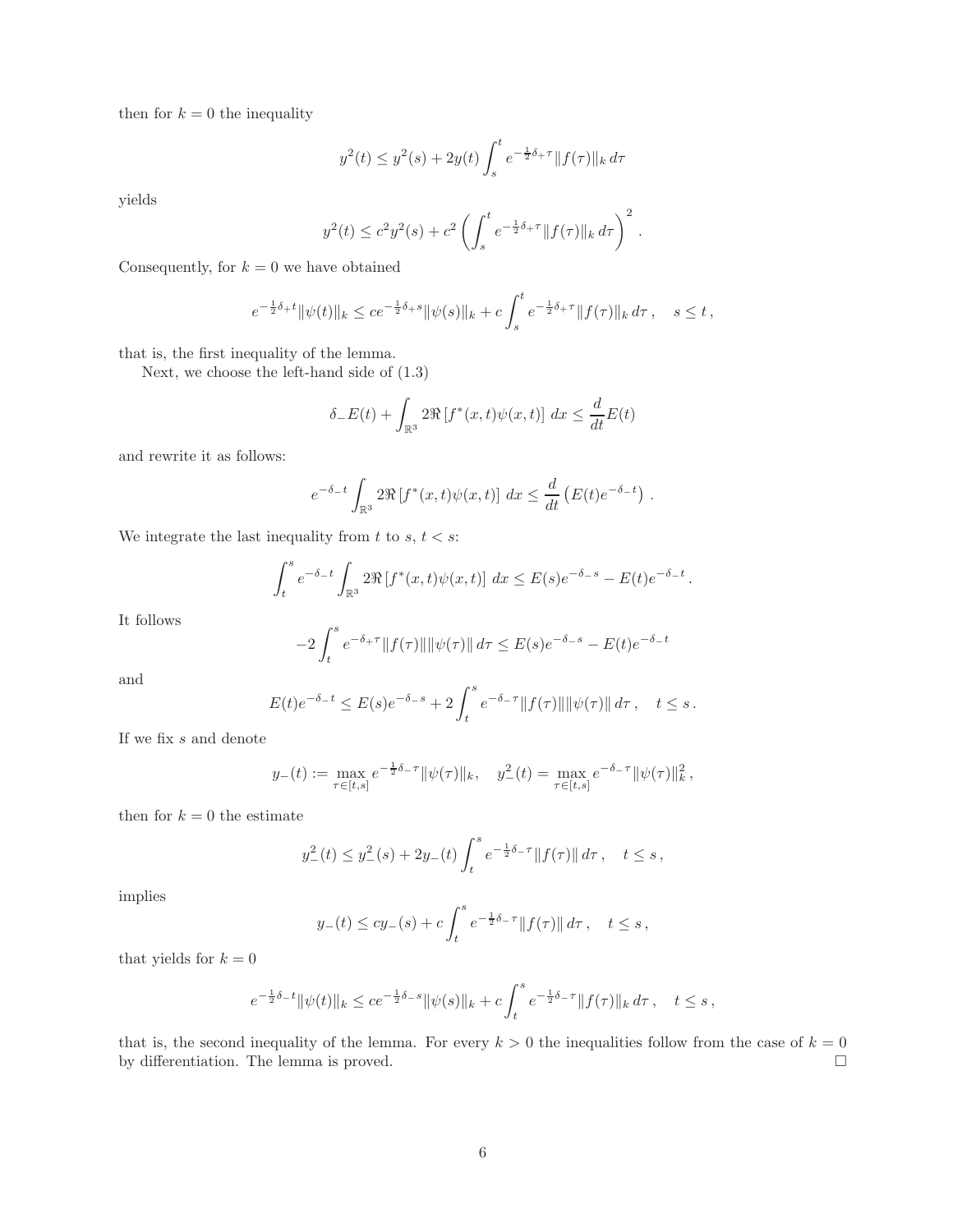then for  $k = 0$  the inequality

$$
y^{2}(t) \leq y^{2}(s) + 2y(t) \int_{s}^{t} e^{-\frac{1}{2}\delta_{+}\tau} ||f(\tau)||_{k} d\tau
$$

yields

$$
y^{2}(t) \leq c^{2} y^{2}(s) + c^{2} \left( \int_{s}^{t} e^{-\frac{1}{2}\delta_{+}\tau} \|f(\tau)\|_{k} d\tau \right)^{2}.
$$

Consequently, for  $k = 0$  we have obtained

$$
e^{-\frac{1}{2}\delta + t} \|\psi(t)\|_{k} \le c e^{-\frac{1}{2}\delta + s} \|\psi(s)\|_{k} + c \int_{s}^{t} e^{-\frac{1}{2}\delta + \tau} \|f(\tau)\|_{k} d\tau, \quad s \le t,
$$

that is, the first inequality of the lemma.

Next, we choose the left-hand side of (1.3)

$$
\delta_-E(t) + \int_{\mathbb{R}^3} 2\Re[f^*(x,t)\psi(x,t)] dx \le \frac{d}{dt}E(t)
$$

and rewrite it as follows:

$$
e^{-\delta_{-}t} \int_{\mathbb{R}^3} 2\Re[f^*(x,t)\psi(x,t)] dx \leq \frac{d}{dt} \left( E(t)e^{-\delta_{-}t} \right).
$$

We integrate the last inequality from  $t$  to  $s, t < s$ :

$$
\int_t^s e^{-\delta_- t} \int_{\mathbb{R}^3} 2\Re[f^*(x,t)\psi(x,t)] dx \le E(s)e^{-\delta_- s} - E(t)e^{-\delta_- t}.
$$

It follows

$$
-2\int_{t}^{s} e^{-\delta_{+}\tau} \|f(\tau)\| \|\psi(\tau)\| d\tau \le E(s)e^{-\delta_{-}s} - E(t)e^{-\delta_{-}t}
$$

and

$$
E(t)e^{-\delta_{-}t} \leq E(s)e^{-\delta_{-}s} + 2\int_{t}^{s}e^{-\delta_{-}\tau}||f(\tau)||\|\psi(\tau)||\,d\tau\,, \quad t \leq s\,.
$$

If we fix  $s$  and denote

$$
y_{-}(t) := \max_{\tau \in [t,s]} e^{-\frac{1}{2}\delta_{-\tau}} \|\psi(\tau)\|_{k}, \quad y_{-}^{2}(t) = \max_{\tau \in [t,s]} e^{-\delta_{-\tau}} \|\psi(\tau)\|_{k}^{2},
$$

then for  $k = 0$  the estimate

$$
y_{-}^{2}(t) \leq y_{-}^{2}(s) + 2y_{-}(t) \int_{t}^{s} e^{-\frac{1}{2}\delta_{-}\tau} ||f(\tau)|| d\tau, \quad t \leq s,
$$

implies

$$
y_{-}(t) \le cy_{-}(s) + c \int_{t}^{s} e^{-\frac{1}{2}\delta_{-}\tau} ||f(\tau)|| d\tau, \quad t \le s,
$$

that yields for  $k = 0$ 

$$
e^{-\frac{1}{2}\delta_{-}t} \|\psi(t)\|_{k} \le c e^{-\frac{1}{2}\delta_{-}s} \|\psi(s)\|_{k} + c \int_{t}^{s} e^{-\frac{1}{2}\delta_{-}\tau} \|f(\tau)\|_{k} d\tau, \quad t \le s,
$$

that is, the second inequality of the lemma. For every  $k > 0$  the inequalities follow from the case of  $k = 0$ by differentiation. The lemma is proved.  $\Box$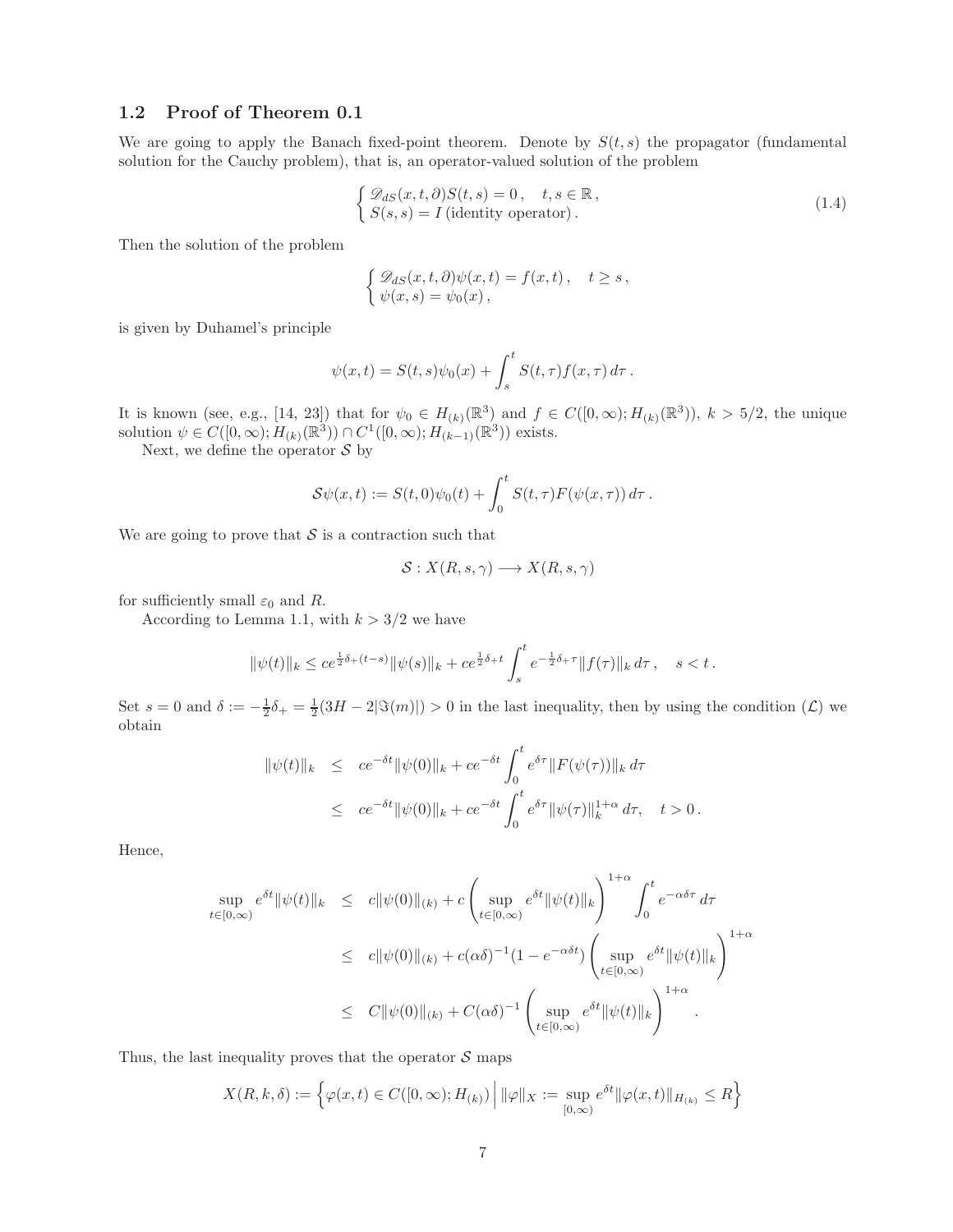#### 1.2 Proof of Theorem 0.1

We are going to apply the Banach fixed-point theorem. Denote by  $S(t, s)$  the propagator (fundamental solution for the Cauchy problem), that is, an operator-valued solution of the problem

$$
\begin{cases} \mathcal{D}_{dS}(x,t,\partial)S(t,s) = 0, & t,s \in \mathbb{R} \\ S(s,s) = I \text{ (identity operator)}. \end{cases}
$$
\n(1.4)

Then the solution of the problem

$$
\begin{cases} \mathcal{D}_{dS}(x,t,\partial)\psi(x,t) = f(x,t), \quad t \geq s, \\ \psi(x,s) = \psi_0(x), \end{cases}
$$

is given by Duhamel's principle

$$
\psi(x,t) = S(t,s)\psi_0(x) + \int_s^t S(t,\tau)f(x,\tau) d\tau.
$$

It is known (see, e.g., [14, 23]) that for  $\psi_0 \in H_{(k)}(\mathbb{R}^3)$  and  $f \in C([0,\infty); H_{(k)}(\mathbb{R}^3))$ ,  $k > 5/2$ , the unique solution  $\psi \in C([0,\infty); H_{(k)}(\mathbb{R}^3)) \cap C^1([0,\infty); H_{(k-1)}(\mathbb{R}^3))$  exists.

Next, we define the operator  $\mathcal S$  by

$$
\mathcal{S}\psi(x,t) := S(t,0)\psi_0(t) + \int_0^t S(t,\tau)F(\psi(x,\tau))\,d\tau.
$$

We are going to prove that  $S$  is a contraction such that

$$
\mathcal{S}: X(R, s, \gamma) \longrightarrow X(R, s, \gamma)
$$

for sufficiently small  $\varepsilon_0$  and R.

According to Lemma 1.1, with  $k > 3/2$  we have

$$
\|\psi(t)\|_{k} \le c e^{\frac{1}{2}\delta_{+}(t-s)} \|\psi(s)\|_{k} + c e^{\frac{1}{2}\delta_{+}t} \int_{s}^{t} e^{-\frac{1}{2}\delta_{+}\tau} \|f(\tau)\|_{k} d\tau, \quad s < t.
$$

Set  $s = 0$  and  $\delta := -\frac{1}{2}\delta_+ = \frac{1}{2}(3H - 2|\Im(m)|) > 0$  in the last inequality, then by using the condition  $(\mathcal{L})$  we obtain

$$
\begin{array}{rcl}\n\|\psi(t)\|_{k} & \leq & ce^{-\delta t} \|\psi(0)\|_{k} + ce^{-\delta t} \int_{0}^{t} e^{\delta \tau} \|F(\psi(\tau))\|_{k} \, d\tau \\
& \leq & ce^{-\delta t} \|\psi(0)\|_{k} + ce^{-\delta t} \int_{0}^{t} e^{\delta \tau} \|\psi(\tau)\|_{k}^{1+\alpha} \, d\tau, \quad t > 0 \, .\n\end{array}
$$

Hence,

$$
\sup_{t\in[0,\infty)}e^{\delta t}\|\psi(t)\|_{k} \leq c\|\psi(0)\|_{(k)} + c\left(\sup_{t\in[0,\infty)}e^{\delta t}\|\psi(t)\|_{k}\right)^{1+\alpha} \int_{0}^{t} e^{-\alpha\delta\tau} d\tau
$$
  

$$
\leq c\|\psi(0)\|_{(k)} + c(\alpha\delta)^{-1}(1 - e^{-\alpha\delta t})\left(\sup_{t\in[0,\infty)}e^{\delta t}\|\psi(t)\|_{k}\right)^{1+\alpha}
$$
  

$$
\leq C\|\psi(0)\|_{(k)} + C(\alpha\delta)^{-1}\left(\sup_{t\in[0,\infty)}e^{\delta t}\|\psi(t)\|_{k}\right)^{1+\alpha}.
$$

Thus, the last inequality proves that the operator  $S$  maps

$$
X(R, k, \delta) := \left\{ \varphi(x, t) \in C([0, \infty); H_{(k)}) \, \middle| \, \|\varphi\|_X := \sup_{[0, \infty)} e^{\delta t} \|\varphi(x, t)\|_{H_{(k)}} \le R \right\}
$$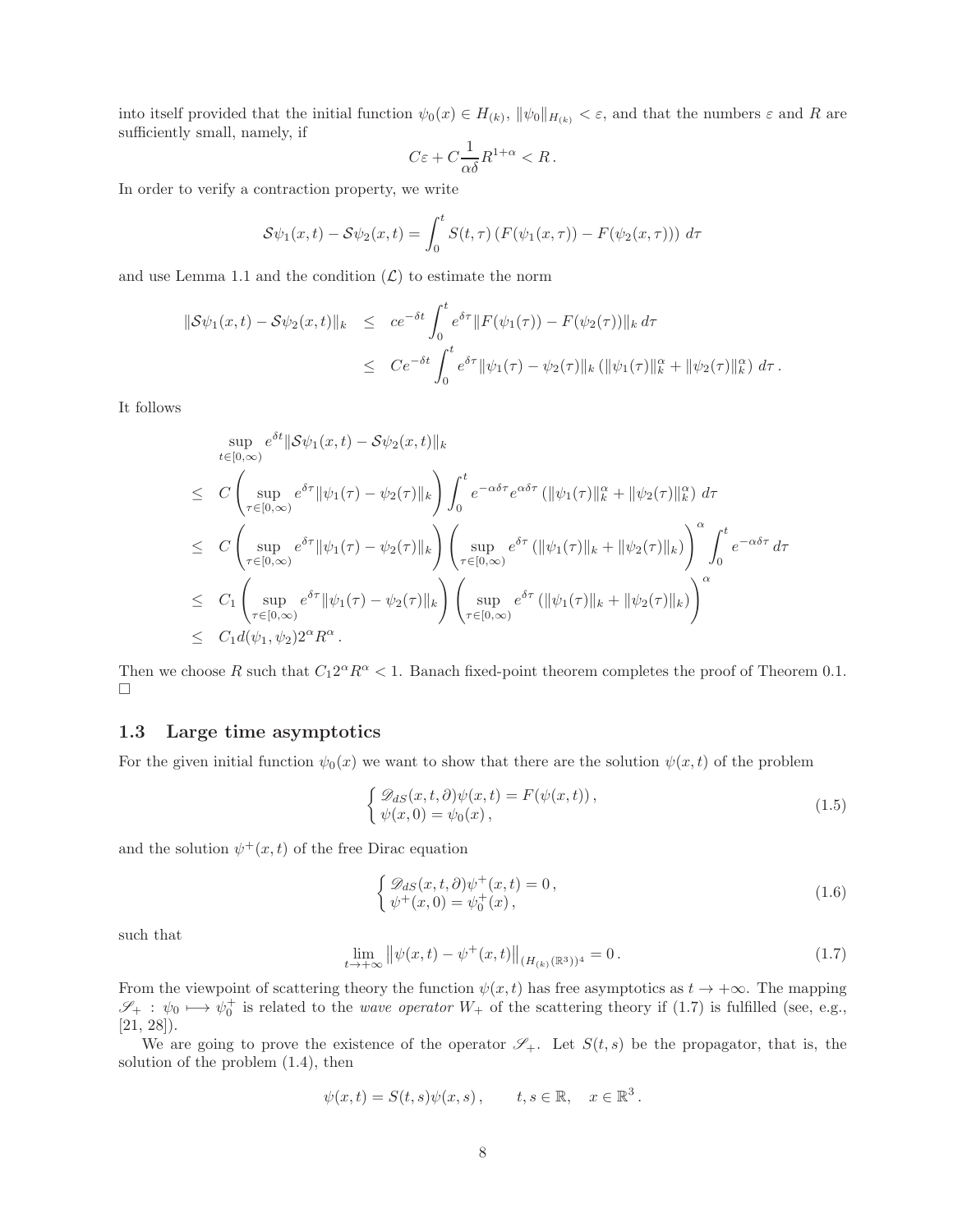into itself provided that the initial function  $\psi_0(x) \in H_{(k)}$ ,  $\|\psi_0\|_{H_{(k)}} < \varepsilon$ , and that the numbers  $\varepsilon$  and R are sufficiently small, namely, if

$$
C\varepsilon + C\frac{1}{\alpha\delta}R^{1+\alpha} < R\,.
$$

In order to verify a contraction property, we write

$$
\mathcal{S}\psi_1(x,t) - \mathcal{S}\psi_2(x,t) = \int_0^t S(t,\tau) \left( F(\psi_1(x,\tau)) - F(\psi_2(x,\tau)) \right) d\tau
$$

and use Lemma 1.1 and the condition  $(\mathcal{L})$  to estimate the norm

$$
\|\mathcal{S}\psi_1(x,t) - \mathcal{S}\psi_2(x,t)\|_{k} \leq c e^{-\delta t} \int_0^t e^{\delta \tau} \|F(\psi_1(\tau)) - F(\psi_2(\tau))\|_{k} d\tau
$$
  

$$
\leq C e^{-\delta t} \int_0^t e^{\delta \tau} \|\psi_1(\tau) - \psi_2(\tau)\|_{k} (\|\psi_1(\tau)\|_{k}^{\alpha} + \|\psi_2(\tau)\|_{k}^{\alpha}) d\tau.
$$

It follows

$$
\sup_{t\in[0,\infty)} e^{\delta t} \|\mathcal{S}\psi_1(x,t) - \mathcal{S}\psi_2(x,t)\|_{k}
$$
\n
$$
\leq C \left( \sup_{\tau\in[0,\infty)} e^{\delta \tau} \|\psi_1(\tau) - \psi_2(\tau)\|_{k} \right) \int_0^t e^{-\alpha \delta \tau} e^{\alpha \delta \tau} (\|\psi_1(\tau)\|_{k}^{\alpha} + \|\psi_2(\tau)\|_{k}^{\alpha}) d\tau
$$
\n
$$
\leq C \left( \sup_{\tau\in[0,\infty)} e^{\delta \tau} \|\psi_1(\tau) - \psi_2(\tau)\|_{k} \right) \left( \sup_{\tau\in[0,\infty)} e^{\delta \tau} (\|\psi_1(\tau)\|_{k} + \|\psi_2(\tau)\|_{k}) \right) \int_0^t e^{-\alpha \delta \tau} d\tau
$$
\n
$$
\leq C_1 \left( \sup_{\tau\in[0,\infty)} e^{\delta \tau} \|\psi_1(\tau) - \psi_2(\tau)\|_{k} \right) \left( \sup_{\tau\in[0,\infty)} e^{\delta \tau} (\|\psi_1(\tau)\|_{k} + \|\psi_2(\tau)\|_{k}) \right)^{\alpha}
$$
\n
$$
\leq C_1 d(\psi_1, \psi_2) 2^{\alpha} R^{\alpha}.
$$

Then we choose R such that  $C_1 2^{\alpha} R^{\alpha} < 1$ . Banach fixed-point theorem completes the proof of Theorem 0.1.  $\Box$ 

#### 1.3 Large time asymptotics

For the given initial function  $\psi_0(x)$  we want to show that there are the solution  $\psi(x, t)$  of the problem

$$
\begin{cases} \mathcal{D}_{dS}(x,t,\partial)\psi(x,t) = F(\psi(x,t)),\\ \psi(x,0) = \psi_0(x), \end{cases}
$$
\n(1.5)

and the solution  $\psi^+(x,t)$  of the free Dirac equation

$$
\begin{cases} \mathcal{D}_{dS}(x,t,\partial)\psi^+(x,t) = 0, \\ \psi^+(x,0) = \psi_0^+(x), \end{cases}
$$
\n(1.6)

such that

$$
\lim_{t \to +\infty} \left\| \psi(x, t) - \psi^+(x, t) \right\|_{(H_{(k)}(\mathbb{R}^3))^4} = 0. \tag{1.7}
$$

From the viewpoint of scattering theory the function  $\psi(x, t)$  has free asymptotics as  $t \to +\infty$ . The mapping  $\mathscr{S}_+$ :  $\psi_0 \mapsto \psi_0^+$  is related to the *wave operator*  $W_+$  of the scattering theory if (1.7) is fulfilled (see, e.g., [21, 28]).

We are going to prove the existence of the operator  $\mathscr{S}_+$ . Let  $S(t, s)$  be the propagator, that is, the solution of the problem (1.4), then

$$
\psi(x,t) = S(t,s)\psi(x,s), \qquad t,s \in \mathbb{R}, \quad x \in \mathbb{R}^3.
$$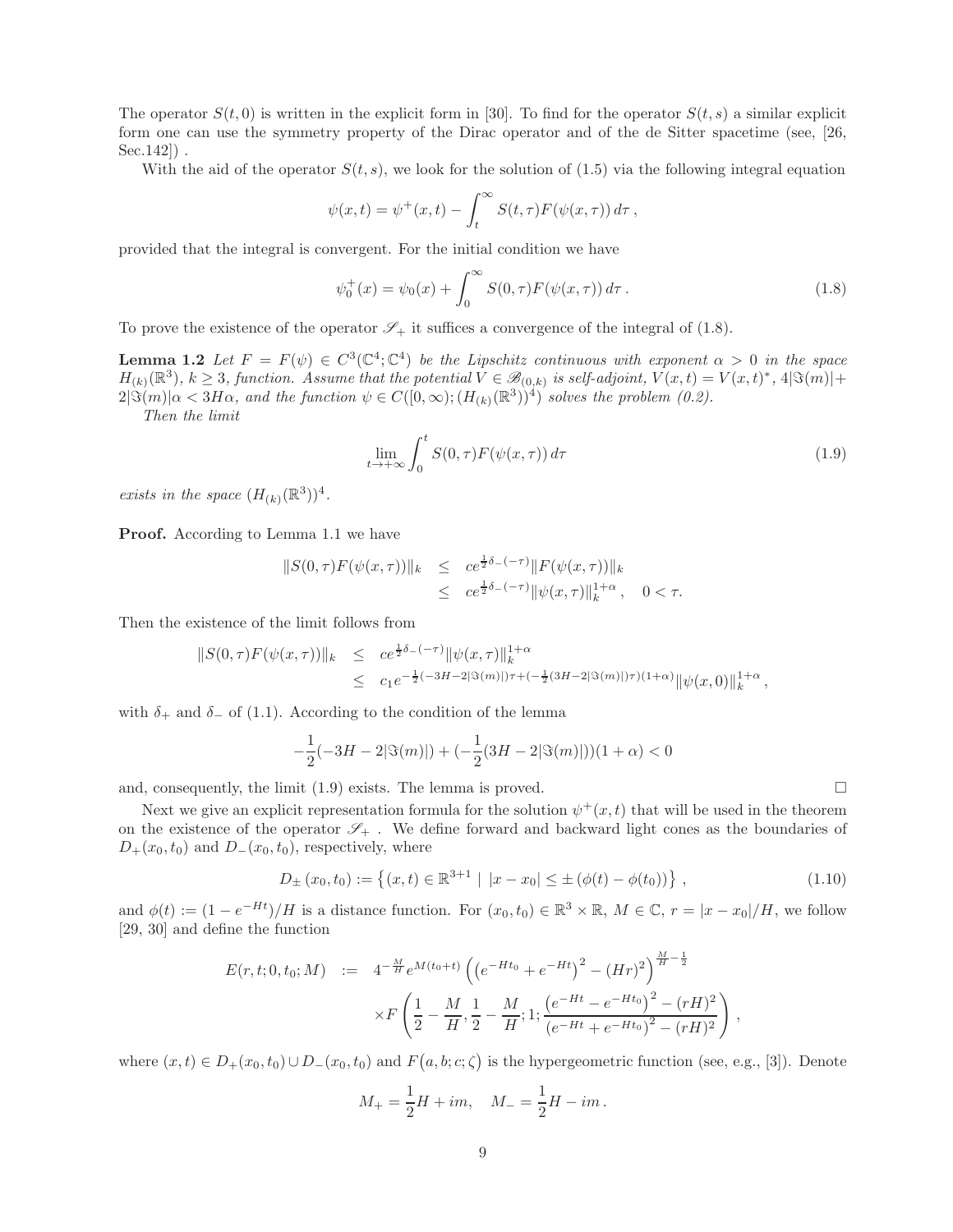The operator  $S(t, 0)$  is written in the explicit form in [30]. To find for the operator  $S(t, s)$  a similar explicit form one can use the symmetry property of the Dirac operator and of the de Sitter spacetime (see, [26, Sec.142]) .

With the aid of the operator  $S(t, s)$ , we look for the solution of (1.5) via the following integral equation

$$
\psi(x,t) = \psi^+(x,t) - \int_t^\infty S(t,\tau) F(\psi(x,\tau)) d\tau,
$$

provided that the integral is convergent. For the initial condition we have

$$
\psi_0^+(x) = \psi_0(x) + \int_0^\infty S(0, \tau) F(\psi(x, \tau)) d\tau.
$$
 (1.8)

To prove the existence of the operator  $\mathscr{S}_+$  it suffices a convergence of the integral of (1.8).

**Lemma 1.2** Let  $F = F(\psi) \in C^3(\mathbb{C}^4; \mathbb{C}^4)$  be the Lipschitz continuous with exponent  $\alpha > 0$  in the space  $H_{(k)}(\mathbb{R}^3), k \geq 3$ , function. Assume that the potential  $V \in \mathscr{B}_{(0,k)}$  is self-adjoint,  $V(x,t) = V(x,t)^*, 4|\Im(m)|+$  $2|\Im(m)|\alpha<3H\alpha$ , and the function  $\psi\in C([0,\infty); (H_{(k)}(\mathbb{R}^3))^4)$  solves the problem (0.2).

Then the limit

$$
\lim_{t \to +\infty} \int_0^t S(0,\tau) F(\psi(x,\tau)) d\tau \tag{1.9}
$$

exists in the space  $(H_{(k)}(\mathbb{R}^3))^4$ .

Proof. According to Lemma 1.1 we have

$$
||S(0,\tau)F(\psi(x,\tau))||_{k} \leq c e^{\frac{1}{2}\delta_{-}(-\tau)} ||F(\psi(x,\tau))||_{k} \leq c e^{\frac{1}{2}\delta_{-}(-\tau)} ||\psi(x,\tau)||_{k}^{1+\alpha}, \quad 0 < \tau.
$$

Then the existence of the limit follows from

$$
||S(0,\tau)F(\psi(x,\tau))||_{k} \leq c e^{\frac{1}{2}\delta_{-}(-\tau)} ||\psi(x,\tau)||_{k}^{1+\alpha}
$$
  

$$
\leq c_{1} e^{-\frac{1}{2}(-3H-2|\Im(m)|)\tau + (-\frac{1}{2}(3H-2|\Im(m)|)\tau)(1+\alpha)} ||\psi(x,0)||_{k}^{1+\alpha},
$$

with  $\delta_+$  and  $\delta_-$  of (1.1). According to the condition of the lemma

$$
-\frac{1}{2}(-3H - 2|\Im(m)|) + (-\frac{1}{2}(3H - 2|\Im(m)|))(1+\alpha) < 0
$$

and, consequently, the limit  $(1.9)$  exists. The lemma is proved.

Next we give an explicit representation formula for the solution  $\psi^+(x,t)$  that will be used in the theorem on the existence of the operator  $\mathscr{S}_+$ . We define forward and backward light cones as the boundaries of  $D_+(x_0, t_0)$  and  $D_-(x_0, t_0)$ , respectively, where

$$
D_{\pm}(x_0, t_0) := \left\{ (x, t) \in \mathbb{R}^{3+1} \mid |x - x_0| \le \pm \left( \phi(t) - \phi(t_0) \right) \right\},\tag{1.10}
$$

and  $\phi(t) := (1 - e^{-Ht})/H$  is a distance function. For  $(x_0, t_0) \in \mathbb{R}^3 \times \mathbb{R}$ ,  $M \in \mathbb{C}$ ,  $r = |x - x_0|/H$ , we follow [29, 30] and define the function

$$
E(r, t; 0, t_0; M) := 4^{-\frac{M}{H}} e^{M(t_0 + t)} \left( \left( e^{-Ht_0} + e^{-Ht} \right)^2 - (Hr)^2 \right)^{\frac{M}{H} - \frac{1}{2}} \times F\left(\frac{1}{2} - \frac{M}{H}, \frac{1}{2} - \frac{M}{H}; 1; \frac{\left(e^{-Ht} - e^{-Ht_0}\right)^2 - (rH)^2}{\left(e^{-Ht} + e^{-Ht_0}\right)^2 - (rH)^2}\right),
$$

where  $(x,t) \in D_+(x_0,t_0) \cup D_-(x_0,t_0)$  and  $F(a,b;c;\zeta)$  is the hypergeometric function (see, e.g., [3]). Denote

$$
M_{+} = \frac{1}{2}H + im, \quad M_{-} = \frac{1}{2}H - im.
$$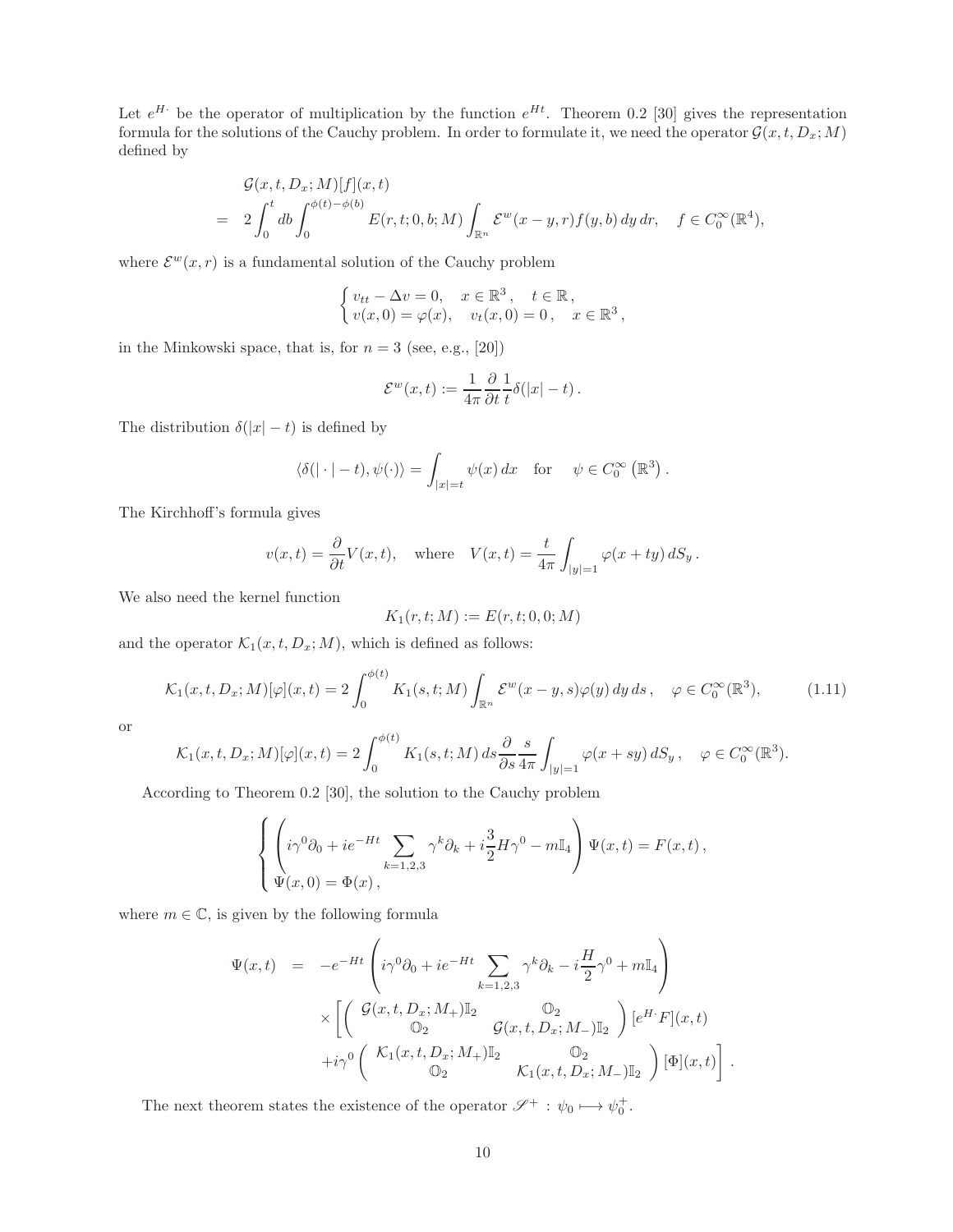Let  $e^{H}$  be the operator of multiplication by the function  $e^{Ht}$ . Theorem 0.2 [30] gives the representation formula for the solutions of the Cauchy problem. In order to formulate it, we need the operator  $\mathcal{G}(x, t, D_x; M)$ defined by

$$
\mathcal{G}(x,t,D_x;M)[f](x,t)
$$
  
= 
$$
2\int_0^t db \int_0^{\phi(t)-\phi(b)} E(r,t;0,b;M) \int_{\mathbb{R}^n} \mathcal{E}^w(x-y,r) f(y,b) dy dr, \quad f \in C_0^{\infty}(\mathbb{R}^4),
$$

where  $\mathcal{E}^w(x,r)$  is a fundamental solution of the Cauchy problem

$$
\begin{cases} v_{tt} - \Delta v = 0, & x \in \mathbb{R}^3, \quad t \in \mathbb{R}, \\ v(x, 0) = \varphi(x), & v_t(x, 0) = 0, \quad x \in \mathbb{R}^3, \end{cases}
$$

in the Minkowski space, that is, for  $n = 3$  (see, e.g., [20])

$$
\mathcal{E}^w(x,t) := \frac{1}{4\pi} \frac{\partial}{\partial t} \frac{1}{t} \delta(|x| - t).
$$

The distribution  $\delta(|x| - t)$  is defined by

$$
\langle \delta(|\cdot| - t), \psi(\cdot) \rangle = \int_{|x| = t} \psi(x) dx \quad \text{for} \quad \psi \in C_0^{\infty} \left( \mathbb{R}^3 \right).
$$

The Kirchhoff's formula gives

$$
v(x,t) = \frac{\partial}{\partial t}V(x,t)
$$
, where  $V(x,t) = \frac{t}{4\pi} \int_{|y|=1} \varphi(x+ty) dS_y$ .

We also need the kernel function

$$
K_1(r,t;M) := E(r,t;0,0;M)
$$

and the operator  $\mathcal{K}_1(x, t, D_x; M)$ , which is defined as follows:

$$
\mathcal{K}_1(x,t,D_x;M)[\varphi](x,t) = 2\int_0^{\phi(t)} K_1(s,t;M) \int_{\mathbb{R}^n} \mathcal{E}^w(x-y,s)\varphi(y) \,dy\,ds \,, \quad \varphi \in C_0^{\infty}(\mathbb{R}^3),\tag{1.11}
$$

or

$$
\mathcal{K}_1(x,t,D_x;M)[\varphi](x,t) = 2\int_0^{\phi(t)} K_1(s,t;M) ds \frac{\partial}{\partial s} \frac{s}{4\pi} \int_{|y|=1} \varphi(x+sy) dS_y, \quad \varphi \in C_0^{\infty}(\mathbb{R}^3).
$$

According to Theorem 0.2 [30], the solution to the Cauchy problem

$$
\begin{cases}\n\left(i\gamma^{0}\partial_{0} + ie^{-Ht}\sum_{k=1,2,3}\gamma^{k}\partial_{k} + i\frac{3}{2}H\gamma^{0} - m\mathbb{I}_{4}\right)\Psi(x,t) = F(x,t), \\
\Psi(x,0) = \Phi(x),\n\end{cases}
$$

where  $m \in \mathbb{C}$ , is given by the following formula

$$
\Psi(x,t) = -e^{-Ht} \left( i\gamma^0 \partial_0 + ie^{-Ht} \sum_{k=1,2,3} \gamma^k \partial_k - i \frac{H}{2} \gamma^0 + m \mathbb{I}_4 \right)
$$
  

$$
\times \left[ \begin{pmatrix} \mathcal{G}(x,t,D_x;M_+) \mathbb{I}_2 & \mathbb{O}_2 \\ \mathbb{O}_2 & \mathcal{G}(x,t,D_x;M_-) \mathbb{I}_2 \end{pmatrix} [e^{H \cdot} F](x,t) + i\gamma^0 \begin{pmatrix} \mathcal{K}_1(x,t,D_x;M_+) \mathbb{I}_2 & \mathbb{O}_2 \\ \mathbb{O}_2 & \mathcal{K}_1(x,t,D_x;M_-) \mathbb{I}_2 \end{pmatrix} [\Phi](x,t) \right]
$$

.

The next theorem states the existence of the operator  $\mathscr{S}^+$  :  $\psi_0 \longmapsto \psi_0^+$ .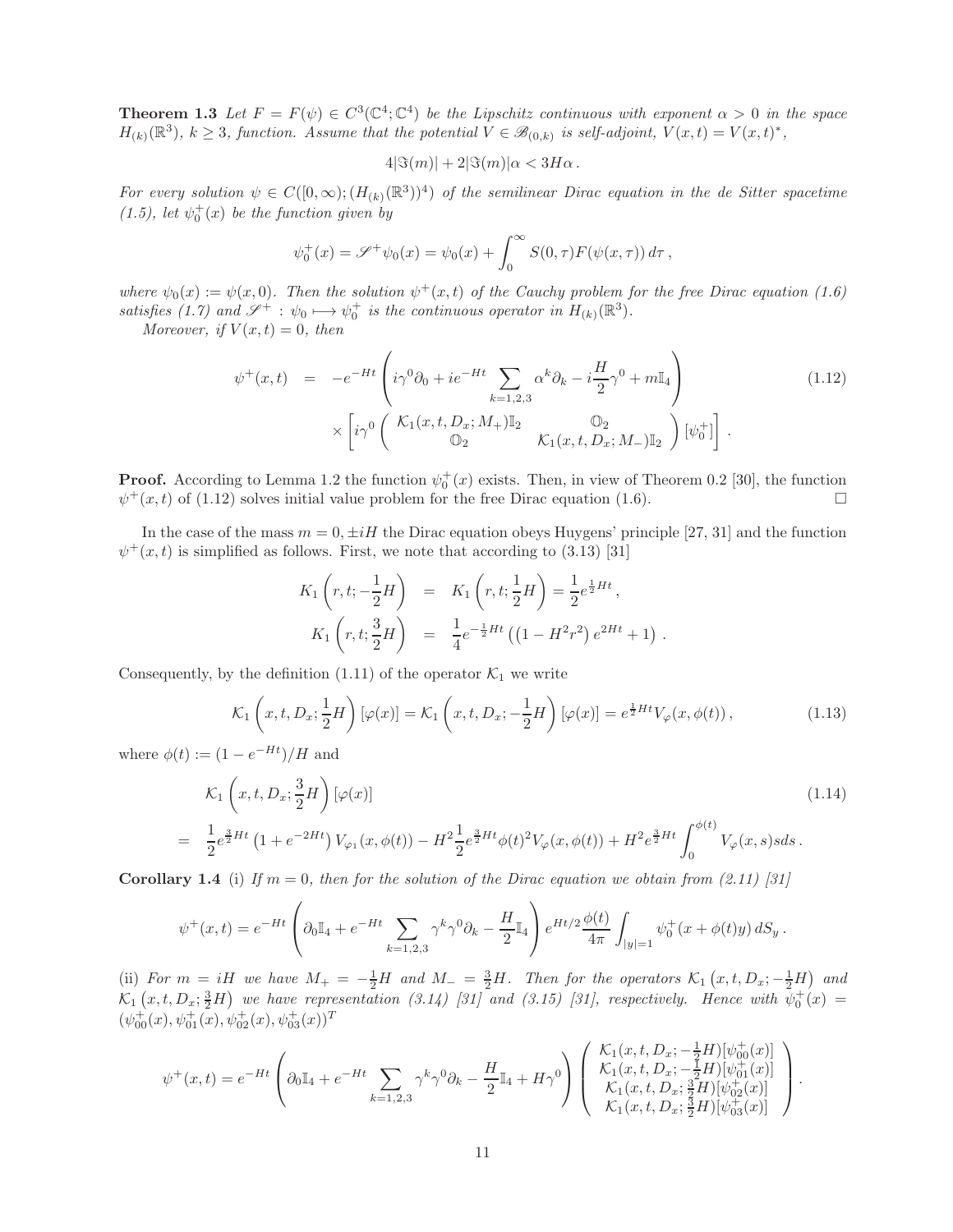**Theorem 1.3** Let  $F = F(\psi) \in C^3(\mathbb{C}^4; \mathbb{C}^4)$  be the Lipschitz continuous with exponent  $\alpha > 0$  in the space  $H_{(k)}(\mathbb{R}^3), k \geq 3$ , function. Assume that the potential  $V \in \mathscr{B}_{(0,k)}$  is self-adjoint,  $V(x,t) = V(x,t)^*,$ 

$$
4|\Im(m)| + 2|\Im(m)|\alpha < 3H\alpha.
$$

For every solution  $\psi \in C([0,\infty); (H_{(k)}(\mathbb{R}^3))^4)$  of the semilinear Dirac equation in the de Sitter spacetime  $(1.5)$ , let  $\psi_0^+(x)$  be the function given by

$$
\psi_0^+(x) = \mathscr{S}^+ \psi_0(x) = \psi_0(x) + \int_0^\infty S(0, \tau) F(\psi(x, \tau)) d\tau,
$$

where  $\psi_0(x) := \psi(x, 0)$ . Then the solution  $\psi^+(x, t)$  of the Cauchy problem for the free Dirac equation (1.6) satisfies (1.7) and  $\mathscr{S}^+$  :  $\psi_0 \longmapsto \psi_0^+$  is the continuous operator in  $H_{(k)}(\mathbb{R}^3)$ .

Moreover, if  $V(x,t) = 0$ , then

$$
\psi^+(x,t) = -e^{-Ht} \left( i\gamma^0 \partial_0 + ie^{-Ht} \sum_{k=1,2,3} \alpha^k \partial_k - i \frac{H}{2} \gamma^0 + m \mathbb{I}_4 \right) \times \left[ i\gamma^0 \begin{pmatrix} \mathcal{K}_1(x,t,D_x;M_+) \mathbb{I}_2 & \mathbb{O}_2 \\ \mathbb{O}_2 & \mathcal{K}_1(x,t,D_x;M_-) \mathbb{I}_2 \end{pmatrix} [\psi_0^+] \right]. \tag{1.12}
$$

**Proof.** According to Lemma 1.2 the function  $\psi_0^+(x)$  exists. Then, in view of Theorem 0.2 [30], the function  $\psi^+(x,t)$  of (1.12) solves initial value problem for the free Dirac equation (1.6).

In the case of the mass  $m = 0, \pm iH$  the Dirac equation obeys Huygens' principle [27, 31] and the function  $\psi^+(x,t)$  is simplified as follows. First, we note that according to (3.13) [31]

$$
K_1\left(r, t; -\frac{1}{2}H\right) = K_1\left(r, t; \frac{1}{2}H\right) = \frac{1}{2}e^{\frac{1}{2}Ht},
$$
  

$$
K_1\left(r, t; \frac{3}{2}H\right) = \frac{1}{4}e^{-\frac{1}{2}Ht}\left((1 - H^2r^2)e^{2Ht} + 1\right)
$$

Consequently, by the definition (1.11) of the operator  $\mathcal{K}_1$  we write

$$
\mathcal{K}_1\left(x,t,D_x;\frac{1}{2}H\right)\left[\varphi(x)\right] = \mathcal{K}_1\left(x,t,D_x;\frac{1}{2}H\right)\left[\varphi(x)\right] = e^{\frac{1}{2}Ht}V_\varphi(x,\phi(t)),\tag{1.13}
$$

.

where  $\phi(t) := (1 - e^{-Ht})/H$  and

$$
\mathcal{K}_1\left(x,t,D_x;\frac{3}{2}H\right)[\varphi(x)]\tag{1.14}
$$
\n
$$
=\frac{1}{2}e^{\frac{3}{2}Ht}\left(1+e^{-2Ht}\right)V_{\varphi_1}(x,\phi(t)) - H^2\frac{1}{2}e^{\frac{3}{2}Ht}\phi(t)^2V_{\varphi}(x,\phi(t)) + H^2e^{\frac{3}{2}Ht}\int_0^{\phi(t)}V_{\varphi}(x,s)sds.
$$

**Corollary 1.4** (i) If  $m = 0$ , then for the solution of the Dirac equation we obtain from (2.11) [31]

$$
\psi^+(x,t) = e^{-Ht} \left( \partial_0 \mathbb{I}_4 + e^{-Ht} \sum_{k=1,2,3} \gamma^k \gamma^0 \partial_k - \frac{H}{2} \mathbb{I}_4 \right) e^{Ht/2} \frac{\phi(t)}{4\pi} \int_{|y|=1} \psi_0^+(x+\phi(t)y) \, dS_y \, .
$$

(ii) For  $m = iH$  we have  $M_{+} = -\frac{1}{2}H$  and  $M_{-} = \frac{3}{2}H$ . Then for the operators  $\mathcal{K}_{1}(x, t, D_{x}; -\frac{1}{2}H)$  and  $\mathcal{K}_1(x,t,D_x;\frac{3}{2}H)$  we have representation (3.14) [31] and (3.15) [31], respectively. Hence with  $\psi_0^+(x)$  =  $(\psi_{00}^+(x), \psi_{01}^+(x), \psi_{02}^+(x), \psi_{03}^+(x))^T$ 

$$
\psi^+(x,t) = e^{-Ht} \left( \partial_0 \mathbb{I}_4 + e^{-Ht} \sum_{k=1,2,3} \gamma^k \gamma^0 \partial_k - \frac{H}{2} \mathbb{I}_4 + H \gamma^0 \right) \begin{pmatrix} \mathcal{K}_1(x,t,D_x; -\frac{1}{2}H)[\psi^+_{00}(x)] \\ \mathcal{K}_1(x,t,D_x; -\frac{1}{2}H)[\psi^+_{01}(x)] \\ \mathcal{K}_1(x,t,D_x; \frac{3}{2}H)[\psi^+_{02}(x)] \\ \mathcal{K}_1(x,t,D_x; \frac{3}{2}H)[\psi^+_{03}(x)] \end{pmatrix}.
$$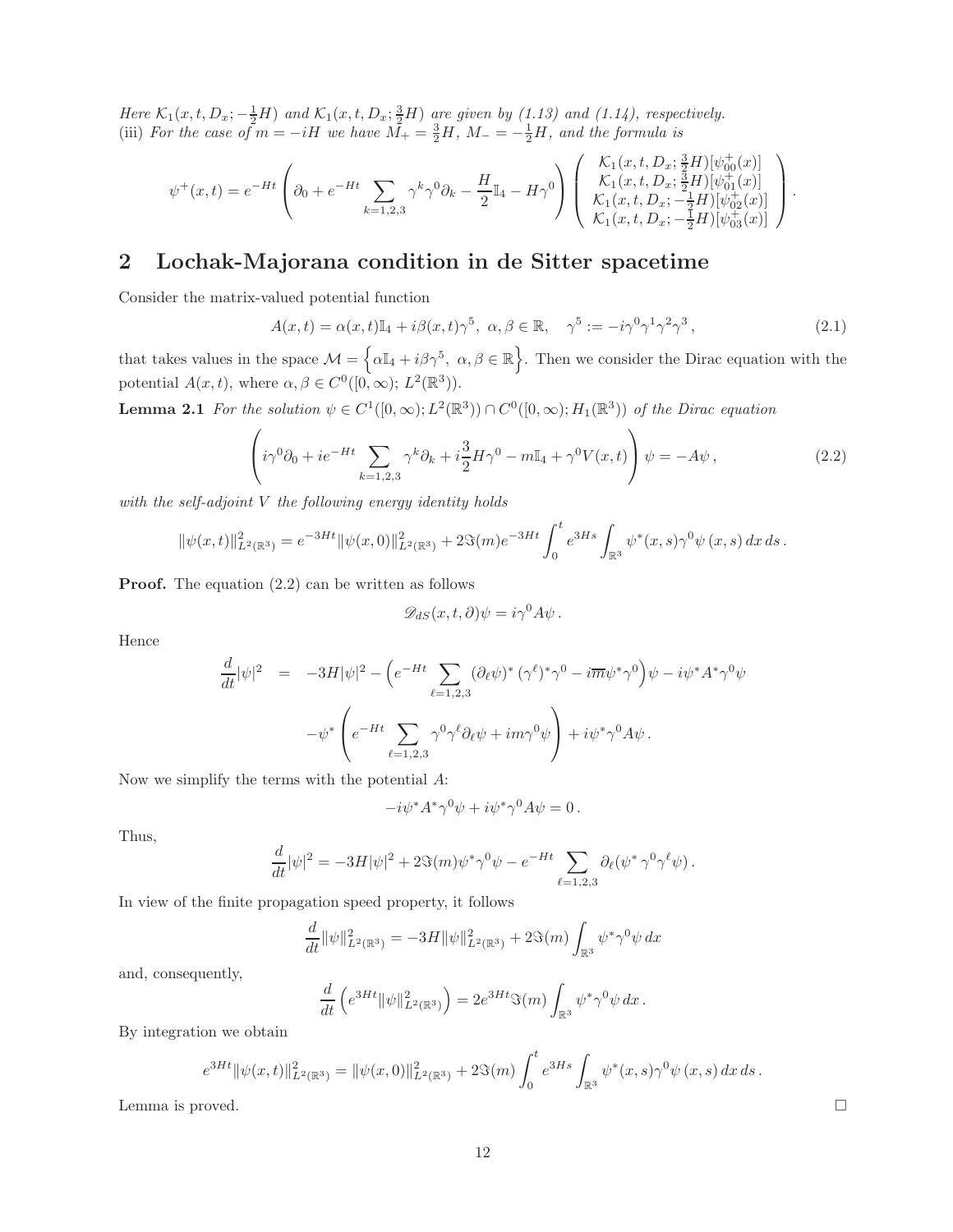Here  $\mathcal{K}_1(x,t,D_x; -\frac{1}{2}H)$  and  $\mathcal{K}_1(x,t,D_x;\frac{3}{2}H)$  are given by (1.13) and (1.14), respectively. (iii) For the case of  $m = -iH$  we have  $\overline{M}_+ = \frac{3}{2}H$ ,  $M_- = -\frac{1}{2}H$ , and the formula is

$$
\psi^+(x,t) = e^{-Ht} \left( \partial_0 + e^{-Ht} \sum_{k=1,2,3} \gamma^k \gamma^0 \partial_k - \frac{H}{2} \mathbb{I}_4 - H\gamma^0 \right) \begin{pmatrix} \mathcal{K}_1(x,t,D_x; \frac{3}{2}H)[\psi^+_{00}(x)] \\ \mathcal{K}_1(x,t,D_x; \frac{3}{2}H)[\psi^+_{01}(x)] \\ \mathcal{K}_1(x,t,D_x; -\frac{1}{2}H)[\psi^+_{02}(x)] \\ \mathcal{K}_1(x,t,D_x; -\frac{1}{2}H)[\psi^+_{02}(x)] \end{pmatrix}.
$$

### 2 Lochak-Majorana condition in de Sitter spacetime

Consider the matrix-valued potential function

$$
A(x,t) = \alpha(x,t)\mathbb{I}_4 + i\beta(x,t)\gamma^5, \ \alpha, \beta \in \mathbb{R}, \quad \gamma^5 := -i\gamma^0\gamma^1\gamma^2\gamma^3, \tag{2.1}
$$

that takes values in the space  $\mathcal{M} = \{\alpha \mathbb{I}_4 + i \beta \gamma^5, \ \alpha, \beta \in \mathbb{R}\}\.$  Then we consider the Dirac equation with the potential  $A(x, t)$ , where  $\alpha, \beta \in C^0([0, \infty); L^2(\mathbb{R}^3))$ .

**Lemma 2.1** For the solution  $\psi \in C^1([0,\infty); L^2(\mathbb{R}^3)) \cap C^0([0,\infty); H_1(\mathbb{R}^3))$  of the Dirac equation

$$
\left(i\gamma^0\partial_0 + ie^{-Ht}\sum_{k=1,2,3}\gamma^k\partial_k + i\frac{3}{2}H\gamma^0 - m\mathbb{I}_4 + \gamma^0 V(x,t)\right)\psi = -A\psi\,,\tag{2.2}
$$

with the self-adjoint V the following energy identity holds

$$
\|\psi(x,t)\|_{L^2(\mathbb{R}^3)}^2 = e^{-3Ht} \|\psi(x,0)\|_{L^2(\mathbb{R}^3)}^2 + 2\Im(m)e^{-3Ht} \int_0^t e^{3Hs} \int_{\mathbb{R}^3} \psi^*(x,s)\gamma^0 \psi(x,s) \,dx\,ds.
$$

**Proof.** The equation  $(2.2)$  can be written as follows

$$
\mathscr{D}_{dS}(x,t,\partial)\psi = i\gamma^0 A\psi.
$$

Hence

$$
\frac{d}{dt}|\psi|^2 = -3H|\psi|^2 - \left(e^{-Ht} \sum_{\ell=1,2,3} (\partial_\ell \psi)^* (\gamma^\ell)^* \gamma^0 - i \overline{m} \psi^* \gamma^0 \right) \psi - i \psi^* A^* \gamma^0 \psi
$$

$$
-\psi^* \left(e^{-Ht} \sum_{\ell=1,2,3} \gamma^0 \gamma^\ell \partial_\ell \psi + i m \gamma^0 \psi \right) + i \psi^* \gamma^0 A \psi.
$$

Now we simplify the terms with the potential A:

$$
-i\psi^*A^*\gamma^0\psi+i\psi^*\gamma^0A\psi=0\,.
$$

Thus,

$$
\frac{d}{dt}|\psi|^2 = -3H|\psi|^2 + 2\Im(m)\psi^*\gamma^0\psi - e^{-Ht}\sum_{\ell=1,2,3} \partial_\ell(\psi^*\gamma^0\gamma^\ell\psi).
$$

In view of the finite propagation speed property, it follows

$$
\frac{d}{dt} \|\psi\|_{L^2(\mathbb{R}^3)}^2 = -3H \|\psi\|_{L^2(\mathbb{R}^3)}^2 + 2\Im(m) \int_{\mathbb{R}^3} \psi^* \gamma^0 \psi \, dx
$$

and, consequently,

$$
\frac{d}{dt}\left(e^{3Ht} \|\psi\|_{L^2(\mathbb{R}^3)}^2\right) = 2e^{3Ht} \Im(m) \int_{\mathbb{R}^3} \psi^* \gamma^0 \psi \, dx \, .
$$

By integration we obtain

$$
e^{3Ht} \|\psi(x,t)\|_{L^2(\mathbb{R}^3)}^2 = \|\psi(x,0)\|_{L^2(\mathbb{R}^3)}^2 + 2\Im(m) \int_0^t e^{3Hs} \int_{\mathbb{R}^3} \psi^*(x,s) \gamma^0 \psi(x,s) \, dx \, ds \, .
$$

Lemma is proved.  $\square$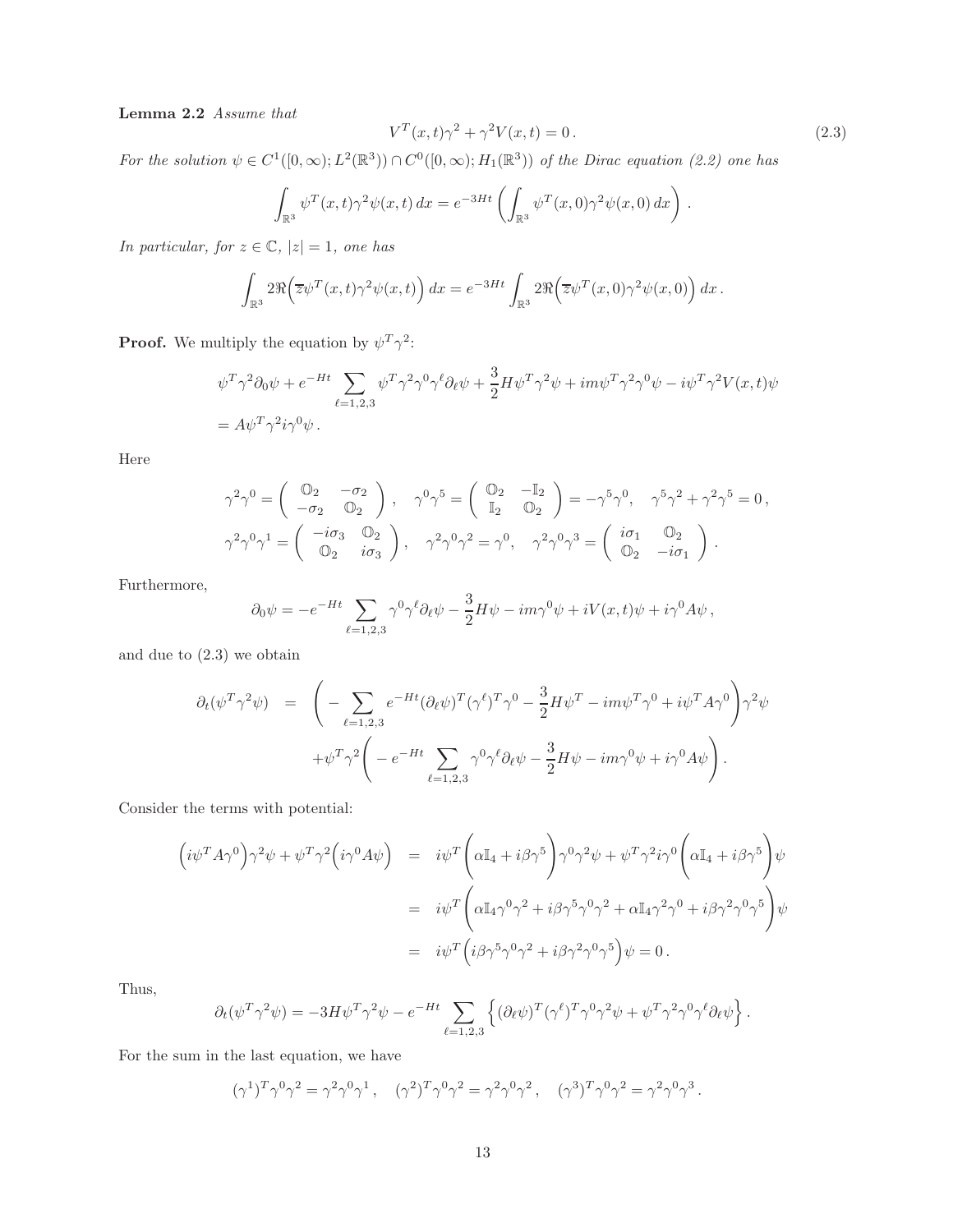Lemma 2.2 Assume that

$$
V^T(x,t)\gamma^2 + \gamma^2 V(x,t) = 0.
$$
\n
$$
(2.3)
$$

For the solution  $\psi \in C^1([0,\infty); L^2(\mathbb{R}^3)) \cap C^0([0,\infty); H_1(\mathbb{R}^3))$  of the Dirac equation (2.2) one has

$$
\int_{\mathbb{R}^3} \psi^T(x,t) \gamma^2 \psi(x,t) dx = e^{-3Ht} \left( \int_{\mathbb{R}^3} \psi^T(x,0) \gamma^2 \psi(x,0) dx \right).
$$

In particular, for  $z \in \mathbb{C}$ ,  $|z| = 1$ , one has

$$
\int_{\mathbb{R}^3} 2\Re\Big(\overline{z}\psi^T(x,t)\gamma^2\psi(x,t)\Big)\,dx = e^{-3Ht}\int_{\mathbb{R}^3} 2\Re\Big(\overline{z}\psi^T(x,0)\gamma^2\psi(x,0)\Big)\,dx\,.
$$

**Proof.** We multiply the equation by  $\psi^T \gamma^2$ :

$$
\psi^T \gamma^2 \partial_0 \psi + e^{-Ht} \sum_{\ell=1,2,3} \psi^T \gamma^2 \gamma^0 \gamma^{\ell} \partial_{\ell} \psi + \frac{3}{2} H \psi^T \gamma^2 \psi + im \psi^T \gamma^2 \gamma^0 \psi - i \psi^T \gamma^2 V(x,t) \psi
$$
  
=  $A \psi^T \gamma^2 i \gamma^0 \psi$ .

Here

$$
\gamma^2 \gamma^0 = \begin{pmatrix} \mathbb{O}_2 & -\sigma_2 \\ -\sigma_2 & \mathbb{O}_2 \end{pmatrix}, \quad \gamma^0 \gamma^5 = \begin{pmatrix} \mathbb{O}_2 & -\mathbb{I}_2 \\ \mathbb{I}_2 & \mathbb{O}_2 \end{pmatrix} = -\gamma^5 \gamma^0, \quad \gamma^5 \gamma^2 + \gamma^2 \gamma^5 = 0,
$$
  

$$
\gamma^2 \gamma^0 \gamma^1 = \begin{pmatrix} -i\sigma_3 & \mathbb{O}_2 \\ \mathbb{O}_2 & i\sigma_3 \end{pmatrix}, \quad \gamma^2 \gamma^0 \gamma^2 = \gamma^0, \quad \gamma^2 \gamma^0 \gamma^3 = \begin{pmatrix} i\sigma_1 & \mathbb{O}_2 \\ \mathbb{O}_2 & -i\sigma_1 \end{pmatrix}.
$$

Furthermore,

$$
\partial_0 \psi = -e^{-Ht} \sum_{\ell=1,2,3} \gamma^0 \gamma^{\ell} \partial_{\ell} \psi - \frac{3}{2} H \psi - im \gamma^0 \psi + iV(x,t) \psi + i \gamma^0 A \psi,
$$

and due to (2.3) we obtain

$$
\partial_t(\psi^T \gamma^2 \psi) = \left( - \sum_{\ell=1,2,3} e^{-Ht} (\partial_\ell \psi)^T (\gamma^\ell)^T \gamma^0 - \frac{3}{2} H \psi^T - im \psi^T \gamma^0 + i \psi^T A \gamma^0 \right) \gamma^2 \psi + \psi^T \gamma^2 \left( -e^{-Ht} \sum_{\ell=1,2,3} \gamma^0 \gamma^\ell \partial_\ell \psi - \frac{3}{2} H \psi - im \gamma^0 \psi + i \gamma^0 A \psi \right).
$$

Consider the terms with potential:

$$
\begin{split}\n\left(i\psi^T A\gamma^0\right)\gamma^2\psi + \psi^T\gamma^2\left(i\gamma^0 A\psi\right) &= i\psi^T\left(\alpha\mathbb{I}_4 + i\beta\gamma^5\right)\gamma^0\gamma^2\psi + \psi^T\gamma^2i\gamma^0\left(\alpha\mathbb{I}_4 + i\beta\gamma^5\right)\psi \\
&= i\psi^T\left(\alpha\mathbb{I}_4\gamma^0\gamma^2 + i\beta\gamma^5\gamma^0\gamma^2 + \alpha\mathbb{I}_4\gamma^2\gamma^0 + i\beta\gamma^2\gamma^0\gamma^5\right)\psi \\
&= i\psi^T\left(i\beta\gamma^5\gamma^0\gamma^2 + i\beta\gamma^2\gamma^0\gamma^5\right)\psi = 0\,. \n\end{split}
$$

Thus,

$$
\partial_t(\psi^T\gamma^2\psi) = -3H\psi^T\gamma^2\psi - e^{-Ht}\sum_{\ell=1,2,3}\left\{(\partial_\ell\psi)^T(\gamma^\ell)^T\gamma^0\gamma^2\psi + \psi^T\gamma^2\gamma^0\gamma^\ell\partial_\ell\psi\right\}.
$$

For the sum in the last equation, we have

$$
(\gamma^{1})^{T} \gamma^{0} \gamma^{2} = \gamma^{2} \gamma^{0} \gamma^{1}, \quad (\gamma^{2})^{T} \gamma^{0} \gamma^{2} = \gamma^{2} \gamma^{0} \gamma^{2}, \quad (\gamma^{3})^{T} \gamma^{0} \gamma^{2} = \gamma^{2} \gamma^{0} \gamma^{3}.
$$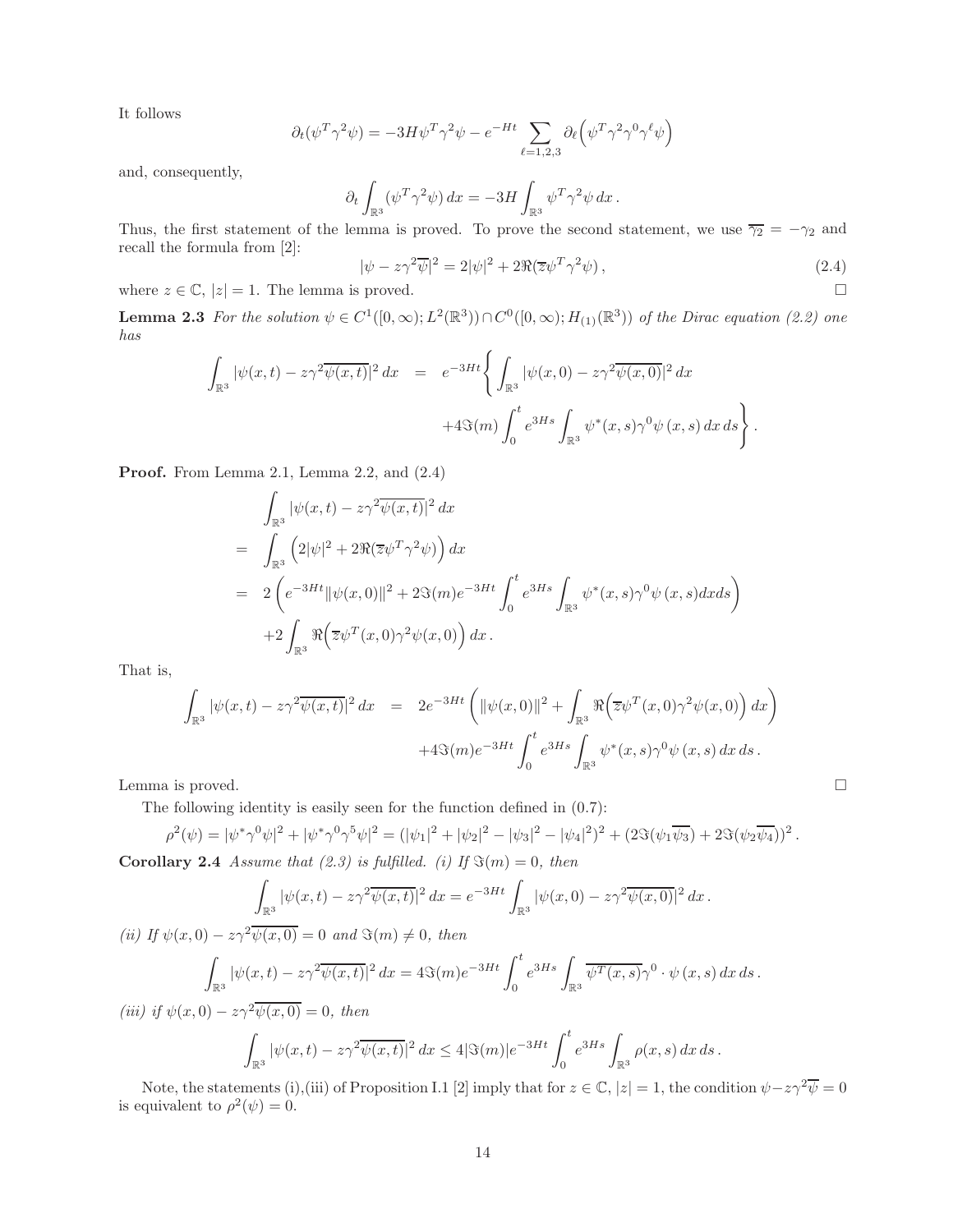It follows

$$
\partial_t(\psi^T\gamma^2\psi) = -3H\psi^T\gamma^2\psi - e^{-Ht}\sum_{\ell=1,2,3}\partial_\ell\Bigl(\psi^T\gamma^2\gamma^0\gamma^\ell\psi\Bigr)
$$

and, consequently,

$$
\partial_t \int_{\mathbb{R}^3} (\psi^T \gamma^2 \psi) dx = -3H \int_{\mathbb{R}^3} \psi^T \gamma^2 \psi dx.
$$

Thus, the first statement of the lemma is proved. To prove the second statement, we use  $\overline{\gamma_2} = -\gamma_2$  and recall the formula from [2]:

$$
|\psi - z\gamma^2 \overline{\psi}|^2 = 2|\psi|^2 + 2\Re(\overline{z}\psi^T \gamma^2 \psi), \qquad (2.4)
$$

where  $z \in \mathbb{C}$ ,  $|z| = 1$ . The lemma is proved.

**Lemma 2.3** For the solution  $\psi \in C^1([0,\infty); L^2(\mathbb{R}^3)) \cap C^0([0,\infty); H_{(1)}(\mathbb{R}^3))$  of the Dirac equation (2.2) one has

$$
\int_{\mathbb{R}^3} |\psi(x,t) - z\gamma^2 \overline{\psi(x,t)}|^2 dx = e^{-3Ht} \left\{ \int_{\mathbb{R}^3} |\psi(x,0) - z\gamma^2 \overline{\psi(x,0)}|^2 dx + 4\Im(m) \int_0^t e^{3Hs} \int_{\mathbb{R}^3} \psi^*(x,s) \gamma^0 \psi(x,s) dx ds \right\}.
$$

Proof. From Lemma 2.1, Lemma 2.2, and  $(2.4)$ 

$$
\int_{\mathbb{R}^3} |\psi(x,t) - z\gamma^2 \overline{\psi(x,t)}|^2 dx
$$
\n
$$
= \int_{\mathbb{R}^3} (2|\psi|^2 + 2\Re(\overline{z}\psi^T \gamma^2 \psi)) dx
$$
\n
$$
= 2 \left( e^{-3Ht} ||\psi(x,0)||^2 + 2\Im(m)e^{-3Ht} \int_0^t e^{3Hs} \int_{\mathbb{R}^3} \psi^*(x,s)\gamma^0 \psi(x,s) dx ds \right)
$$
\n
$$
+ 2 \int_{\mathbb{R}^3} \Re(\overline{z}\psi^T(x,0)\gamma^2 \psi(x,0)) dx.
$$

That is,

$$
\int_{\mathbb{R}^3} |\psi(x,t) - z\gamma^2 \overline{\psi(x,t)}|^2 dx = 2e^{-3Ht} \left( ||\psi(x,0)||^2 + \int_{\mathbb{R}^3} \Re(\overline{z}\psi^T(x,0)\gamma^2 \psi(x,0)) dx \right)
$$
  
+4\Im(m)e^{-3Ht} \int\_0^t e^{3Hs} \int\_{\mathbb{R}^3} \psi^\*(x,s)\gamma^0 \psi(x,s) dx ds.  
Lemma is proved.

The following identity is easily seen for the function defined in (0.7):

$$
\rho^2(\psi) = |\psi^* \gamma^0 \psi|^2 + |\psi^* \gamma^0 \gamma^5 \psi|^2 = (|\psi_1|^2 + |\psi_2|^2 - |\psi_3|^2 - |\psi_4|^2)^2 + (2 \Im(\psi_1 \overline{\psi_3}) + 2 \Im(\psi_2 \overline{\psi_4}))^2.
$$
  
Corollary 2.4 Assume that (2.3) is fulfilled. (i) If  $\Im(m) = 0$ , then

$$
\int |y(x +) - \infty^2 \frac{2y(x +)}{2} dx = e^{-3Ht} \int |y(x +) - \infty^2
$$

$$
\int_{\mathbb{R}^3} |\psi(x,t) - z\gamma^2 \overline{\psi(x,t)}|^2 dx = e^{-3Ht} \int_{\mathbb{R}^3} |\psi(x,0) - z\gamma^2 \overline{\psi(x,0)}|^2 dx.
$$
  
(ii) If  $\psi(x,0) - z\gamma^2 \overline{\psi(x,0)} = 0$  and  $\Im(m) \neq 0$ , then  

$$
\int_{\mathbb{R}^3} |\psi(x,t) - z\gamma^2 \overline{\psi(x,t)}|^2 dx = 4\Im(m)e^{-3Ht} \int_0^t e^{3Hs} \int_{\mathbb{R}^3} \overline{\psi^T(x,s)} \gamma^0 \cdot \psi(x,s) dx ds.
$$

(iii) if 
$$
\psi(x, 0) - z\gamma^2 \overline{\psi(x, 0)} = 0
$$
, then  

$$
\int_{\mathbb{R}^3} |\psi(x, t) - z\gamma^2 \overline{\psi(x, t)}|^2 dx \le 4|\Im(m)|e^{-3Ht} \int_0^t e^{3Hs} \int_{\mathbb{R}^3} \rho(x, s) dx ds.
$$

Note, the statements (i),(iii) of Proposition I.1 [2] imply that for  $z \in \mathbb{C}$ ,  $|z| = 1$ , the condition  $\psi - z\gamma^2 \overline{\psi} = 0$ is equivalent to  $\rho^2(\psi) = 0$ .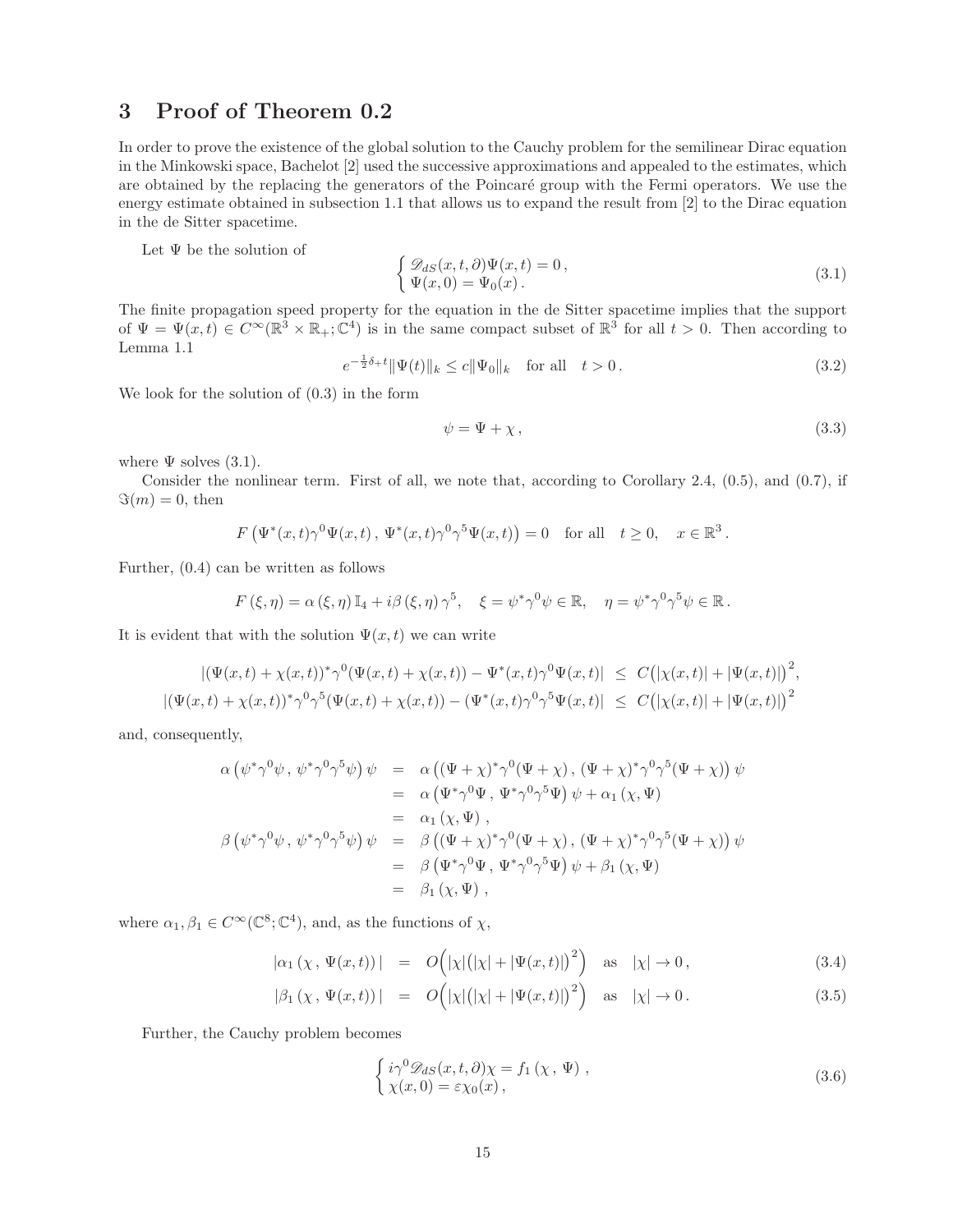### 3 Proof of Theorem 0.2

In order to prove the existence of the global solution to the Cauchy problem for the semilinear Dirac equation in the Minkowski space, Bachelot [2] used the successive approximations and appealed to the estimates, which are obtained by the replacing the generators of the Poincaré group with the Fermi operators. We use the energy estimate obtained in subsection 1.1 that allows us to expand the result from [2] to the Dirac equation in the de Sitter spacetime.

Let  $\Psi$  be the solution of

$$
\begin{cases} \mathcal{D}_{dS}(x,t,\partial)\Psi(x,t) = 0, \\ \Psi(x,0) = \Psi_0(x). \end{cases}
$$
\n(3.1)

The finite propagation speed property for the equation in the de Sitter spacetime implies that the support of  $\Psi = \Psi(x,t) \in C^{\infty}(\mathbb{R}^3 \times \mathbb{R}_+;\mathbb{C}^4)$  is in the same compact subset of  $\mathbb{R}^3$  for all  $t > 0$ . Then according to Lemma 1.1

$$
e^{-\frac{1}{2}\delta_{+}t} \|\Psi(t)\|_{k} \le c \|\Psi_{0}\|_{k} \quad \text{for all} \quad t > 0.
$$
\n(3.2)

We look for the solution of (0.3) in the form

$$
\psi = \Psi + \chi, \tag{3.3}
$$

where  $\Psi$  solves (3.1).

Consider the nonlinear term. First of all, we note that, according to Corollary 2.4, (0.5), and (0.7), if  $\Im(m) = 0$ , then

$$
F\left(\Psi^*(x,t)\gamma^0\Psi(x,t),\ \Psi^*(x,t)\gamma^0\gamma^5\Psi(x,t)\right)=0\quad\text{for all}\quad t\geq 0,\quad x\in\mathbb{R}^3\,.
$$

Further, (0.4) can be written as follows

$$
F(\xi, \eta) = \alpha(\xi, \eta) \mathbb{I}_4 + i\beta(\xi, \eta) \gamma^5, \quad \xi = \psi^* \gamma^0 \psi \in \mathbb{R}, \quad \eta = \psi^* \gamma^0 \gamma^5 \psi \in \mathbb{R}.
$$

It is evident that with the solution  $\Psi(x, t)$  we can write

$$
|(\Psi(x,t) + \chi(x,t))^* \gamma^0 (\Psi(x,t) + \chi(x,t)) - \Psi^*(x,t) \gamma^0 \Psi(x,t)| \leq C(|\chi(x,t)| + |\Psi(x,t)|)^2,
$$
  

$$
|(\Psi(x,t) + \chi(x,t))^* \gamma^0 \gamma^5 (\Psi(x,t) + \chi(x,t)) - (\Psi^*(x,t) \gamma^0 \gamma^5 \Psi(x,t)| \leq C(|\chi(x,t)| + |\Psi(x,t)|)^2
$$

and, consequently,

$$
\alpha (\psi^* \gamma^0 \psi, \psi^* \gamma^0 \gamma^5 \psi) \psi = \alpha ((\Psi + \chi)^* \gamma^0 (\Psi + \chi), (\Psi + \chi)^* \gamma^0 \gamma^5 (\Psi + \chi)) \psi \n= \alpha (\Psi^* \gamma^0 \Psi, \Psi^* \gamma^0 \gamma^5 \Psi) \psi + \alpha_1 (\chi, \Psi) \n= \alpha_1 (\chi, \Psi) , \n\beta (\psi^* \gamma^0 \psi, \psi^* \gamma^0 \gamma^5 \psi) \psi = \beta ((\Psi + \chi)^* \gamma^0 (\Psi + \chi), (\Psi + \chi)^* \gamma^0 \gamma^5 (\Psi + \chi)) \psi \n= \beta (\Psi^* \gamma^0 \Psi, \Psi^* \gamma^0 \gamma^5 \Psi) \psi + \beta_1 (\chi, \Psi) \n= \beta_1 (\chi, \Psi) ,
$$

where  $\alpha_1, \beta_1 \in C^{\infty}(\mathbb{C}^8; \mathbb{C}^4)$ , and, as the functions of  $\chi$ ,

$$
|\alpha_1(\chi, \Psi(x, t))| = O(|\chi|(|\chi| + |\Psi(x, t)|)^2) \text{ as } |\chi| \to 0,
$$
\n(3.4)

$$
|\beta_1(\chi, \Psi(x, t))| = O\left(|\chi|(|\chi| + |\Psi(x, t)|)^2\right) \text{ as } |\chi| \to 0. \tag{3.5}
$$

Further, the Cauchy problem becomes

$$
\begin{cases}\ni\gamma^{0}\mathscr{D}_{dS}(x,t,\partial)\chi=f_{1}\left(\chi,\Psi\right),\\ \chi(x,0)=\varepsilon\chi_{0}(x),\end{cases}
$$
\n(3.6)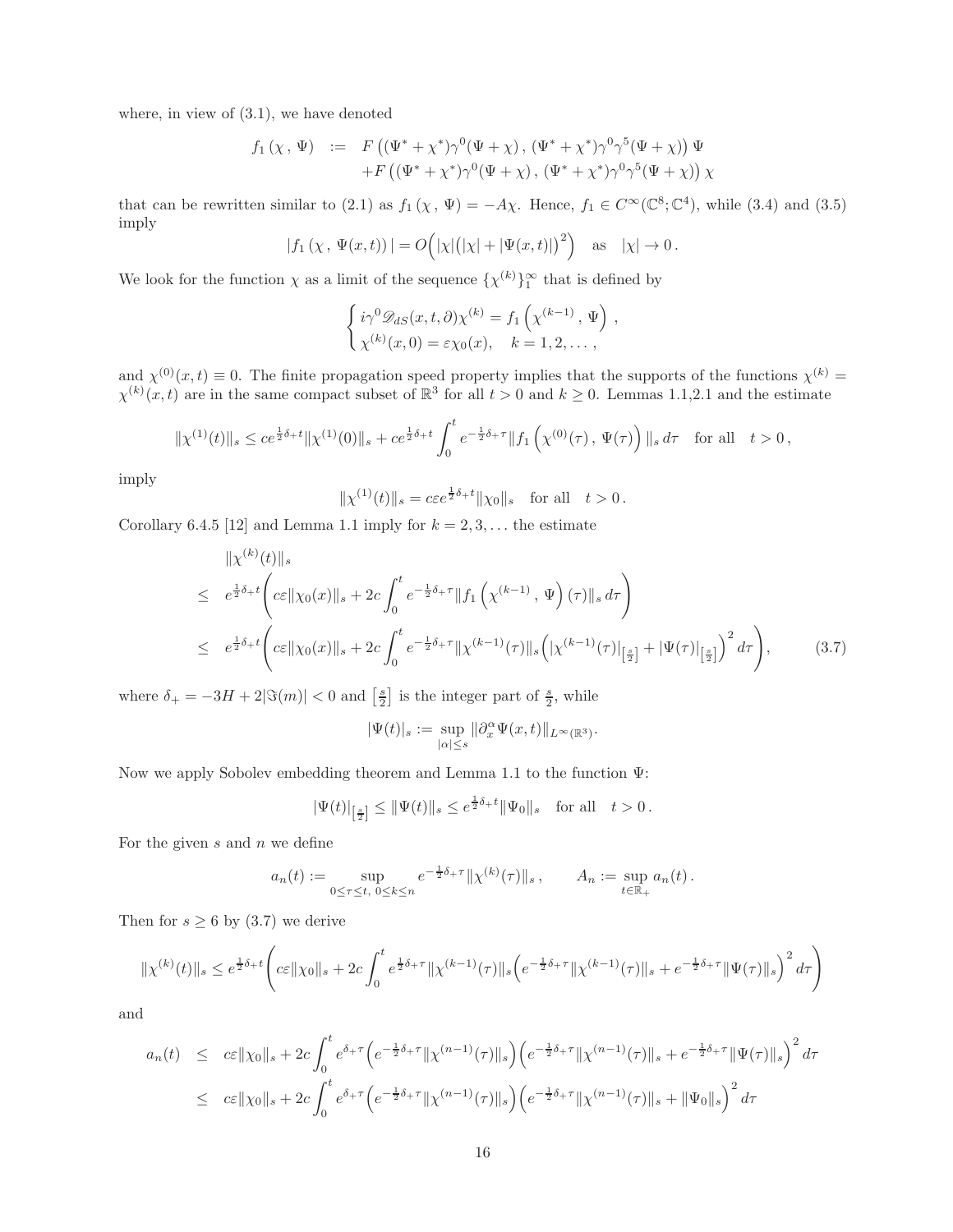where, in view of (3.1), we have denoted

$$
f_1(\chi, \Psi) := F((\Psi^* + \chi^*)\gamma^0(\Psi + \chi), (\Psi^* + \chi^*)\gamma^0\gamma^5(\Psi + \chi))\Psi + F((\Psi^* + \chi^*)\gamma^0(\Psi + \chi), (\Psi^* + \chi^*)\gamma^0\gamma^5(\Psi + \chi))\chi
$$

that can be rewritten similar to (2.1) as  $f_1(\chi, \Psi) = -A\chi$ . Hence,  $f_1 \in C^\infty(\mathbb{C}^8; \mathbb{C}^4)$ , while (3.4) and (3.5) imply

$$
|f_1(\chi, \Psi(x,t))| = O(|\chi|(|\chi| + |\Psi(x,t)|)^2)
$$
 as  $|\chi| \to 0$ .

We look for the function  $\chi$  as a limit of the sequence  $\{\chi^{(k)}\}_{1}^{\infty}$  that is defined by

$$
\begin{cases}\ni\gamma^0 \mathscr{D}_{dS}(x,t,\partial)\chi^{(k)} = f_1\left(\chi^{(k-1)},\Psi\right),\\ \chi^{(k)}(x,0) = \varepsilon\chi_0(x), \quad k = 1,2,\dots,\n\end{cases}
$$

and  $\chi^{(0)}(x,t) \equiv 0$ . The finite propagation speed property implies that the supports of the functions  $\chi^{(k)}$  $\chi^{(k)}(x,t)$  are in the same compact subset of  $\mathbb{R}^3$  for all  $t > 0$  and  $k \geq 0$ . Lemmas 1.1,2.1 and the estimate

$$
\|\chi^{(1)}(t)\|_{s} \le c e^{\frac{1}{2}\delta_{+}t} \|\chi^{(1)}(0)\|_{s} + c e^{\frac{1}{2}\delta_{+}t} \int_{0}^{t} e^{-\frac{1}{2}\delta_{+}\tau} \|f_{1}\left(\chi^{(0)}(\tau), \Psi(\tau)\right)\|_{s} d\tau \quad \text{for all} \quad t > 0,
$$

imply

$$
\|\chi^{(1)}(t)\|_{s} = c\varepsilon e^{\frac{1}{2}\delta_{+}t}\|\chi_{0}\|_{s}
$$
 for all  $t > 0$ .

Corollary 6.4.5 [12] and Lemma 1.1 imply for  $k = 2, 3, \ldots$  the estimate

$$
\| \chi^{(k)}(t) \|_{s}
$$
\n
$$
\leq e^{\frac{1}{2}\delta_{+}t} \left( c\varepsilon \| \chi_{0}(x) \|_{s} + 2c \int_{0}^{t} e^{-\frac{1}{2}\delta_{+}\tau} \| f_{1} \left( \chi^{(k-1)}, \Psi \right) (\tau) \|_{s} d\tau \right)
$$
\n
$$
\leq e^{\frac{1}{2}\delta_{+}t} \left( c\varepsilon \| \chi_{0}(x) \|_{s} + 2c \int_{0}^{t} e^{-\frac{1}{2}\delta_{+}\tau} \| \chi^{(k-1)}(\tau) \|_{s} \left( \left| \chi^{(k-1)}(\tau) \right|_{\left[\frac{s}{2}\right]} + \left| \Psi(\tau) \right|_{\left[\frac{s}{2}\right]} \right)^{2} d\tau \right), \tag{3.7}
$$

where  $\delta_+ = -3H + 2|\Im(m)| < 0$  and  $\left[\frac{s}{2}\right]$  is the integer part of  $\frac{s}{2}$ , while

$$
|\Psi(t)|_s:=\sup_{|\alpha|\leq s}\|\partial_x^\alpha\Psi(x,t)\|_{L^\infty(\mathbb{R}^3)}.
$$

Now we apply Sobolev embedding theorem and Lemma 1.1 to the function Ψ:

$$
|\Psi(t)|_{\left[\frac{s}{2}\right]} \leq ||\Psi(t)||_s \leq e^{\frac{1}{2}\delta_t t} ||\Psi_0||_s \text{ for all } t > 0.
$$

For the given  $s$  and  $n$  we define

$$
a_n(t) := \sup_{0 \le \tau \le t, \ 0 \le k \le n} e^{-\frac{1}{2}\delta + \tau} ||\chi^{(k)}(\tau)||_s \,, \qquad A_n := \sup_{t \in \mathbb{R}_+} a_n(t) \,.
$$

Then for  $s \geq 6$  by (3.7) we derive

$$
\|\chi^{(k)}(t)\|_{s} \leq e^{\frac{1}{2}\delta_{+}t} \left( c\varepsilon \|\chi_{0}\|_{s} + 2c \int_{0}^{t} e^{\frac{1}{2}\delta_{+}\tau} \|\chi^{(k-1)}(\tau)\|_{s} \left( e^{-\frac{1}{2}\delta_{+}\tau} \|\chi^{(k-1)}(\tau)\|_{s} + e^{-\frac{1}{2}\delta_{+}\tau} \|\Psi(\tau)\|_{s} \right)^{2} d\tau \right)
$$

and

$$
a_n(t) \leq c\varepsilon ||\chi_0||_s + 2c \int_0^t e^{\delta_+\tau} \Big(e^{-\frac{1}{2}\delta_+\tau} ||\chi^{(n-1)}(\tau)||_s\Big) \Big(e^{-\frac{1}{2}\delta_+\tau} ||\chi^{(n-1)}(\tau)||_s + e^{-\frac{1}{2}\delta_+\tau} ||\Psi(\tau)||_s\Big)^2 d\tau
$$
  

$$
\leq c\varepsilon ||\chi_0||_s + 2c \int_0^t e^{\delta_+\tau} \Big(e^{-\frac{1}{2}\delta_+\tau} ||\chi^{(n-1)}(\tau)||_s\Big) \Big(e^{-\frac{1}{2}\delta_+\tau} ||\chi^{(n-1)}(\tau)||_s + ||\Psi_0||_s\Big)^2 d\tau
$$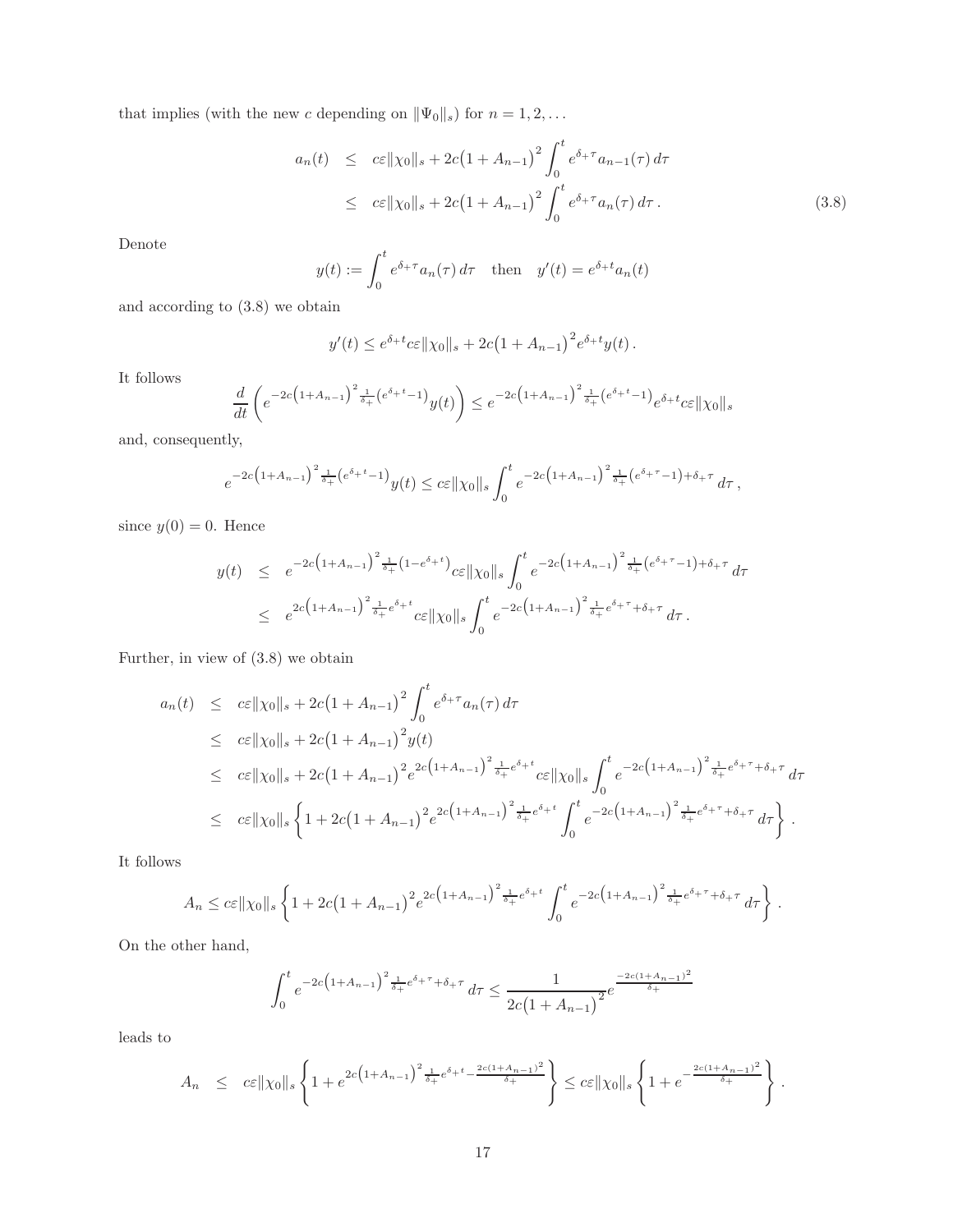that implies (with the new c depending on  $\|\Psi_0\|_s$ ) for  $n = 1, 2, ...$ 

$$
a_n(t) \leq c\varepsilon ||\chi_0||_s + 2c(1 + A_{n-1})^2 \int_0^t e^{\delta_+\tau} a_{n-1}(\tau) d\tau
$$
  
 
$$
\leq c\varepsilon ||\chi_0||_s + 2c(1 + A_{n-1})^2 \int_0^t e^{\delta_+\tau} a_n(\tau) d\tau.
$$
 (3.8)

Denote

$$
y(t) := \int_0^t e^{\delta + \tau} a_n(\tau) d\tau \quad \text{then} \quad y'(t) = e^{\delta + t} a_n(t)
$$

and according to (3.8) we obtain

$$
y'(t) \le e^{\delta_+ t} c \varepsilon ||\chi_0||_s + 2c(1 + A_{n-1})^2 e^{\delta_+ t} y(t).
$$

It follows

$$
\frac{d}{dt}\left(e^{-2c\left(1+A_{n-1}\right)^2\frac{1}{\delta_+}\left(e^{\delta_+t}-1\right)}y(t)\right)\leq e^{-2c\left(1+A_{n-1}\right)^2\frac{1}{\delta_+}\left(e^{\delta_+t}-1\right)}e^{\delta_+t}c\varepsilon\|\chi_0\|_s
$$

and, consequently,

$$
e^{-2c\left(1+A_{n-1}\right)^2\frac{1}{\delta_+}\left(e^{\delta_+t}-1\right)}y(t)\leq c\varepsilon\|\chi_0\|_s\int_0^t e^{-2c\left(1+A_{n-1}\right)^2\frac{1}{\delta_+}\left(e^{\delta_+t}-1\right)+\delta_+\tau}d\tau\,,
$$

since  $y(0) = 0$ . Hence

$$
y(t) \leq e^{-2c\left(1+A_{n-1}\right)^2\frac{1}{\delta_+}\left(1-e^{\delta_+ t}\right)} c\varepsilon \|\chi_0\|_s \int_0^t e^{-2c\left(1+A_{n-1}\right)^2\frac{1}{\delta_+}\left(e^{\delta_+ \tau}-1\right)+\delta_+ \tau} d\tau
$$
  

$$
\leq e^{2c\left(1+A_{n-1}\right)^2\frac{1}{\delta_+}e^{\delta_+ t}} c\varepsilon \|\chi_0\|_s \int_0^t e^{-2c\left(1+A_{n-1}\right)^2\frac{1}{\delta_+}e^{\delta_+ \tau}+\delta_+ \tau} d\tau.
$$

Further, in view of (3.8) we obtain

$$
a_n(t) \leq c\varepsilon ||\chi_0||_s + 2c(1 + A_{n-1})^2 \int_0^t e^{\delta + \tau} a_n(\tau) d\tau
$$
  
\n
$$
\leq c\varepsilon ||\chi_0||_s + 2c(1 + A_{n-1})^2 y(t)
$$
  
\n
$$
\leq c\varepsilon ||\chi_0||_s + 2c(1 + A_{n-1})^2 e^{2c(1 + A_{n-1})^2} \frac{1}{\delta + 1} e^{\delta + t} c\varepsilon ||\chi_0||_s \int_0^t e^{-2c(1 + A_{n-1})^2} \frac{1}{\delta + 1} e^{\delta + \tau} d\tau
$$
  
\n
$$
\leq c\varepsilon ||\chi_0||_s \left\{ 1 + 2c(1 + A_{n-1})^2 e^{2c(1 + A_{n-1})^2} \frac{1}{\delta + 1} e^{\delta + t} \int_0^t e^{-2c(1 + A_{n-1})^2} \frac{1}{\delta + 1} e^{\delta + \tau} d\tau \right\}.
$$

It follows

$$
A_n \leq c\varepsilon ||\chi_0||_s \left\{ 1 + 2c\left(1 + A_{n-1}\right)^2 e^{2c\left(1 + A_{n-1}\right)^2 \frac{1}{\delta_+} e^{\delta_+ t}} \int_0^t e^{-2c\left(1 + A_{n-1}\right)^2 \frac{1}{\delta_+} e^{\delta_+ \tau} + \delta_+ \tau} d\tau \right\}.
$$

On the other hand,

$$
\int_0^t e^{-2c\left(1+A_{n-1}\right)^2 \frac{1}{\delta_+} e^{\delta_+\tau} + \delta_+\tau} d\tau \le \frac{1}{2c\left(1+A_{n-1}\right)^2} e^{\frac{-2c(1+A_{n-1})^2}{\delta_+}}
$$

leads to

$$
A_n \leq c \varepsilon ||\chi_0||_s \left\{ 1 + e^{2c \left(1 + A_{n-1}\right)^2 \frac{1}{\delta_+} e^{\delta_+ t} - \frac{2c(1 + A_{n-1})^2}{\delta_+}}\right\} \leq c \varepsilon ||\chi_0||_s \left\{ 1 + e^{-\frac{2c(1 + A_{n-1})^2}{\delta_+}}\right\}.
$$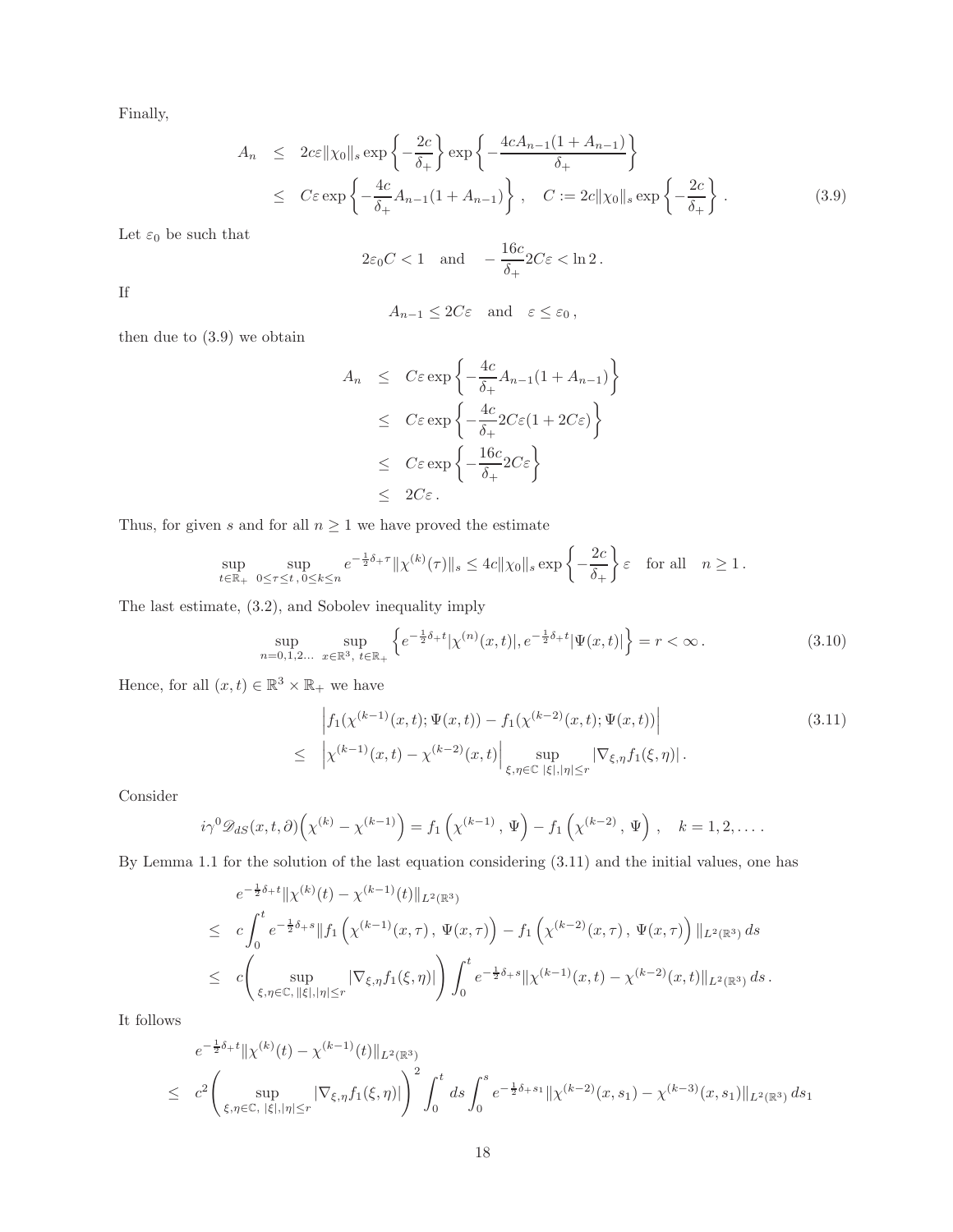Finally,

$$
A_n \leq 2c\varepsilon \|\chi_0\|_{s} \exp\left\{-\frac{2c}{\delta_{+}}\right\} \exp\left\{-\frac{4cA_{n-1}(1+A_{n-1})}{\delta_{+}}\right\}
$$
  

$$
\leq C\varepsilon \exp\left\{-\frac{4c}{\delta_{+}}A_{n-1}(1+A_{n-1})\right\}, \quad C := 2c \|\chi_0\|_{s} \exp\left\{-\frac{2c}{\delta_{+}}\right\}. \tag{3.9}
$$

Let  $\varepsilon_0$  be such that

$$
2\varepsilon_0 C < 1
$$
 and  $-\frac{16c}{\delta_+} 2C\varepsilon < \ln 2$ .

If

$$
A_{n-1} \le 2C\varepsilon \quad \text{and} \quad \varepsilon \le \varepsilon_0 \,,
$$

then due to (3.9) we obtain

$$
A_n \leq C\varepsilon \exp\left\{-\frac{4c}{\delta_+}A_{n-1}(1+A_{n-1})\right\}
$$
  
\n
$$
\leq C\varepsilon \exp\left\{-\frac{4c}{\delta_+}2C\varepsilon(1+2C\varepsilon)\right\}
$$
  
\n
$$
\leq C\varepsilon \exp\left\{-\frac{16c}{\delta_+}2C\varepsilon\right\}
$$
  
\n
$$
\leq 2C\varepsilon.
$$

Thus, for given  $s$  and for all  $n\geq 1$  we have proved the estimate

$$
\sup_{t\in\mathbb{R}_+}\sup_{0\leq\tau\leq t,\,0\leq k\leq n}e^{-\frac{1}{2}\delta_+\tau}\|\chi^{(k)}(\tau)\|_{s}\leq 4c\|\chi_0\|_{s}\exp\left\{-\frac{2c}{\delta_+}\right\}\varepsilon\quad\text{for all}\quad n\geq 1\,.
$$

The last estimate, (3.2), and Sobolev inequality imply

$$
\sup_{n=0,1,2...} \sup_{x \in \mathbb{R}^3, t \in \mathbb{R}_+} \left\{ e^{-\frac{1}{2}\delta_+ t} |\chi^{(n)}(x,t)|, e^{-\frac{1}{2}\delta_+ t} |\Psi(x,t)| \right\} = r < \infty. \tag{3.10}
$$

Hence, for all  $(x,t) \in \mathbb{R}^3 \times \mathbb{R}_+$  we have

$$
\left| f_1(\chi^{(k-1)}(x,t); \Psi(x,t)) - f_1(\chi^{(k-2)}(x,t); \Psi(x,t)) \right|
$$
\n
$$
\leq \left| \chi^{(k-1)}(x,t) - \chi^{(k-2)}(x,t) \right| \sup_{\xi, \eta \in \mathbb{C}} \left| \sup_{|\xi|, |\eta| \leq r} \left| \nabla_{\xi, \eta} f_1(\xi, \eta) \right|.
$$
\n(3.11)

Consider

$$
i\gamma^{0} \mathscr{D}_{dS}(x,t,\partial)\left(\chi^{(k)} - \chi^{(k-1)}\right) = f_1\left(\chi^{(k-1)},\,\Psi\right) - f_1\left(\chi^{(k-2)},\,\Psi\right), \quad k = 1,2,\ldots.
$$

By Lemma 1.1 for the solution of the last equation considering (3.11) and the initial values, one has

$$
e^{-\frac{1}{2}\delta_{+}t} \|\chi^{(k)}(t) - \chi^{(k-1)}(t)\|_{L^{2}(\mathbb{R}^{3})}
$$
  
\n
$$
\leq c \int_{0}^{t} e^{-\frac{1}{2}\delta_{+}s} \|f_{1}\left(\chi^{(k-1)}(x,\tau), \Psi(x,\tau)\right) - f_{1}\left(\chi^{(k-2)}(x,\tau), \Psi(x,\tau)\right) \|_{L^{2}(\mathbb{R}^{3})} ds
$$
  
\n
$$
\leq c \left( \sup_{\xi,\eta \in \mathbb{C}, \|\xi\|, |\eta| \leq r} |\nabla_{\xi,\eta} f_{1}(\xi,\eta)| \right) \int_{0}^{t} e^{-\frac{1}{2}\delta_{+}s} \|\chi^{(k-1)}(x,t) - \chi^{(k-2)}(x,t) \|_{L^{2}(\mathbb{R}^{3})} ds.
$$

It follows

$$
e^{-\frac{1}{2}\delta_{+}t} \|\chi^{(k)}(t) - \chi^{(k-1)}(t)\|_{L^{2}(\mathbb{R}^{3})}
$$
  
\n
$$
\leq c^{2} \left( \sup_{\xi,\eta \in \mathbb{C}, |\xi|, |\eta| \leq r} |\nabla_{\xi,\eta} f_{1}(\xi,\eta)| \right)^{2} \int_{0}^{t} ds \int_{0}^{s} e^{-\frac{1}{2}\delta_{+}s_{1}} \|\chi^{(k-2)}(x,s_{1}) - \chi^{(k-3)}(x,s_{1})\|_{L^{2}(\mathbb{R}^{3})} ds_{1}
$$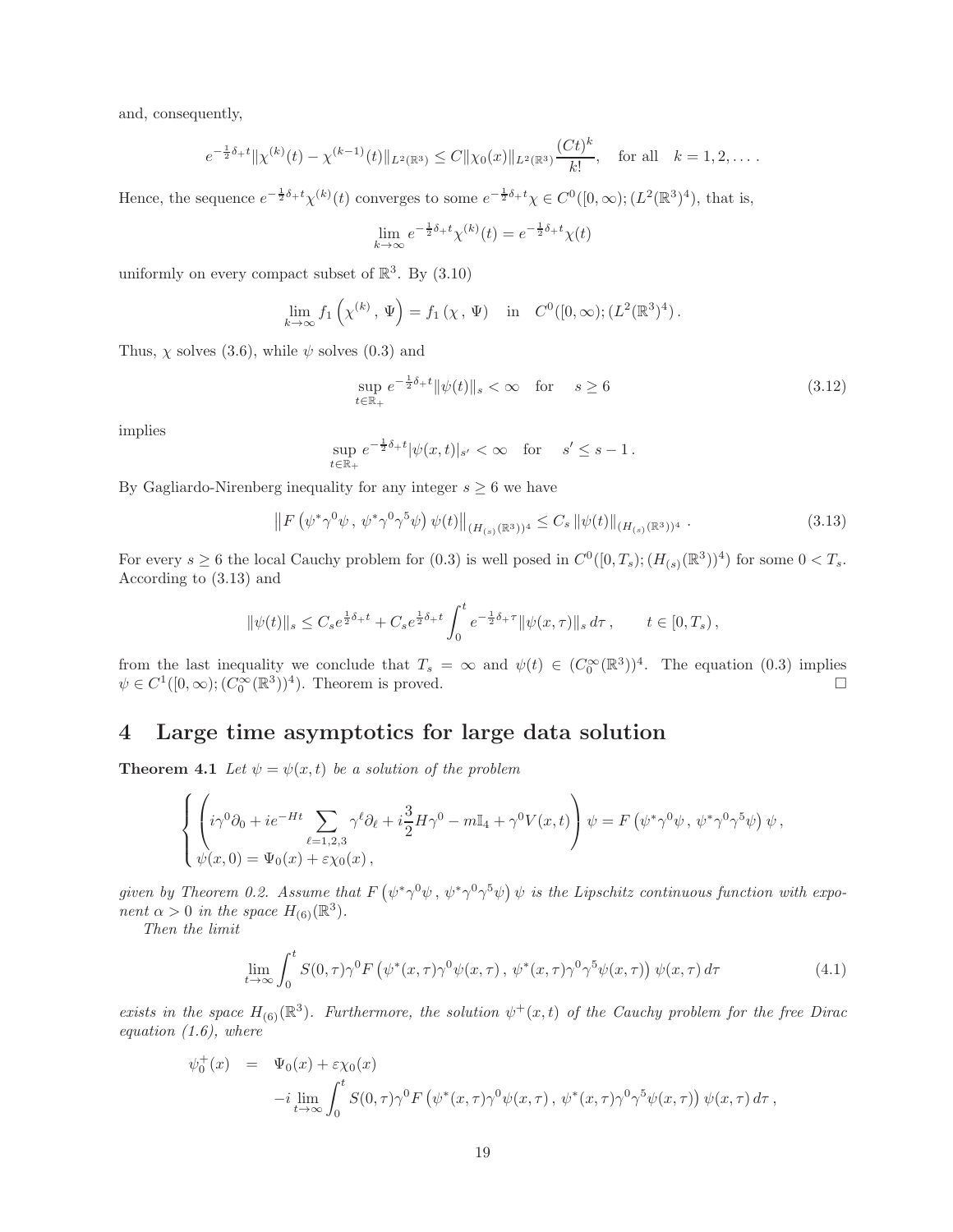and, consequently,

$$
e^{-\frac{1}{2}\delta_+t} \|\chi^{(k)}(t) - \chi^{(k-1)}(t)\|_{L^2(\mathbb{R}^3)} \leq C \|\chi_0(x)\|_{L^2(\mathbb{R}^3)} \frac{(Ct)^k}{k!}, \quad \text{for all} \quad k = 1, 2, \dots.
$$

Hence, the sequence  $e^{-\frac{1}{2}\delta_+t}\chi^{(k)}(t)$  converges to some  $e^{-\frac{1}{2}\delta_+t}\chi \in C^0([0,\infty);(L^2(\mathbb{R}^3)^4)$ , that is,

$$
\lim_{k \to \infty} e^{-\frac{1}{2}\delta_+ t} \chi^{(k)}(t) = e^{-\frac{1}{2}\delta_+ t} \chi(t)
$$

uniformly on every compact subset of  $\mathbb{R}^3$ . By  $(3.10)$ 

$$
\lim_{k \to \infty} f_1 \left( \chi^{(k)}, \Psi \right) = f_1 \left( \chi, \Psi \right) \quad \text{in} \quad C^0([0, \infty); (L^2(\mathbb{R}^3)^4).
$$

Thus,  $\chi$  solves (3.6), while  $\psi$  solves (0.3) and

$$
\sup_{t \in \mathbb{R}_+} e^{-\frac{1}{2}\delta_+ t} \|\psi(t)\|_{s} < \infty \quad \text{for} \quad s \ge 6 \tag{3.12}
$$

implies

$$
\sup_{t \in \mathbb{R}_+} e^{-\frac{1}{2}\delta_+ t} |\psi(x, t)|_{s'} < \infty \quad \text{for} \quad s' \le s - 1.
$$

By Gagliardo-Nirenberg inequality for any integer  $s \geq 6$  we have

$$
\left\| F\left(\psi^* \gamma^0 \psi, \, \psi^* \gamma^0 \gamma^5 \psi\right) \psi(t) \right\|_{(H_{(s)}(\mathbb{R}^3))^4} \le C_s \left\| \psi(t) \right\|_{(H_{(s)}(\mathbb{R}^3))^4} . \tag{3.13}
$$

For every  $s \geq 6$  the local Cauchy problem for  $(0.3)$  is well posed in  $C^0([0, T_s); (H_{(s)}(\mathbb{R}^3))^{4})$  for some  $0 < T_s$ . According to (3.13) and

$$
\|\psi(t)\|_{s} \leq C_{s}e^{\frac{1}{2}\delta_{+}t} + C_{s}e^{\frac{1}{2}\delta_{+}t} \int_{0}^{t} e^{-\frac{1}{2}\delta_{+}\tau} \|\psi(x,\tau)\|_{s} d\tau, \qquad t \in [0,T_{s}),
$$

from the last inequality we conclude that  $T_s = \infty$  and  $\psi(t) \in (C_0^{\infty}(\mathbb{R}^3))$ <sup>4</sup>. The equation (0.3) implies  $\psi \in C^1([0,\infty); (C_0^{\infty}(\mathbb{R}^3))^4)$ . Theorem is proved.

## 4 Large time asymptotics for large data solution

**Theorem 4.1** Let  $\psi = \psi(x, t)$  be a solution of the problem

$$
\begin{cases} \left( i\gamma^0 \partial_0 + ie^{-Ht} \sum_{\ell=1,2,3} \gamma^{\ell} \partial_{\ell} + i\frac{3}{2} H \gamma^0 - m \mathbb{I}_4 + \gamma^0 V(x,t) \right) \psi = F \left( \psi^* \gamma^0 \psi, \ \psi^* \gamma^0 \gamma^5 \psi \right) \psi, \\ \psi(x,0) = \Psi_0(x) + \varepsilon \chi_0(x) \,, \end{cases}
$$

given by Theorem 0.2. Assume that  $F(\psi^*\gamma^0\psi, \psi^*\gamma^0\gamma^5\psi) \psi$  is the Lipschitz continuous function with exponent  $\alpha > 0$  in the space  $H_{(6)}(\mathbb{R}^3)$ .

Then the limit

$$
\lim_{t \to \infty} \int_0^t S(0, \tau) \gamma^0 F\left(\psi^*(x, \tau) \gamma^0 \psi(x, \tau), \psi^*(x, \tau) \gamma^0 \gamma^5 \psi(x, \tau)\right) \psi(x, \tau) d\tau \tag{4.1}
$$

exists in the space  $H_{(6)}(\mathbb{R}^3)$ . Furthermore, the solution  $\psi^+(x,t)$  of the Cauchy problem for the free Dirac equation  $(1.6)$ , where

$$
\psi_0^+(x) = \Psi_0(x) + \varepsilon \chi_0(x)
$$
  
-*i*  $\lim_{t \to \infty} \int_0^t S(0, \tau) \gamma^0 F(\psi^*(x, \tau) \gamma^0 \psi(x, \tau), \psi^*(x, \tau) \gamma^0 \gamma^5 \psi(x, \tau)) \psi(x, \tau) d\tau$ ,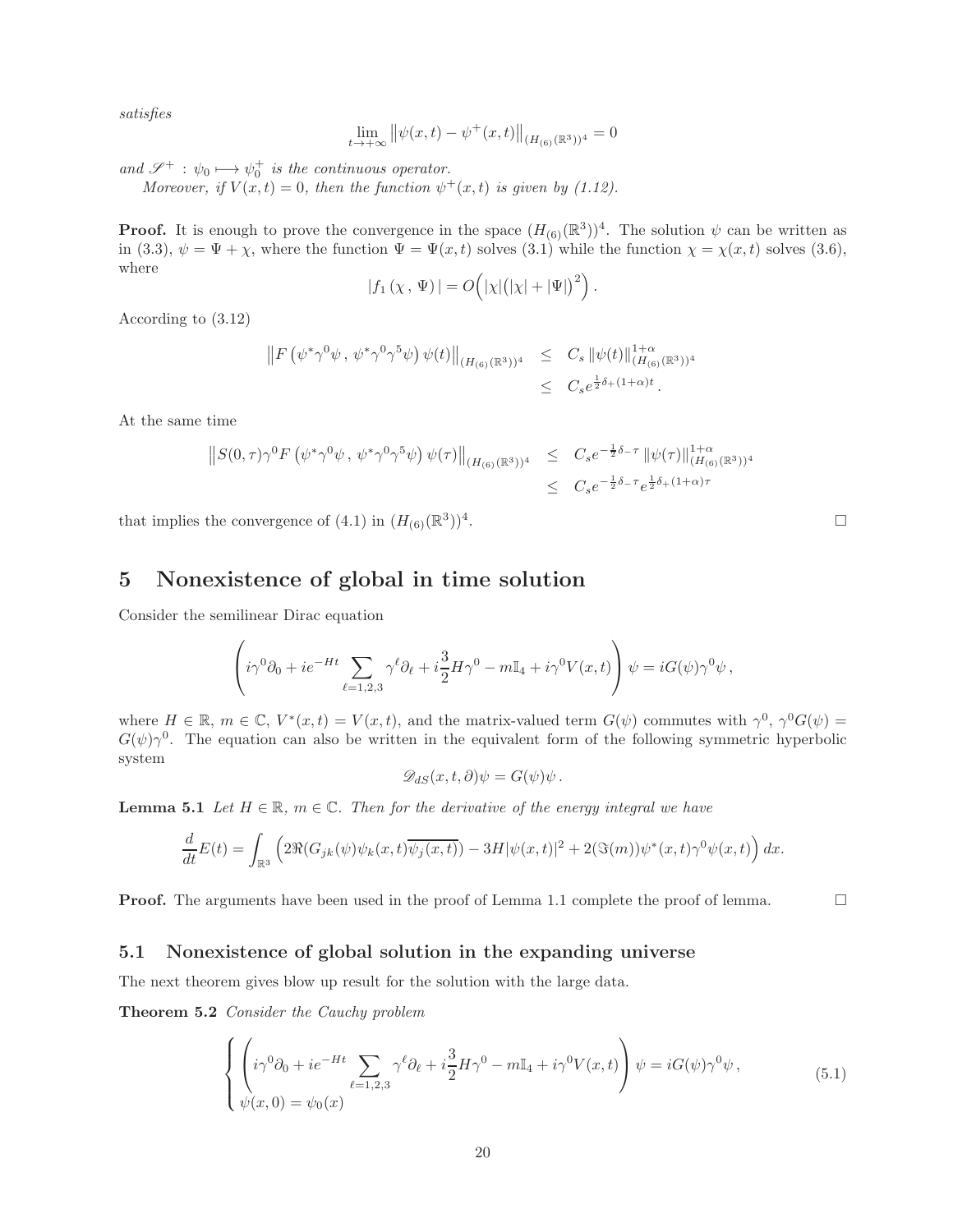satisfies

$$
\lim_{t \to +\infty} ||\psi(x, t) - \psi^+(x, t)||_{(H_{(6)}(\mathbb{R}^3))^4} = 0
$$

and  $\mathscr{S}^+$  :  $\psi_0 \longmapsto \psi_0^+$  is the continuous operator.

Moreover, if  $V(x,t) = 0$ , then the function  $\psi^+(x,t)$  is given by (1.12).

**Proof.** It is enough to prove the convergence in the space  $(H_{(6)}(\mathbb{R}^3))^4$ . The solution  $\psi$  can be written as in (3.3),  $\psi = \Psi + \chi$ , where the function  $\Psi = \Psi(x, t)$  solves (3.1) while the function  $\chi = \chi(x, t)$  solves (3.6), where

$$
|f_1(\chi, \Psi)| = O\left(|\chi|(|\chi| + |\Psi|)^2\right).
$$

According to (3.12)

$$
\|F(\psi^*\gamma^0\psi, \psi^*\gamma^0\gamma^5\psi)\psi(t)\|_{(H_{(6)}(\mathbb{R}^3))^4} \leq C_s \|\psi(t)\|_{(H_{(6)}(\mathbb{R}^3))^4}^{1+\alpha}
$$
  

$$
\leq C_s e^{\frac{1}{2}\delta_+(1+\alpha)t}.
$$

At the same time

$$
||S(0,\tau)\gamma^{0} F(\psi^{*}\gamma^{0}\psi, \psi^{*}\gamma^{0}\gamma^{5}\psi)\psi(\tau)||_{(H_{(6)}(\mathbb{R}^{3}))^{4}} \leq C_{s}e^{-\frac{1}{2}\delta_{-}\tau} ||\psi(\tau)||_{(H_{(6)}(\mathbb{R}^{3}))^{4}}^{1+\alpha}
$$
  

$$
\leq C_{s}e^{-\frac{1}{2}\delta_{-}\tau}e^{\frac{1}{2}\delta_{+}(1+\alpha)\tau}
$$

that implies the convergence of  $(4.1)$  in  $(H_{(6)}(\mathbb{R}^3))^4$ 

## 5 Nonexistence of global in time solution

Consider the semilinear Dirac equation

$$
\left(i\gamma^0\partial_0 + ie^{-Ht}\sum_{\ell=1,2,3}\gamma^{\ell}\partial_{\ell} + i\frac{3}{2}H\gamma^0 - m\mathbb{I}_4 + i\gamma^0V(x,t)\right)\psi = iG(\psi)\gamma^0\psi,
$$

where  $H \in \mathbb{R}$ ,  $m \in \mathbb{C}$ ,  $V^*(x,t) = V(x,t)$ , and the matrix-valued term  $G(\psi)$  commutes with  $\gamma^0$ ,  $\gamma^0 G(\psi)$  $G(\psi)\gamma^0$ . The equation can also be written in the equivalent form of the following symmetric hyperbolic system

$$
\mathscr{D}_{dS}(x,t,\partial)\psi = G(\psi)\psi.
$$

**Lemma 5.1** Let  $H \in \mathbb{R}$ ,  $m \in \mathbb{C}$ . Then for the derivative of the energy integral we have

$$
\frac{d}{dt}E(t) = \int_{\mathbb{R}^3} \left( 2\Re(G_{jk}(\psi)\psi_k(x,t)\overline{\psi_j(x,t)}) - 3H|\psi(x,t)|^2 + 2(\Im(m))\psi^*(x,t)\gamma^0\psi(x,t) \right) dx.
$$

**Proof.** The arguments have been used in the proof of Lemma 1.1 complete the proof of lemma.

#### 5.1 Nonexistence of global solution in the expanding universe

The next theorem gives blow up result for the solution with the large data.

Theorem 5.2 Consider the Cauchy problem

$$
\begin{cases} \left( i\gamma^0 \partial_0 + ie^{-Ht} \sum_{\ell=1,2,3} \gamma^\ell \partial_\ell + i\frac{3}{2} H \gamma^0 - m \mathbb{I}_4 + i\gamma^0 V(x,t) \right) \psi = iG(\psi)\gamma^0 \psi, \\ \psi(x,0) = \psi_0(x) \end{cases} \tag{5.1}
$$

. **Experimental contracts** of the contracts of the contracts of the contracts of the contracts of the contracts of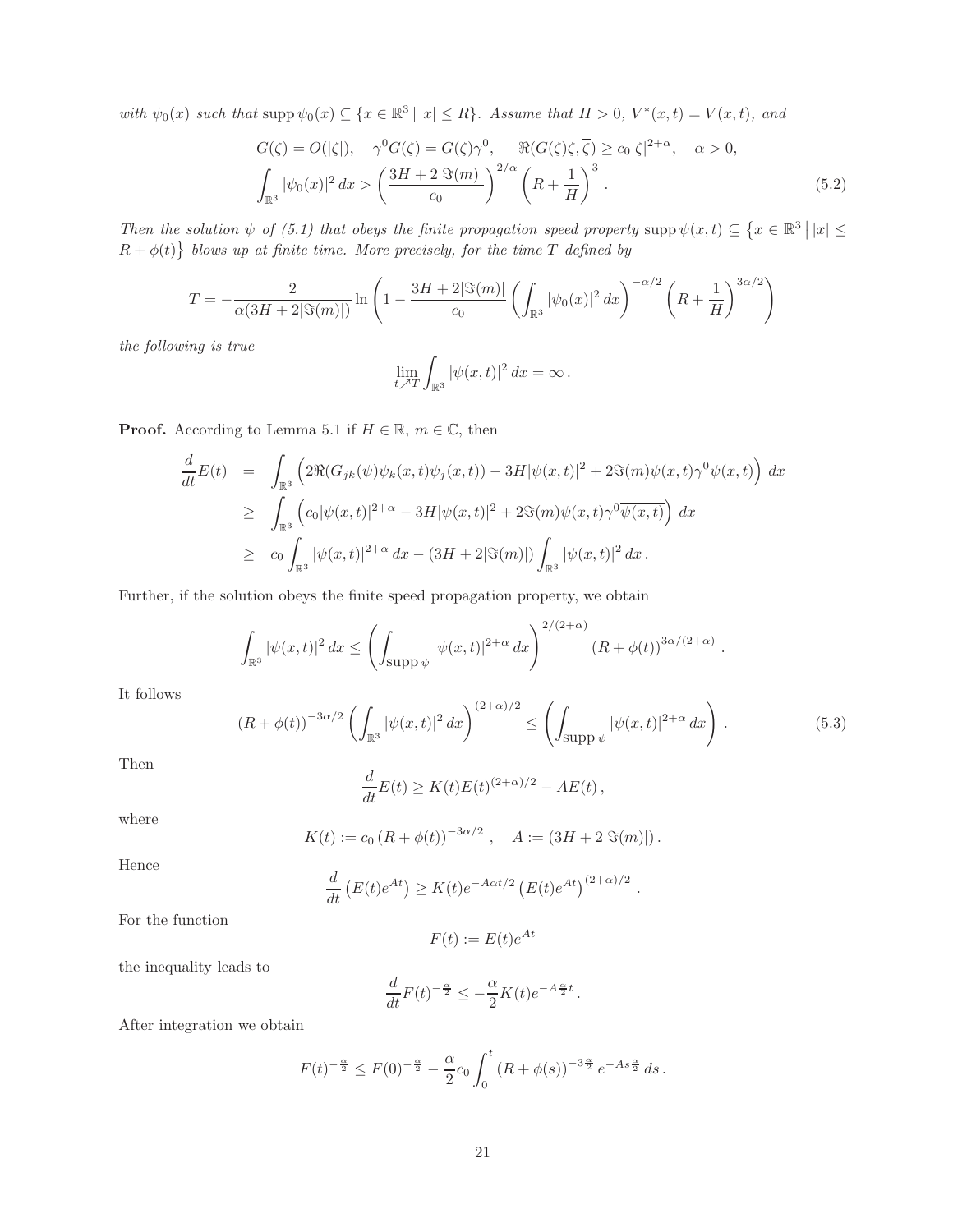with  $\psi_0(x)$  such that  $\text{supp }\psi_0(x) \subseteq \{x \in \mathbb{R}^3 \mid |x| \leq R\}$ . Assume that  $H > 0$ ,  $V^*(x,t) = V(x,t)$ , and

$$
G(\zeta) = O(|\zeta|), \quad \gamma^0 G(\zeta) = G(\zeta)\gamma^0, \quad \Re(G(\zeta)\zeta, \overline{\zeta}) \ge c_0|\zeta|^{2+\alpha}, \quad \alpha > 0,
$$

$$
\int_{\mathbb{R}^3} |\psi_0(x)|^2 dx > \left(\frac{3H + 2|\Im(m)|}{c_0}\right)^{2/\alpha} \left(R + \frac{1}{H}\right)^3.
$$
(5.2)

Then the solution  $\psi$  of (5.1) that obeys the finite propagation speed property supp  $\psi(x,t) \subseteq \{x \in \mathbb{R}^3 \mid |x| \leq$  $R + \phi(t)$  blows up at finite time. More precisely, for the time T defined by

$$
T = -\frac{2}{\alpha(3H + 2|\Im(m)|)} \ln \left( 1 - \frac{3H + 2|\Im(m)|}{c_0} \left( \int_{\mathbb{R}^3} |\psi_0(x)|^2 dx \right)^{-\alpha/2} \left( R + \frac{1}{H} \right)^{3\alpha/2} \right)
$$

the following is true

$$
\lim_{t \nearrow T} \int_{\mathbb{R}^3} |\psi(x, t)|^2 dx = \infty.
$$

**Proof.** According to Lemma 5.1 if  $H \in \mathbb{R}$ ,  $m \in \mathbb{C}$ , then

$$
\frac{d}{dt}E(t) = \int_{\mathbb{R}^3} \left( 2\Re(G_{jk}(\psi)\psi_k(x,t)\overline{\psi_j(x,t)}) - 3H|\psi(x,t)|^2 + 2\Im(m)\psi(x,t)\gamma^0\overline{\psi(x,t)} \right) dx
$$
\n
$$
\geq \int_{\mathbb{R}^3} \left( c_0|\psi(x,t)|^{2+\alpha} - 3H|\psi(x,t)|^2 + 2\Im(m)\psi(x,t)\gamma^0\overline{\psi(x,t)} \right) dx
$$
\n
$$
\geq c_0 \int_{\mathbb{R}^3} |\psi(x,t)|^{2+\alpha} dx - (3H + 2|\Im(m)|) \int_{\mathbb{R}^3} |\psi(x,t)|^2 dx.
$$

Further, if the solution obeys the finite speed propagation property, we obtain

$$
\int_{\mathbb{R}^3} |\psi(x,t)|^2 dx \le \left( \int_{\text{supp }\psi} |\psi(x,t)|^{2+\alpha} dx \right)^{2/(2+\alpha)} \left( R + \phi(t) \right)^{3\alpha/(2+\alpha)}.
$$

It follows

$$
(R + \phi(t))^{-3\alpha/2} \left( \int_{\mathbb{R}^3} |\psi(x, t)|^2 dx \right)^{(2+\alpha)/2} \le \left( \int_{\text{supp }\psi} |\psi(x, t)|^{2+\alpha} dx \right). \tag{5.3}
$$

Then

$$
\frac{d}{dt}E(t) \ge K(t)E(t)^{(2+\alpha)/2} - AE(t),
$$

where

$$
K(t) := c_0 (R + \phi(t))^{-3\alpha/2}
$$
,  $A := (3H + 2|\Im(m)|)$ .

Hence

$$
\frac{d}{dt}\left(E(t)e^{At}\right) \ge K(t)e^{-A\alpha t/2}\left(E(t)e^{At}\right)^{(2+\alpha)/2}.
$$

For the function

$$
F(t) := E(t)e^{At}
$$

the inequality leads to

$$
\frac{d}{dt}F(t)^{-\frac{\alpha}{2}} \le -\frac{\alpha}{2}K(t)e^{-A\frac{\alpha}{2}t}.
$$

After integration we obtain

$$
F(t)^{-\frac{\alpha}{2}} \leq F(0)^{-\frac{\alpha}{2}} - \frac{\alpha}{2} c_0 \int_0^t (R + \phi(s))^{-3\frac{\alpha}{2}} e^{-As\frac{\alpha}{2}} ds.
$$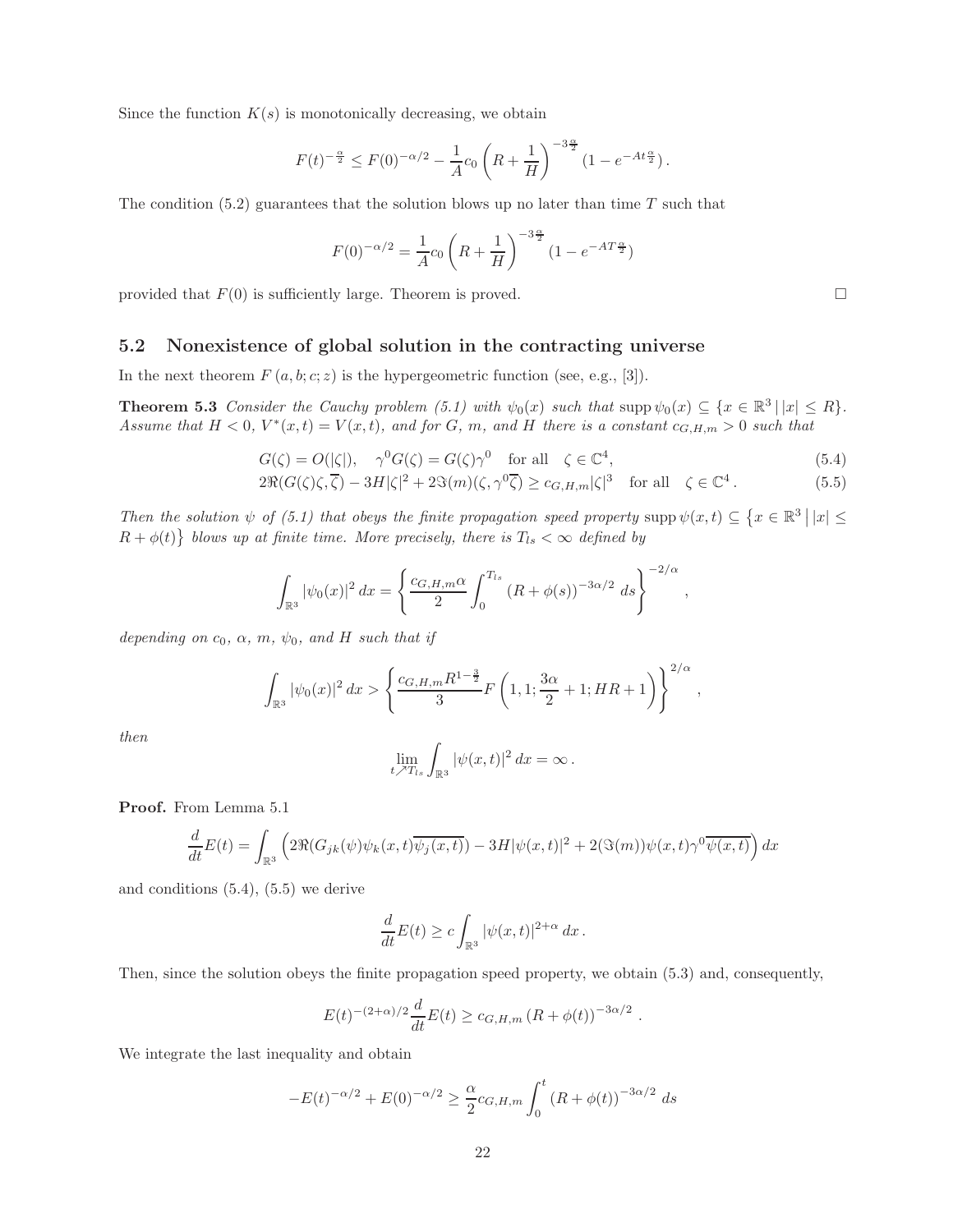Since the function  $K(s)$  is monotonically decreasing, we obtain

$$
F(t)^{-\frac{\alpha}{2}} \leq F(0)^{-\alpha/2} - \frac{1}{A}c_0 \left( R + \frac{1}{H} \right)^{-3\frac{\alpha}{2}} \left( 1 - e^{-At\frac{\alpha}{2}} \right).
$$

The condition  $(5.2)$  guarantees that the solution blows up no later than time T such that

$$
F(0)^{-\alpha/2} = \frac{1}{A} c_0 \left( R + \frac{1}{H} \right)^{-3\frac{\alpha}{2}} \left( 1 - e^{-AT\frac{\alpha}{2}} \right)
$$

provided that  $F(0)$  is sufficiently large. Theorem is proved.

#### 5.2 Nonexistence of global solution in the contracting universe

In the next theorem  $F(a, b; c; z)$  is the hypergeometric function (see, e.g., [3]).

**Theorem 5.3** Consider the Cauchy problem (5.1) with  $\psi_0(x)$  such that  $\text{supp}\,\psi_0(x) \subseteq \{x \in \mathbb{R}^3 \mid |x| \leq R\}.$ Assume that  $H < 0$ ,  $V^*(x,t) = V(x,t)$ , and for G, m, and H there is a constant  $c_{G,H,m} > 0$  such that

$$
G(\zeta) = O(|\zeta|), \quad \gamma^0 G(\zeta) = G(\zeta)\gamma^0 \quad \text{for all} \quad \zeta \in \mathbb{C}^4,
$$
\n(5.4)

$$
2\Re(G(\zeta)\zeta,\overline{\zeta}) - 3H|\zeta|^2 + 2\Im(m)(\zeta,\gamma^0\overline{\zeta}) \ge c_{G,H,m}|\zeta|^3 \quad \text{for all} \quad \zeta \in \mathbb{C}^4. \tag{5.5}
$$

Then the solution  $\psi$  of (5.1) that obeys the finite propagation speed property supp  $\psi(x,t) \subseteq \{x \in \mathbb{R}^3 \mid |x| \leq$  $R + \phi(t)$  blows up at finite time. More precisely, there is  $T_{ls} < \infty$  defined by

$$
\int_{\mathbb{R}^3} |\psi_0(x)|^2 dx = \left\{ \frac{c_{G,H,m}\alpha}{2} \int_0^{T_{ls}} (R + \phi(s))^{-3\alpha/2} ds \right\}^{-2/\alpha},
$$

depending on  $c_0$ ,  $\alpha$ ,  $m$ ,  $\psi_0$ , and H such that if

$$
\int_{\mathbb{R}^3} |\psi_0(x)|^2 dx > \left\{ \frac{c_{G,H,m} R^{1-\frac{3}{2}}}{3} F\left(1,1; \frac{3\alpha}{2} + 1; HR + 1\right) \right\}^{2/\alpha},
$$

then

$$
\lim_{t \nearrow T_{ls}} \int_{\mathbb{R}^3} |\psi(x,t)|^2 dx = \infty.
$$

Proof. From Lemma 5.1

$$
\frac{d}{dt}E(t) = \int_{\mathbb{R}^3} \left( 2\Re(G_{jk}(\psi)\psi_k(x,t)\overline{\psi_j(x,t)}) - 3H|\psi(x,t)|^2 + 2(\Im(m))\psi(x,t)\gamma^0\overline{\psi(x,t)} \right) dx
$$

and conditions (5.4), (5.5) we derive

$$
\frac{d}{dt}E(t)\geq c\int_{\mathbb{R}^{3}}|\psi(x,t)|^{2+\alpha}\,dx\,.
$$

Then, since the solution obeys the finite propagation speed property, we obtain (5.3) and, consequently,

$$
E(t)^{-(2+\alpha)/2} \frac{d}{dt} E(t) \ge c_{G,H,m} (R + \phi(t))^{-3\alpha/2} .
$$

We integrate the last inequality and obtain

$$
-E(t)^{-\alpha/2} + E(0)^{-\alpha/2} \ge \frac{\alpha}{2} c_{G,H,m} \int_0^t (R + \phi(t))^{-3\alpha/2} ds
$$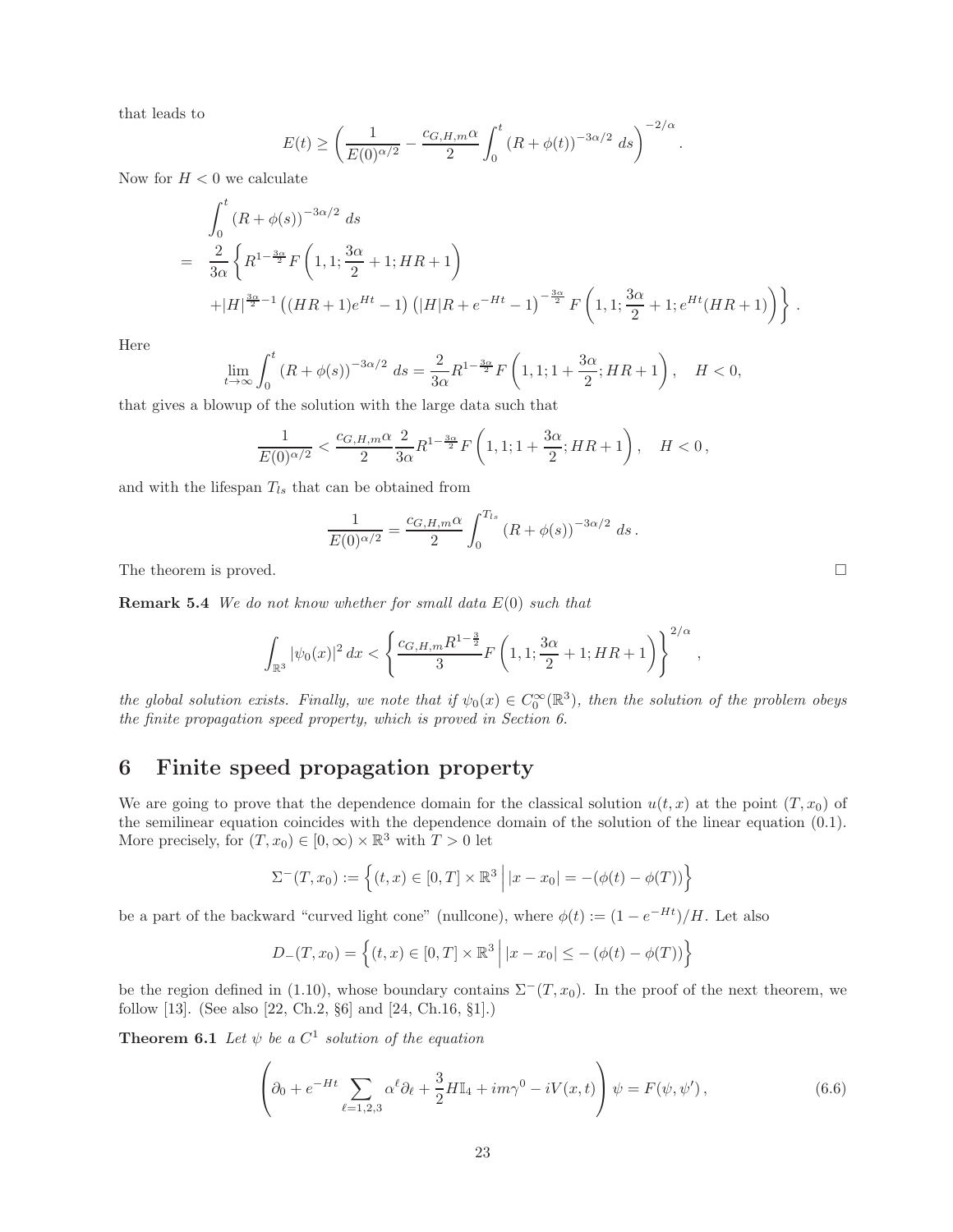that leads to

$$
E(t) \ge \left(\frac{1}{E(0)^{\alpha/2}} - \frac{c_{G,H,m}\alpha}{2} \int_0^t (R + \phi(t))^{-3\alpha/2} ds\right)^{-2/\alpha}.
$$

Now for  $H < 0$  we calculate

$$
\int_0^t (R+\phi(s))^{-3\alpha/2} ds
$$
\n
$$
= \frac{2}{3\alpha} \left\{ R^{1-\frac{3\alpha}{2}} F\left(1,1;\frac{3\alpha}{2}+1;HR+1\right) + |H|^{\frac{3\alpha}{2}-1} \left((HR+1)e^{Ht}-1\right) (|H|R+e^{-Ht}-1)^{-\frac{3\alpha}{2}} F\left(1,1;\frac{3\alpha}{2}+1;e^{Ht}(HR+1)\right) \right\}.
$$

Here

$$
\lim_{t \to \infty} \int_0^t (R + \phi(s))^{-3\alpha/2} ds = \frac{2}{3\alpha} R^{1 - \frac{3\alpha}{2}} F\left(1, 1; 1 + \frac{3\alpha}{2}; HR + 1\right), \quad H < 0,
$$

that gives a blowup of the solution with the large data such that

$$
\frac{1}{E(0)^{\alpha/2}}<\frac{c_{G,H,m}\alpha}{2}\frac{2}{3\alpha}R^{1-\frac{3\alpha}{2}}F\left(1,1;1+\frac{3\alpha}{2};HR+1\right),\quad H<0\,,
$$

and with the lifespan  $T_{ls}$  that can be obtained from

$$
\frac{1}{E(0)^{\alpha/2}} = \frac{c_{G,H,m}\alpha}{2} \int_0^{T_{ls}} (R + \phi(s))^{-3\alpha/2} ds.
$$

The theorem is proved.

**Remark 5.4** We do not know whether for small data  $E(0)$  such that

$$
\int_{\mathbb{R}^3} |\psi_0(x)|^2 dx < \left\{ \frac{c_{G,H,m} R^{1-\frac{3}{2}}}{3} F\left(1,1; \frac{3\alpha}{2} + 1; HR + 1\right) \right\}^{2/\alpha},
$$

the global solution exists. Finally, we note that if  $\psi_0(x) \in C_0^{\infty}(\mathbb{R}^3)$ , then the solution of the problem obeys the finite propagation speed property, which is proved in Section 6.

## 6 Finite speed propagation property

We are going to prove that the dependence domain for the classical solution  $u(t, x)$  at the point  $(T, x_0)$  of the semilinear equation coincides with the dependence domain of the solution of the linear equation (0.1). More precisely, for  $(T, x_0) \in [0, \infty) \times \mathbb{R}^3$  with  $T > 0$  let

$$
\Sigma^{-}(T, x_0) := \left\{ (t, x) \in [0, T] \times \mathbb{R}^3 \mid |x - x_0| = -(\phi(t) - \phi(T)) \right\}
$$

be a part of the backward "curved light cone" (nullcone), where  $\phi(t) := (1 - e^{-Ht})/H$ . Let also

$$
D_{-}(T, x_0) = \left\{ (t, x) \in [0, T] \times \mathbb{R}^3 \mid |x - x_0| \le -(\phi(t) - \phi(T)) \right\}
$$

be the region defined in (1.10), whose boundary contains  $\Sigma^-(T, x_0)$ . In the proof of the next theorem, we follow [13]. (See also [22, Ch.2, §6] and [24, Ch.16, §1].)

**Theorem 6.1** Let  $\psi$  be a  $C^1$  solution of the equation

$$
\left(\partial_0 + e^{-Ht} \sum_{\ell=1,2,3} \alpha^{\ell} \partial_{\ell} + \frac{3}{2} H \mathbb{I}_4 + im\gamma^0 - iV(x,t)\right) \psi = F(\psi, \psi'),\tag{6.6}
$$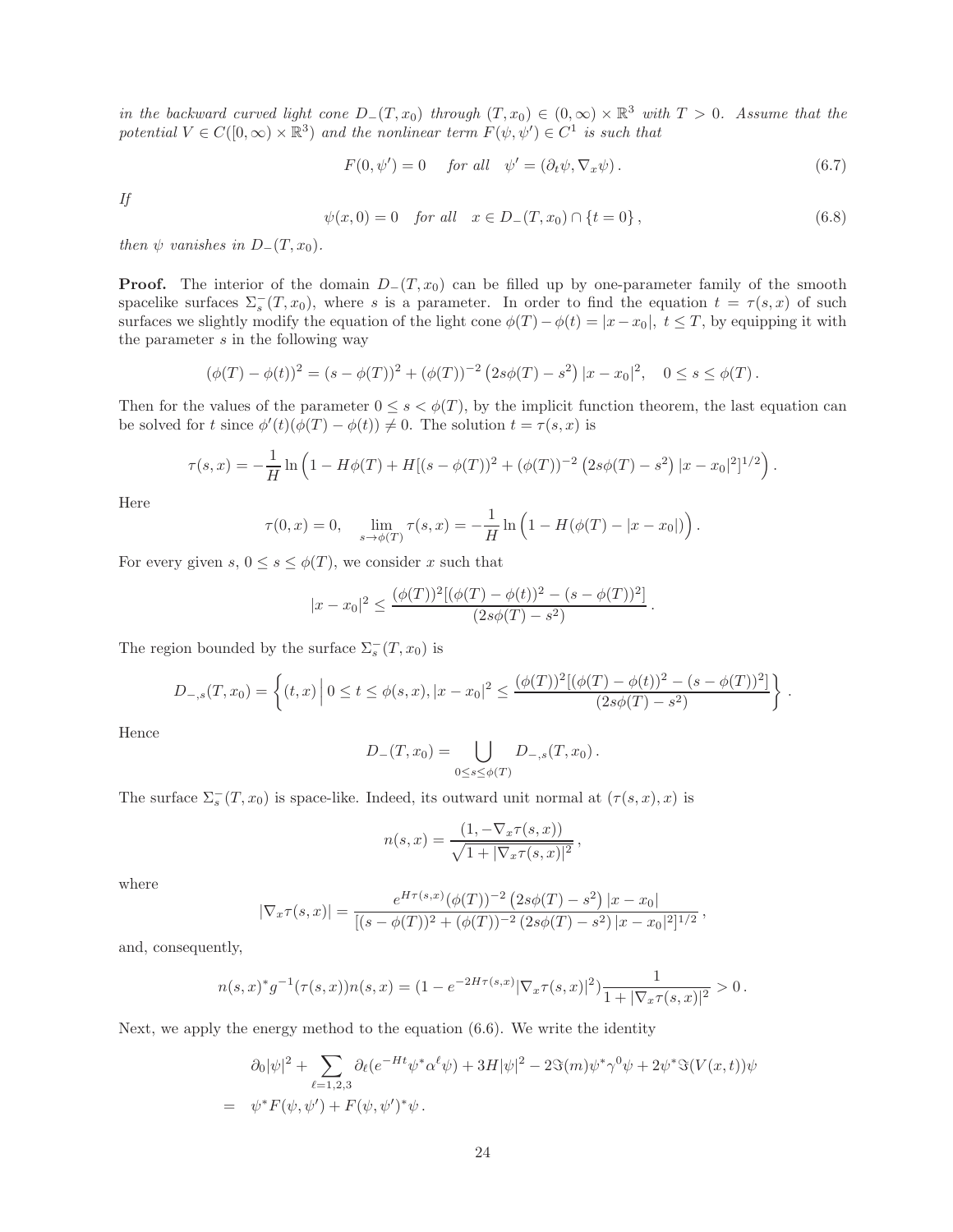in the backward curved light cone  $D_-(T,x_0)$  through  $(T,x_0) \in (0,\infty) \times \mathbb{R}^3$  with  $T > 0$ . Assume that the potential  $V \in C([0,\infty) \times \mathbb{R}^3)$  and the nonlinear term  $F(\psi, \psi') \in C^1$  is such that

$$
F(0, \psi') = 0 \quad \text{for all} \quad \psi' = (\partial_t \psi, \nabla_x \psi). \tag{6.7}
$$

If

$$
\psi(x,0) = 0 \quad \text{for all} \quad x \in D_{-}(T,x_0) \cap \{t = 0\},\tag{6.8}
$$

.

then  $\psi$  vanishes in  $D_-(T,x_0)$ .

**Proof.** The interior of the domain  $D_{-}(T, x_0)$  can be filled up by one-parameter family of the smooth spacelike surfaces  $\Sigma_s^-(T,x_0)$ , where s is a parameter. In order to find the equation  $t = \tau(s,x)$  of such surfaces we slightly modify the equation of the light cone  $\phi(T) - \phi(t) = |x - x_0|, t \leq T$ , by equipping it with the parameter  $s$  in the following way

$$
(\phi(T) - \phi(t))^2 = (s - \phi(T))^2 + (\phi(T))^{-2} (2s\phi(T) - s^2) |x - x_0|^2, \quad 0 \le s \le \phi(T).
$$

Then for the values of the parameter  $0 \leq s < \phi(T)$ , by the implicit function theorem, the last equation can be solved for t since  $\phi'(t)(\phi(T) - \phi(t)) \neq 0$ . The solution  $t = \tau(s, x)$  is

$$
\tau(s,x) = -\frac{1}{H} \ln \left( 1 - H\phi(T) + H[(s - \phi(T))^2 + (\phi(T))^{-2} (2s\phi(T) - s^2) |x - x_0|^2]^{1/2} \right).
$$

Here

$$
\tau(0,x) = 0, \quad \lim_{s \to \phi(T)} \tau(s,x) = -\frac{1}{H} \ln \left( 1 - H(\phi(T) - |x - x_0|) \right).
$$

For every given  $s, 0 \leq s \leq \phi(T)$ , we consider x such that

$$
|x - x_0|^2 \le \frac{(\phi(T))^2 [(\phi(T) - \phi(t))^2 - (s - \phi(T))^2]}{(2s\phi(T) - s^2)}
$$

The region bounded by the surface  $\Sigma_s^-(T,x_0)$  is

$$
D_{-,s}(T,x_0) = \left\{ (t,x) \left| 0 \le t \le \phi(s,x), |x-x_0|^2 \le \frac{(\phi(T))^2 [(\phi(T)-\phi(t))^2 - (s-\phi(T))^2]}{(2s\phi(T)-s^2)} \right. \right\}.
$$

Hence

$$
D_{-}(T,x_0) = \bigcup_{0 \le s \le \phi(T)} D_{-,s}(T,x_0) .
$$

The surface  $\Sigma_s^-(T,x_0)$  is space-like. Indeed, its outward unit normal at  $(\tau(s,x),x)$  is

$$
n(s,x) = \frac{(1, -\nabla_x \tau(s,x))}{\sqrt{1 + |\nabla_x \tau(s,x)|^2}},
$$

where

$$
|\nabla_x \tau(s,x)| = \frac{e^{H\tau(s,x)}(\phi(T))^{-2} (2s\phi(T) - s^2) |x - x_0|}{[(s - \phi(T))^2 + (\phi(T))^{-2} (2s\phi(T) - s^2) |x - x_0|^2]^{1/2}},
$$

and, consequently,

$$
n(s,x)^{*}g^{-1}(\tau(s,x))n(s,x)=(1-e^{-2H\tau(s,x)}|\nabla_x \tau(s,x)|^2)\frac{1}{1+|\nabla_x \tau(s,x)|^2}>0.
$$

Next, we apply the energy method to the equation (6.6). We write the identity

$$
\partial_0 |\psi|^2 + \sum_{\ell=1,2,3} \partial_\ell (e^{-Ht} \psi^* \alpha^\ell \psi) + 3H |\psi|^2 - 2\Im(m) \psi^* \gamma^0 \psi + 2\psi^* \Im(V(x,t)) \psi
$$
  
=  $\psi^* F(\psi, \psi') + F(\psi, \psi')^* \psi$ .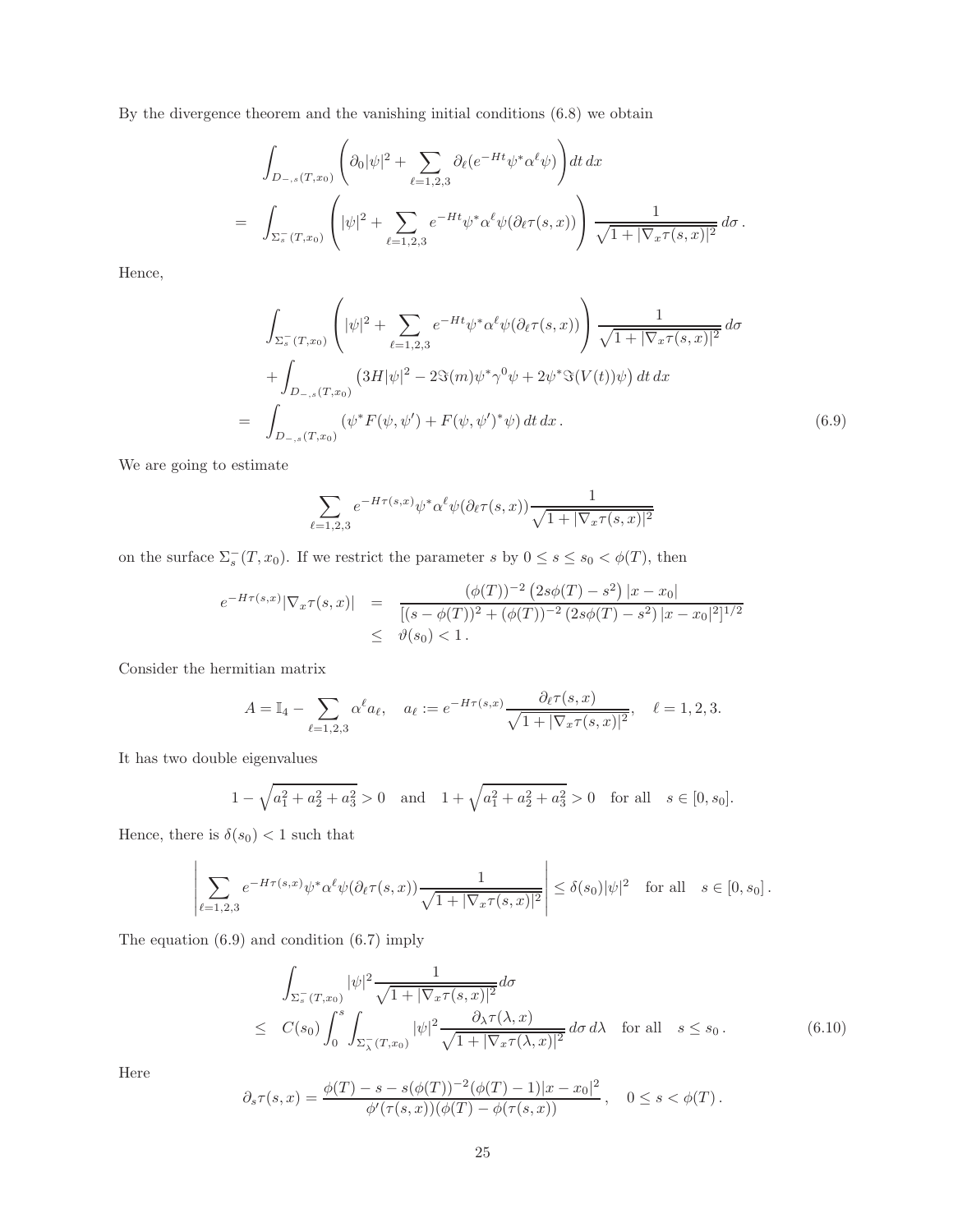By the divergence theorem and the vanishing initial conditions (6.8) we obtain

$$
\int_{D_{-,s}(T,x_0)} \left( \partial_0 |\psi|^2 + \sum_{\ell=1,2,3} \partial_\ell (e^{-Ht} \psi^* \alpha^\ell \psi) \right) dt \, dx
$$
\n
$$
= \int_{\Sigma_s^-(T,x_0)} \left( |\psi|^2 + \sum_{\ell=1,2,3} e^{-Ht} \psi^* \alpha^\ell \psi (\partial_\ell \tau(s,x)) \right) \frac{1}{\sqrt{1+|\nabla_x \tau(s,x)|^2}} \, d\sigma \, .
$$

Hence,

$$
\int_{\Sigma_{s}^{-}(T,x_{0})} \left( |\psi|^{2} + \sum_{\ell=1,2,3} e^{-Ht} \psi^{*} \alpha^{\ell} \psi (\partial_{\ell} \tau(s,x)) \right) \frac{1}{\sqrt{1+|\nabla_{x} \tau(s,x)|^{2}}} d\sigma \n+ \int_{D_{-,s}(T,x_{0})} \left( 3H |\psi|^{2} - 2\Im(m) \psi^{*} \gamma^{0} \psi + 2\psi^{*} \Im(V(t)) \psi \right) dt dx \n= \int_{D_{-,s}(T,x_{0})} (\psi^{*} F(\psi, \psi') + F(\psi, \psi')^{*} \psi) dt dx.
$$
\n(6.9)

We are going to estimate

$$
\sum_{\ell=1,2,3} e^{-H\tau(s,x)} \psi^* \alpha^{\ell} \psi(\partial_{\ell} \tau(s,x)) \frac{1}{\sqrt{1+|\nabla_x \tau(s,x)|^2}}
$$

on the surface  $\Sigma_s^-(T, x_0)$ . If we restrict the parameter s by  $0 \le s \le s_0 < \phi(T)$ , then

$$
e^{-H\tau(s,x)}|\nabla_x \tau(s,x)| = \frac{(\phi(T))^{-2} (2s\phi(T) - s^2) |x - x_0|}{[(s - \phi(T))^2 + (\phi(T))^{-2} (2s\phi(T) - s^2) |x - x_0|^2]^{1/2}}
$$
  
 
$$
\leq \vartheta(s_0) < 1.
$$

Consider the hermitian matrix

$$
A = \mathbb{I}_4 - \sum_{\ell=1,2,3} \alpha^{\ell} a_{\ell}, \quad a_{\ell} := e^{-H\tau(s,x)} \frac{\partial_{\ell} \tau(s,x)}{\sqrt{1 + |\nabla_x \tau(s,x)|^2}}, \quad \ell = 1,2,3.
$$

It has two double eigenvalues

$$
1 - \sqrt{a_1^2 + a_2^2 + a_3^2} > 0
$$
 and  $1 + \sqrt{a_1^2 + a_2^2 + a_3^2} > 0$  for all  $s \in [0, s_0]$ .

Hence, there is  $\delta(s_0) < 1$  such that

$$
\left|\sum_{\ell=1,2,3} e^{-H\tau(s,x)} \psi^* \alpha^\ell \psi(\partial_\ell \tau(s,x)) \frac{1}{\sqrt{1+|\nabla_x \tau(s,x)|^2}}\right| \leq \delta(s_0) |\psi|^2 \quad \text{for all} \quad s \in [0, s_0].
$$

The equation (6.9) and condition (6.7) imply

$$
\int_{\Sigma_{s}^{-}(T,x_{0})} |\psi|^{2} \frac{1}{\sqrt{1+|\nabla_{x}\tau(s,x)|^{2}}} d\sigma
$$
\n
$$
\leq C(s_{0}) \int_{0}^{s} \int_{\Sigma_{\lambda}^{-}(T,x_{0})} |\psi|^{2} \frac{\partial_{\lambda}\tau(\lambda,x)}{\sqrt{1+|\nabla_{x}\tau(\lambda,x)|^{2}}} d\sigma d\lambda \quad \text{for all} \quad s \leq s_{0}. \tag{6.10}
$$

 $\overline{1}$ 

Here

$$
\partial_s \tau(s,x) = \frac{\phi(T) - s - s(\phi(T))^{-2}(\phi(T) - 1)|x - x_0|^2}{\phi'(\tau(s,x))(\phi(T) - \phi(\tau(s,x)))}, \quad 0 \le s < \phi(T).
$$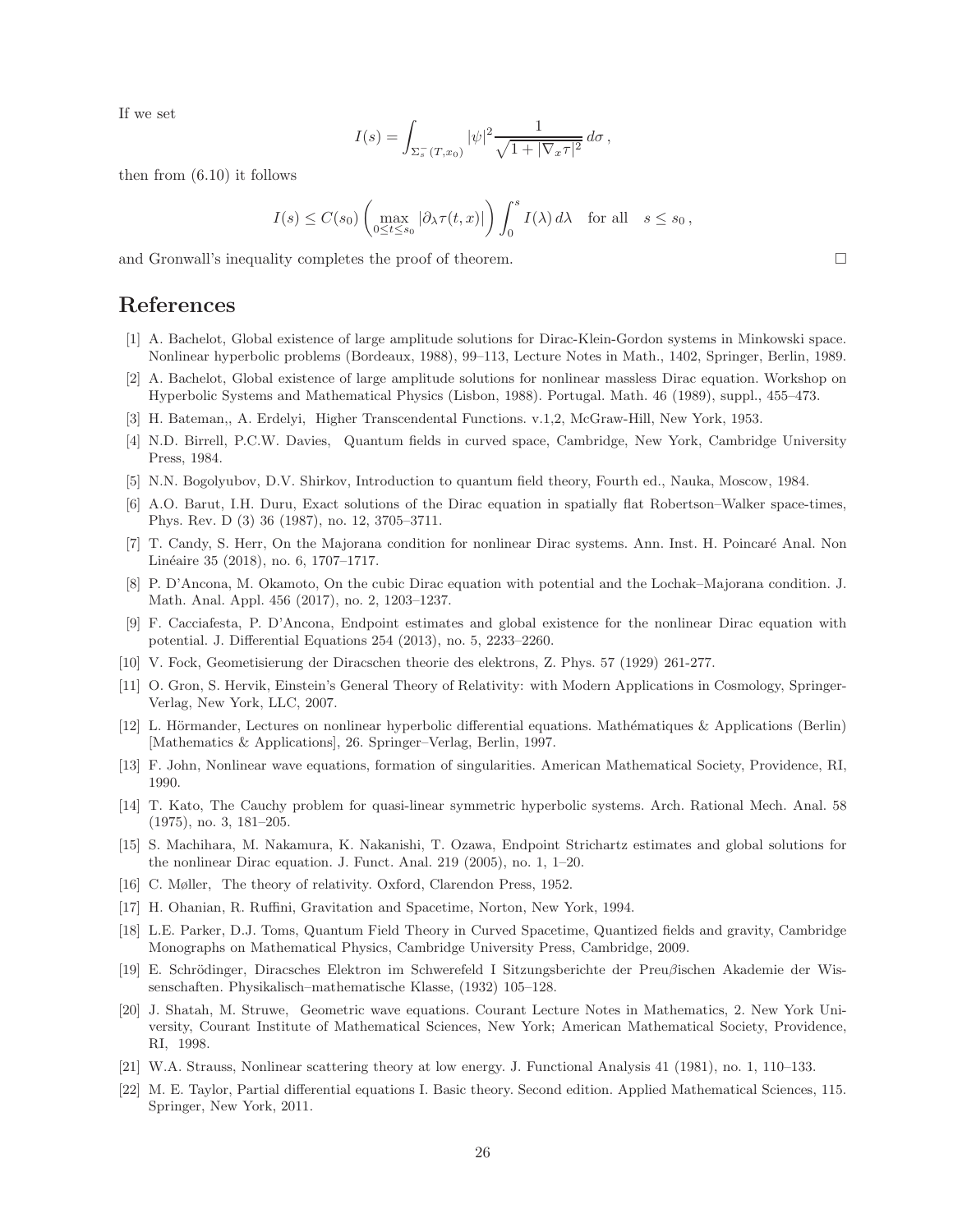If we set

$$
I(s) = \int_{\Sigma_s^-(T,x_0)} |\psi|^2 \frac{1}{\sqrt{1+|\nabla_x \tau|^2}} d\sigma,
$$

then from (6.10) it follows

$$
I(s) \leq C(s_0) \left( \max_{0 \leq t \leq s_0} |\partial_\lambda \tau(t, x)| \right) \int_0^s I(\lambda) d\lambda \quad \text{for all} \quad s \leq s_0,
$$

and Gronwall's inequality completes the proof of theorem.

### References

- [1] A. Bachelot, Global existence of large amplitude solutions for Dirac-Klein-Gordon systems in Minkowski space. Nonlinear hyperbolic problems (Bordeaux, 1988), 99–113, Lecture Notes in Math., 1402, Springer, Berlin, 1989.
- [2] A. Bachelot, Global existence of large amplitude solutions for nonlinear massless Dirac equation. Workshop on Hyperbolic Systems and Mathematical Physics (Lisbon, 1988). Portugal. Math. 46 (1989), suppl., 455–473.
- [3] H. Bateman,, A. Erdelyi, Higher Transcendental Functions. v.1,2, McGraw-Hill, New York, 1953.
- [4] N.D. Birrell, P.C.W. Davies, Quantum fields in curved space, Cambridge, New York, Cambridge University Press, 1984.
- [5] N.N. Bogolyubov, D.V. Shirkov, Introduction to quantum field theory, Fourth ed., Nauka, Moscow, 1984.
- [6] A.O. Barut, I.H. Duru, Exact solutions of the Dirac equation in spatially flat Robertson–Walker space-times, Phys. Rev. D (3) 36 (1987), no. 12, 3705–3711.
- [7] T. Candy, S. Herr, On the Majorana condition for nonlinear Dirac systems. Ann. Inst. H. Poincar´e Anal. Non Linéaire 35 (2018), no. 6, 1707–1717.
- [8] P. D'Ancona, M. Okamoto, On the cubic Dirac equation with potential and the Lochak–Majorana condition. J. Math. Anal. Appl. 456 (2017), no. 2, 1203–1237.
- [9] F. Cacciafesta, P. D'Ancona, Endpoint estimates and global existence for the nonlinear Dirac equation with potential. J. Differential Equations 254 (2013), no. 5, 2233–2260.
- [10] V. Fock, Geometisierung der Diracschen theorie des elektrons, Z. Phys. 57 (1929) 261-277.
- [11] O. Gron, S. Hervik, Einstein's General Theory of Relativity: with Modern Applications in Cosmology, Springer-Verlag, New York, LLC, 2007.
- [12] L. Hörmander, Lectures on nonlinear hyperbolic differential equations. Mathématiques & Applications (Berlin) [Mathematics & Applications], 26. Springer–Verlag, Berlin, 1997.
- [13] F. John, Nonlinear wave equations, formation of singularities. American Mathematical Society, Providence, RI, 1990.
- [14] T. Kato, The Cauchy problem for quasi-linear symmetric hyperbolic systems. Arch. Rational Mech. Anal. 58 (1975), no. 3, 181–205.
- [15] S. Machihara, M. Nakamura, K. Nakanishi, T. Ozawa, Endpoint Strichartz estimates and global solutions for the nonlinear Dirac equation. J. Funct. Anal. 219 (2005), no. 1, 1–20.
- [16] C. Møller, The theory of relativity. Oxford, Clarendon Press, 1952.
- [17] H. Ohanian, R. Ruffini, Gravitation and Spacetime, Norton, New York, 1994.
- [18] L.E. Parker, D.J. Toms, Quantum Field Theory in Curved Spacetime, Quantized fields and gravity, Cambridge Monographs on Mathematical Physics, Cambridge University Press, Cambridge, 2009.
- [19] E. Schrödinger, Diracsches Elektron im Schwerefeld I Sitzungsberichte der Preuβischen Akademie der Wissenschaften. Physikalisch–mathematische Klasse, (1932) 105–128.
- [20] J. Shatah, M. Struwe, Geometric wave equations. Courant Lecture Notes in Mathematics, 2. New York University, Courant Institute of Mathematical Sciences, New York; American Mathematical Society, Providence, RI, 1998.
- [21] W.A. Strauss, Nonlinear scattering theory at low energy. J. Functional Analysis 41 (1981), no. 1, 110–133.
- [22] M. E. Taylor, Partial differential equations I. Basic theory. Second edition. Applied Mathematical Sciences, 115. Springer, New York, 2011.